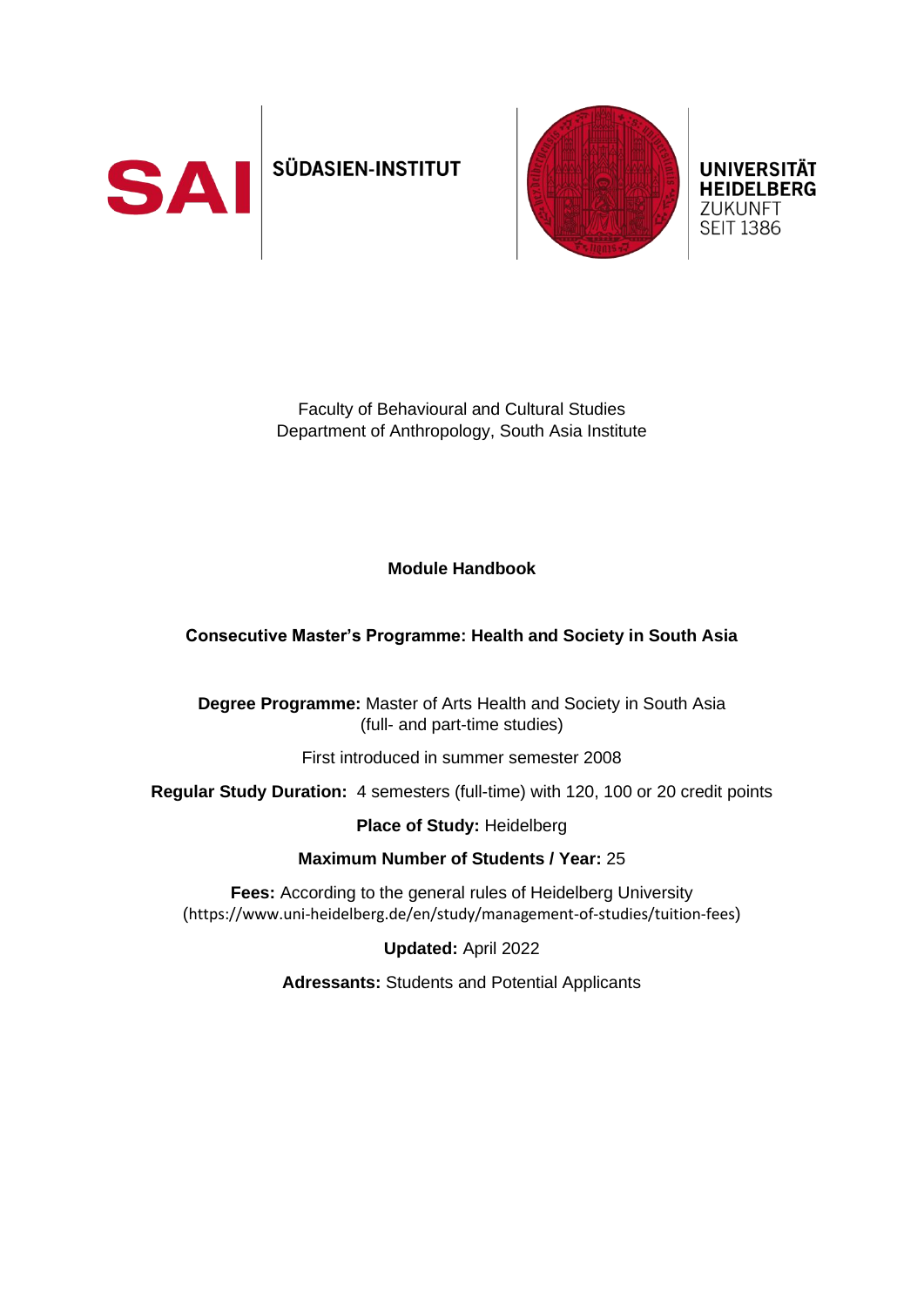

# SÜDASIEN-INSTITUT



**UNIVERSITÄT HEIDELBERG ZUKUNFT SEIT 1386** 

Faculty of Behavioural and Cultural Studies Department of Anthropology, South Asia Institute

# **Module Handbook**

#### **Consecutive Master's Programme: Health and Society in South Asia**

**Degree Programme:** Master of Arts Health and Society in South Asia (full- and part-time studies)

First introduced in summer semester 2008

**Regular Study Duration:** 4 semesters (full-time) with 120, 100 or 20 credit points

#### **Place of Study:** Heidelberg

#### **Maximum Number of Students / Year:** 25

**Fees:** According to the general rules of Heidelberg University (https://www.uni-heidelberg.de/en/study/management-of-studies/tuition-fees)

**Updated:** April 2022

**Adressants:** Students and Potential Applicants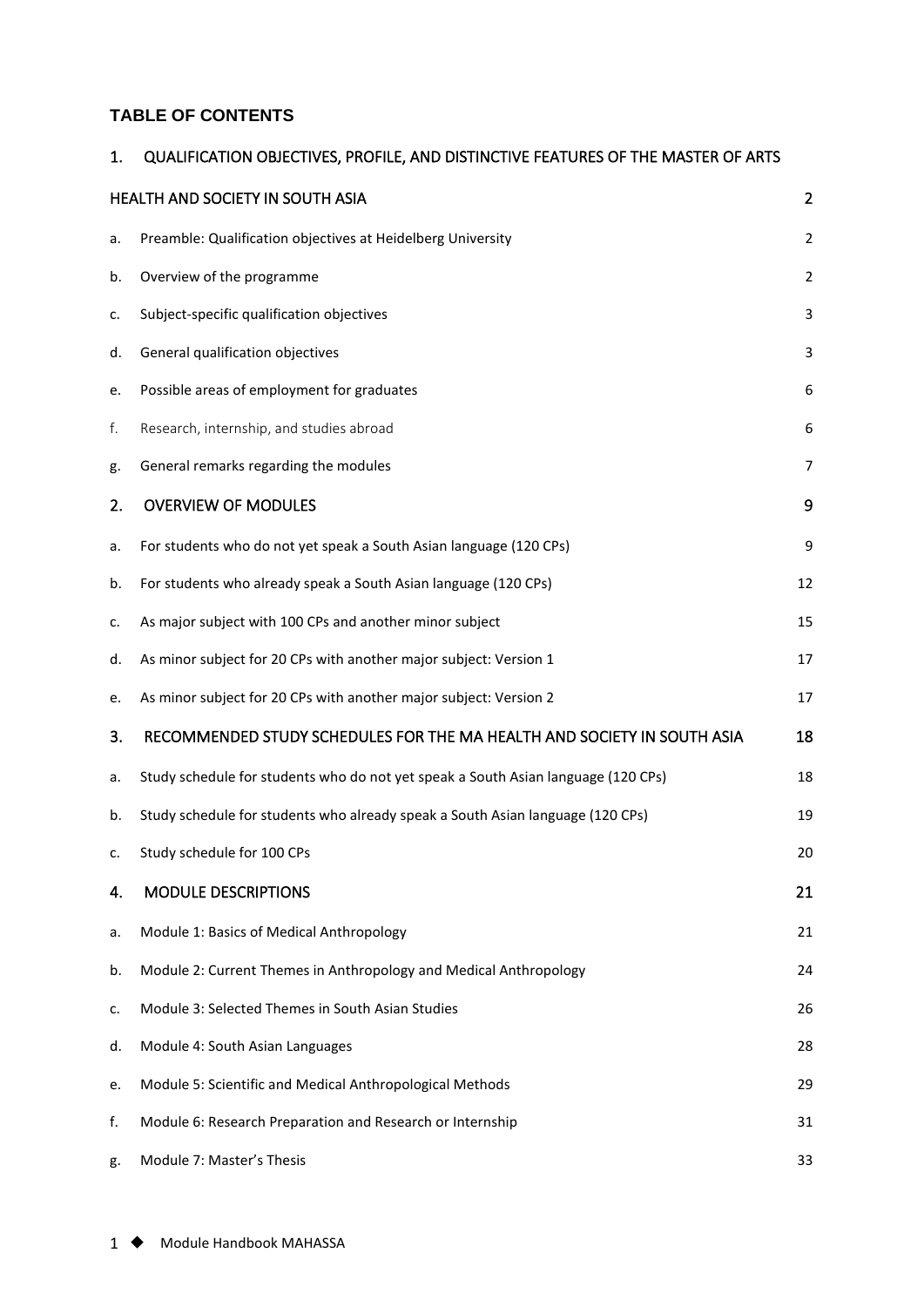#### **TABLE OF CONTENTS**

# 1. [QUALIFICATION OBJECTIVES, PROFILE, AND DISTINCTIVE FEATURES OF THE MASTER OF ARTS](#page-2-0)  [HEALTH AND SOCIETY IN SOUTH ASIA 2](#page-2-0) a. [Preamble: Qualification objectives at Heidelberg University](#page-2-1) 2 b. [Overview of the programme](#page-2-2) 2

| c. | Subject-specific qualification objectives                                         | 3              |
|----|-----------------------------------------------------------------------------------|----------------|
| d. | General qualification objectives                                                  | 3              |
| e. | Possible areas of employment for graduates                                        | 6              |
| f. | Research, internship, and studies abroad                                          | 6              |
| g. | General remarks regarding the modules                                             | $\overline{7}$ |
| 2. | <b>OVERVIEW OF MODULES</b>                                                        | 9              |
| a. | For students who do not yet speak a South Asian language (120 CPs)                | 9              |
| b. | For students who already speak a South Asian language (120 CPs)                   | 12             |
| c. | As major subject with 100 CPs and another minor subject                           | 15             |
| d. | As minor subject for 20 CPs with another major subject: Version 1                 | 17             |
| e. | As minor subject for 20 CPs with another major subject: Version 2                 | 17             |
| 3. | RECOMMENDED STUDY SCHEDULES FOR THE MA HEALTH AND SOCIETY IN SOUTH ASIA           | 18             |
| a. | Study schedule for students who do not yet speak a South Asian language (120 CPs) | 18             |
| b. | Study schedule for students who already speak a South Asian language (120 CPs)    | 19             |
| c. | Study schedule for 100 CPs                                                        | 20             |
| 4. | <b>MODULE DESCRIPTIONS</b>                                                        | 21             |
| a. | Module 1: Basics of Medical Anthropology                                          | 21             |
| b. | Module 2: Current Themes in Anthropology and Medical Anthropology                 | 24             |
| c. | Module 3: Selected Themes in South Asian Studies                                  | 26             |
| d. | Module 4: South Asian Languages                                                   | 28             |
| e. | Module 5: Scientific and Medical Anthropological Methods                          | 29             |
| f. | Module 6: Research Preparation and Research or Internship                         | 31             |
| g. | Module 7: Master's Thesis                                                         | 33             |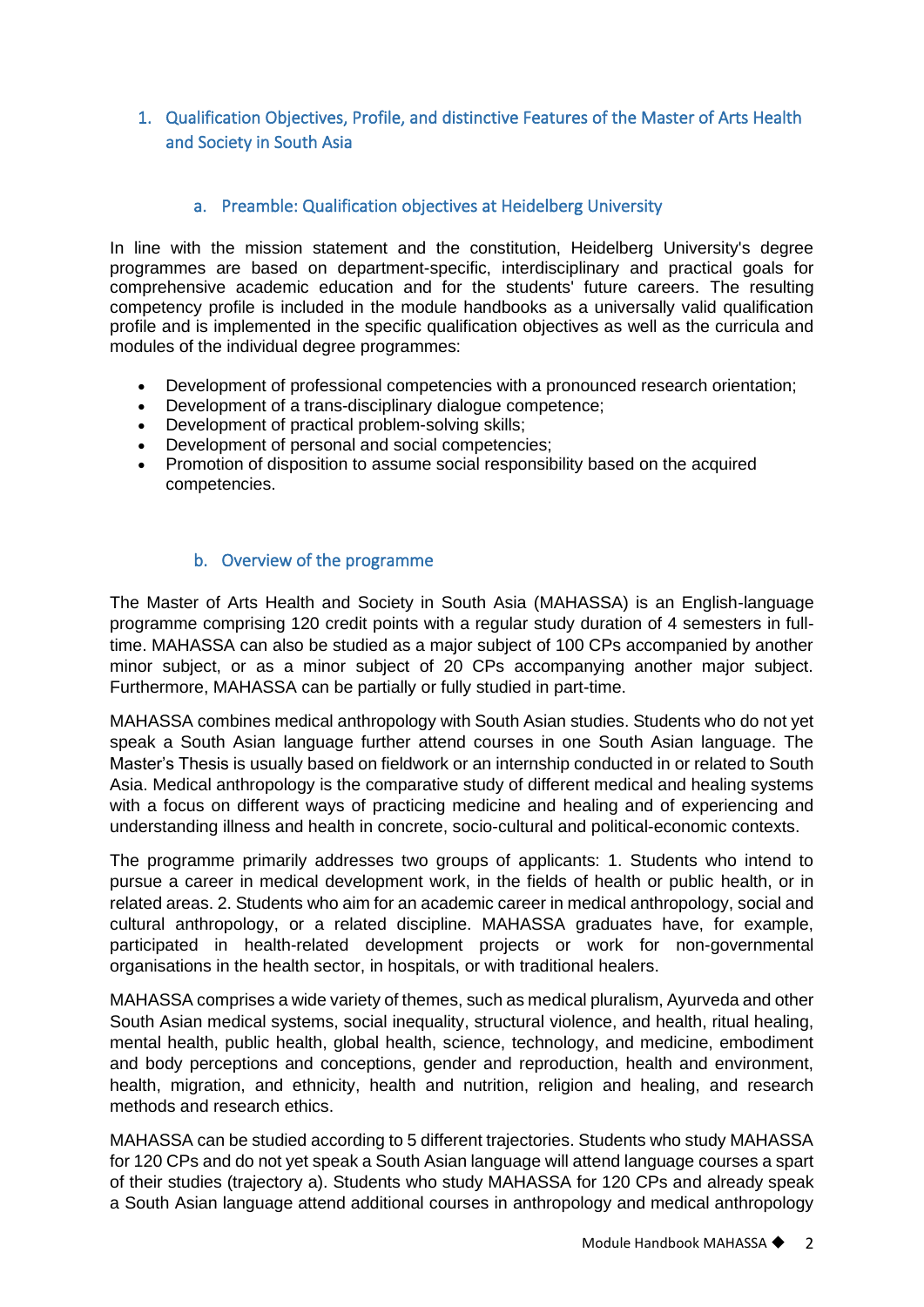#### <span id="page-2-0"></span>1. Qualification Objectives, Profile, and distinctive Features of the Master of Arts Health and Society in South Asia

#### a. Preamble: Qualification objectives at Heidelberg University

<span id="page-2-1"></span>In line with the mission statement and the constitution, Heidelberg University's degree programmes are based on department-specific, interdisciplinary and practical goals for comprehensive academic education and for the students' future careers. The resulting competency profile is included in the module handbooks as a universally valid qualification profile and is implemented in the specific qualification objectives as well as the curricula and modules of the individual degree programmes:

- Development of professional competencies with a pronounced research orientation;
- Development of a trans-disciplinary dialogue competence;
- Development of practical problem-solving skills;
- Development of personal and social competencies;
- Promotion of disposition to assume social responsibility based on the acquired competencies.

#### b. Overview of the programme

<span id="page-2-2"></span>The Master of Arts Health and Society in South Asia (MAHASSA) is an English-language programme comprising 120 credit points with a regular study duration of 4 semesters in fulltime. MAHASSA can also be studied as a major subject of 100 CPs accompanied by another minor subject, or as a minor subject of 20 CPs accompanying another major subject. Furthermore, MAHASSA can be partially or fully studied in part-time.

MAHASSA combines medical anthropology with South Asian studies. Students who do not yet speak a South Asian language further attend courses in one South Asian language. The Master's Thesis is usually based on fieldwork or an internship conducted in or related to South Asia. Medical anthropology is the comparative study of different medical and healing systems with a focus on different ways of practicing medicine and healing and of experiencing and understanding illness and health in concrete, socio-cultural and political-economic contexts.

The programme primarily addresses two groups of applicants: 1. Students who intend to pursue a career in medical development work, in the fields of health or public health, or in related areas. 2. Students who aim for an academic career in medical anthropology, social and cultural anthropology, or a related discipline. MAHASSA graduates have, for example, participated in health-related development projects or work for non-governmental organisations in the health sector, in hospitals, or with traditional healers.

MAHASSA comprises a wide variety of themes, such as medical pluralism, Ayurveda and other South Asian medical systems, social inequality, structural violence, and health, ritual healing, mental health, public health, global health, science, technology, and medicine, embodiment and body perceptions and conceptions, gender and reproduction, health and environment, health, migration, and ethnicity, health and nutrition, religion and healing, and research methods and research ethics.

MAHASSA can be studied according to 5 different trajectories. Students who study MAHASSA for 120 CPs and do not yet speak a South Asian language will attend language courses a spart of their studies (trajectory a). Students who study MAHASSA for 120 CPs and already speak a South Asian language attend additional courses in anthropology and medical anthropology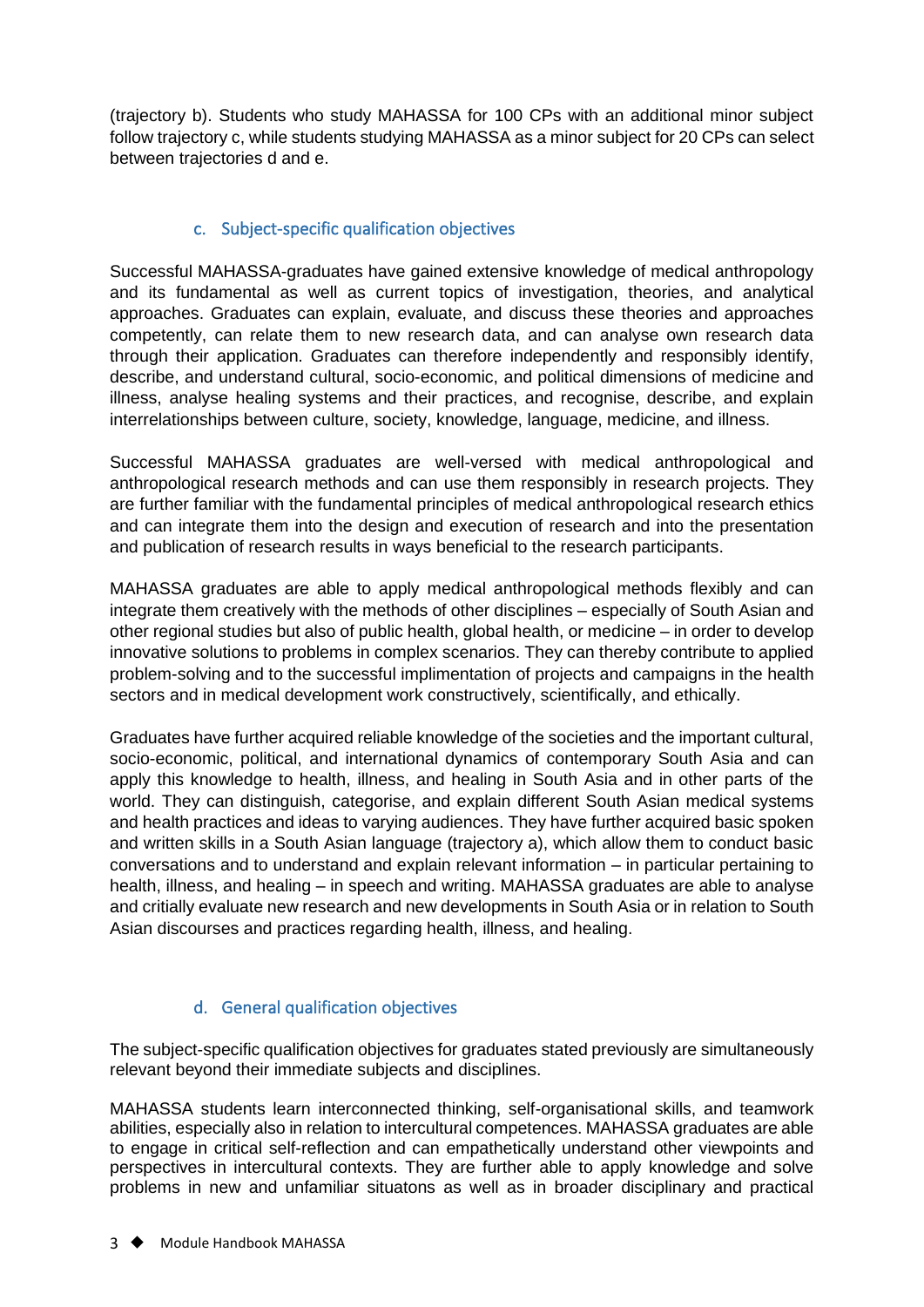(trajectory b). Students who study MAHASSA for 100 CPs with an additional minor subject follow trajectory c, while students studying MAHASSA as a minor subject for 20 CPs can select between trajectories d and e.

#### c. Subject-specific qualification objectives

<span id="page-3-0"></span>Successful MAHASSA-graduates have gained extensive knowledge of medical anthropology and its fundamental as well as current topics of investigation, theories, and analytical approaches. Graduates can explain, evaluate, and discuss these theories and approaches competently, can relate them to new research data, and can analyse own research data through their application. Graduates can therefore independently and responsibly identify, describe, and understand cultural, socio-economic, and political dimensions of medicine and illness, analyse healing systems and their practices, and recognise, describe, and explain interrelationships between culture, society, knowledge, language, medicine, and illness.

Successful MAHASSA graduates are well-versed with medical anthropological and anthropological research methods and can use them responsibly in research projects. They are further familiar with the fundamental principles of medical anthropological research ethics and can integrate them into the design and execution of research and into the presentation and publication of research results in ways beneficial to the research participants.

MAHASSA graduates are able to apply medical anthropological methods flexibly and can integrate them creatively with the methods of other disciplines – especially of South Asian and other regional studies but also of public health, global health, or medicine – in order to develop innovative solutions to problems in complex scenarios. They can thereby contribute to applied problem-solving and to the successful implimentation of projects and campaigns in the health sectors and in medical development work constructively, scientifically, and ethically.

Graduates have further acquired reliable knowledge of the societies and the important cultural, socio-economic, political, and international dynamics of contemporary South Asia and can apply this knowledge to health, illness, and healing in South Asia and in other parts of the world. They can distinguish, categorise, and explain different South Asian medical systems and health practices and ideas to varying audiences. They have further acquired basic spoken and written skills in a South Asian language (trajectory a), which allow them to conduct basic conversations and to understand and explain relevant information – in particular pertaining to health, illness, and healing – in speech and writing. MAHASSA graduates are able to analyse and critially evaluate new research and new developments in South Asia or in relation to South Asian discourses and practices regarding health, illness, and healing.

#### d. General qualification objectives

<span id="page-3-1"></span>The subject-specific qualification objectives for graduates stated previously are simultaneously relevant beyond their immediate subjects and disciplines.

MAHASSA students learn interconnected thinking, self-organisational skills, and teamwork abilities, especially also in relation to intercultural competences. MAHASSA graduates are able to engage in critical self-reflection and can empathetically understand other viewpoints and perspectives in intercultural contexts. They are further able to apply knowledge and solve problems in new and unfamiliar situatons as well as in broader disciplinary and practical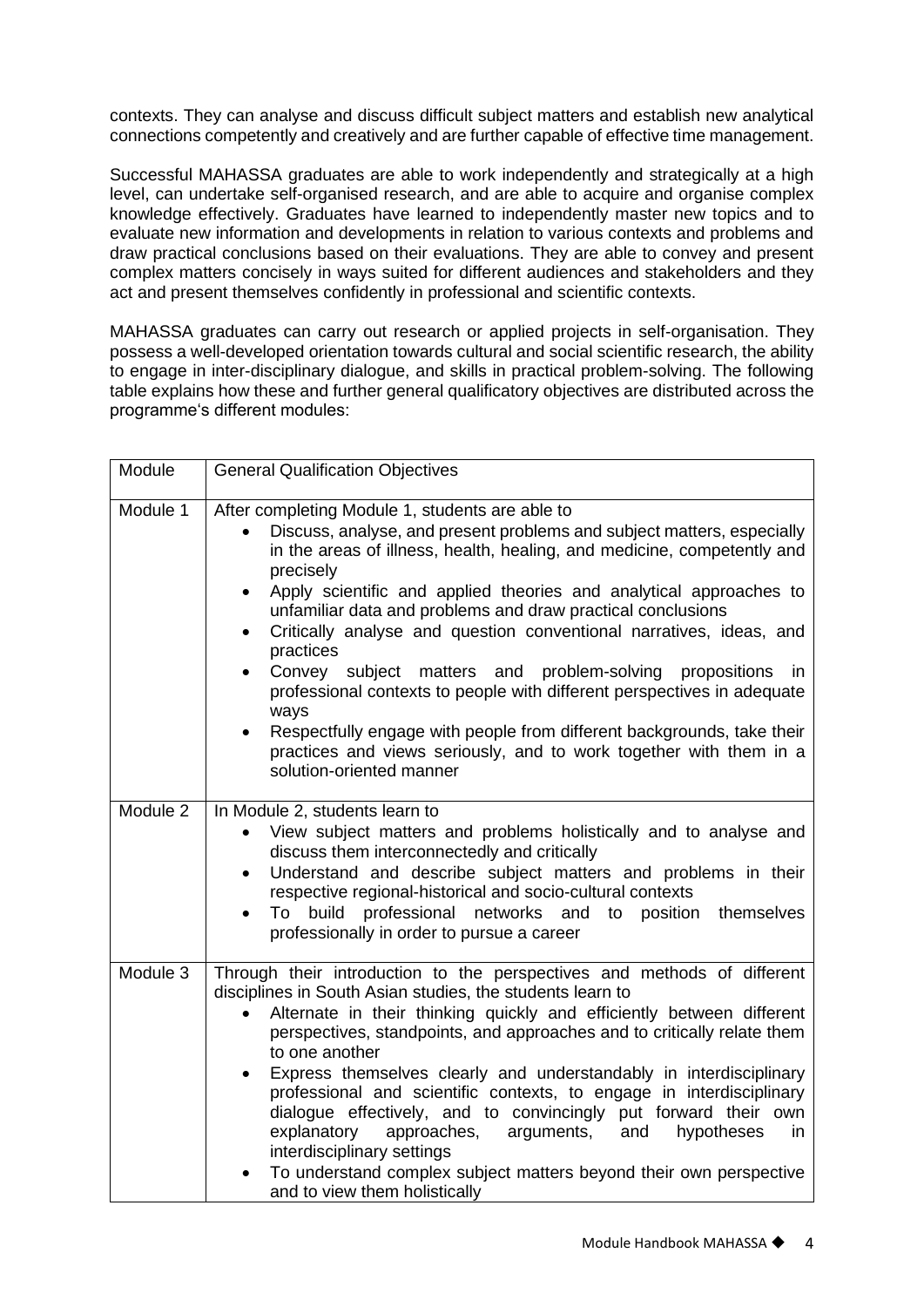contexts. They can analyse and discuss difficult subject matters and establish new analytical connections competently and creatively and are further capable of effective time management.

Successful MAHASSA graduates are able to work independently and strategically at a high level, can undertake self-organised research, and are able to acquire and organise complex knowledge effectively. Graduates have learned to independently master new topics and to evaluate new information and developments in relation to various contexts and problems and draw practical conclusions based on their evaluations. They are able to convey and present complex matters concisely in ways suited for different audiences and stakeholders and they act and present themselves confidently in professional and scientific contexts.

MAHASSA graduates can carry out research or applied projects in self-organisation. They possess a well-developed orientation towards cultural and social scientific research, the ability to engage in inter-disciplinary dialogue, and skills in practical problem-solving. The following table explains how these and further general qualificatory objectives are distributed across the programme's different modules:

| Module   | <b>General Qualification Objectives</b>                                                                                                                                                                                                                                                                                                                                                                                                                                                                                                                                                                                                                                                                                                                                                                                            |
|----------|------------------------------------------------------------------------------------------------------------------------------------------------------------------------------------------------------------------------------------------------------------------------------------------------------------------------------------------------------------------------------------------------------------------------------------------------------------------------------------------------------------------------------------------------------------------------------------------------------------------------------------------------------------------------------------------------------------------------------------------------------------------------------------------------------------------------------------|
| Module 1 | After completing Module 1, students are able to<br>Discuss, analyse, and present problems and subject matters, especially<br>in the areas of illness, health, healing, and medicine, competently and<br>precisely<br>Apply scientific and applied theories and analytical approaches to<br>$\bullet$<br>unfamiliar data and problems and draw practical conclusions<br>Critically analyse and question conventional narratives, ideas, and<br>$\bullet$<br>practices<br>Convey subject matters and problem-solving<br>propositions<br>in.<br>$\bullet$<br>professional contexts to people with different perspectives in adequate<br>ways<br>Respectfully engage with people from different backgrounds, take their<br>$\bullet$<br>practices and views seriously, and to work together with them in a<br>solution-oriented manner |
| Module 2 | In Module 2, students learn to<br>View subject matters and problems holistically and to analyse and<br>discuss them interconnectedly and critically<br>Understand and describe subject matters and problems in their<br>respective regional-historical and socio-cultural contexts<br>build professional<br>To<br>networks and to position themselves<br>$\bullet$<br>professionally in order to pursue a career                                                                                                                                                                                                                                                                                                                                                                                                                   |
| Module 3 | Through their introduction to the perspectives and methods of different<br>disciplines in South Asian studies, the students learn to<br>Alternate in their thinking quickly and efficiently between different<br>$\bullet$<br>perspectives, standpoints, and approaches and to critically relate them<br>to one another<br>Express themselves clearly and understandably in interdisciplinary<br>$\bullet$<br>professional and scientific contexts, to engage in interdisciplinary<br>dialogue effectively, and to convincingly put forward their own<br>explanatory<br>approaches,<br>arguments, and<br>hypotheses<br>in<br>interdisciplinary settings<br>To understand complex subject matters beyond their own perspective<br>and to view them holistically                                                                     |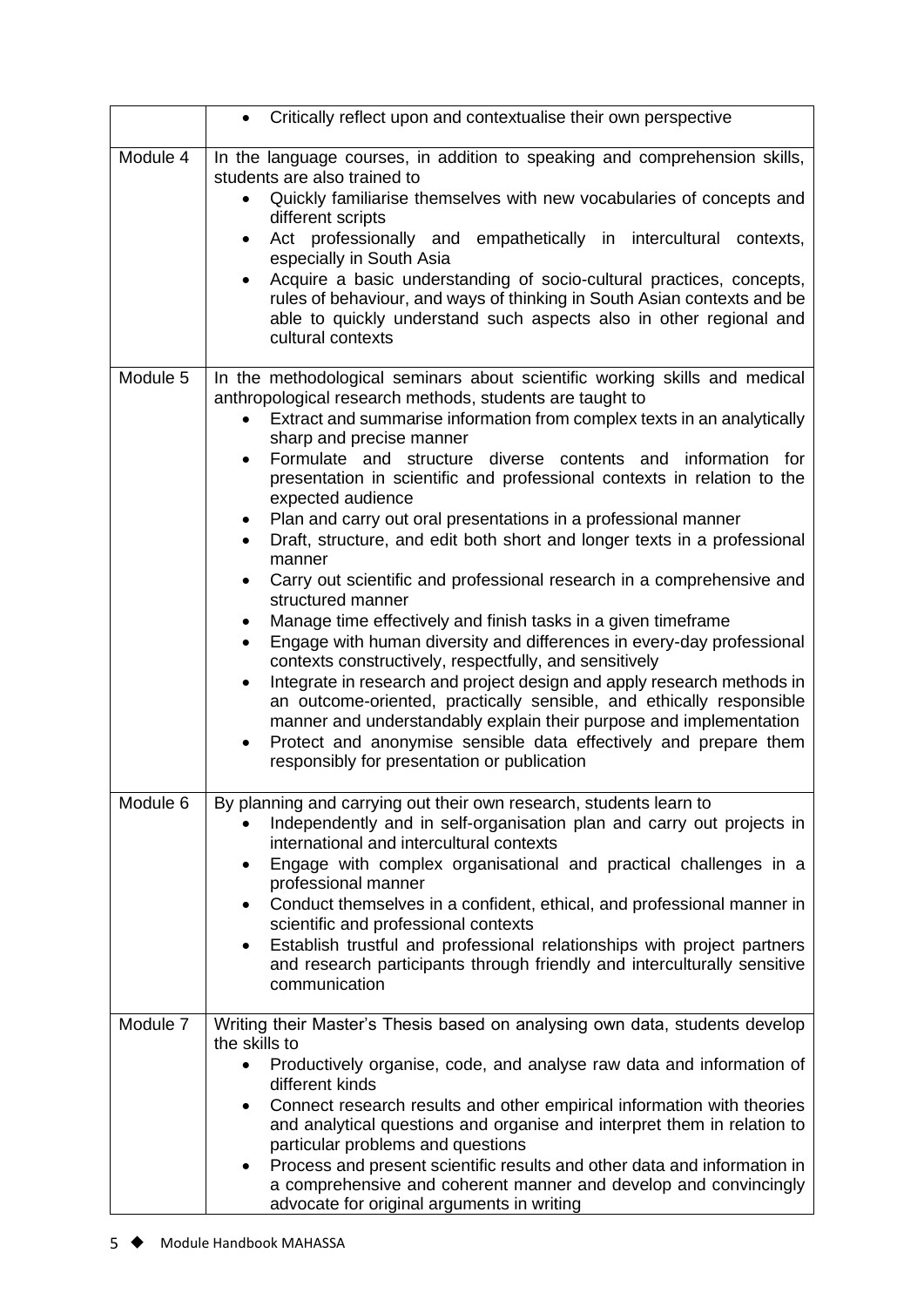|          | Critically reflect upon and contextualise their own perspective                                                                                                                                                                                                                                                                                                                                                                                                                                                                                                                                                                                                                                                                                                                                                                                                                                                                                                                                                                                                                                                                                                                                                                                                       |
|----------|-----------------------------------------------------------------------------------------------------------------------------------------------------------------------------------------------------------------------------------------------------------------------------------------------------------------------------------------------------------------------------------------------------------------------------------------------------------------------------------------------------------------------------------------------------------------------------------------------------------------------------------------------------------------------------------------------------------------------------------------------------------------------------------------------------------------------------------------------------------------------------------------------------------------------------------------------------------------------------------------------------------------------------------------------------------------------------------------------------------------------------------------------------------------------------------------------------------------------------------------------------------------------|
| Module 4 | In the language courses, in addition to speaking and comprehension skills,<br>students are also trained to<br>Quickly familiarise themselves with new vocabularies of concepts and<br>$\bullet$<br>different scripts<br>Act professionally and empathetically in intercultural contexts,<br>$\bullet$<br>especially in South Asia<br>Acquire a basic understanding of socio-cultural practices, concepts,<br>rules of behaviour, and ways of thinking in South Asian contexts and be<br>able to quickly understand such aspects also in other regional and<br>cultural contexts                                                                                                                                                                                                                                                                                                                                                                                                                                                                                                                                                                                                                                                                                       |
| Module 5 | In the methodological seminars about scientific working skills and medical<br>anthropological research methods, students are taught to<br>Extract and summarise information from complex texts in an analytically<br>sharp and precise manner<br>Formulate and structure<br>diverse<br>contents and<br>information<br>for<br>$\bullet$<br>presentation in scientific and professional contexts in relation to the<br>expected audience<br>Plan and carry out oral presentations in a professional manner<br>Draft, structure, and edit both short and longer texts in a professional<br>manner<br>Carry out scientific and professional research in a comprehensive and<br>structured manner<br>Manage time effectively and finish tasks in a given timeframe<br>Engage with human diversity and differences in every-day professional<br>$\bullet$<br>contexts constructively, respectfully, and sensitively<br>Integrate in research and project design and apply research methods in<br>$\bullet$<br>an outcome-oriented, practically sensible, and ethically responsible<br>manner and understandably explain their purpose and implementation<br>Protect and anonymise sensible data effectively and prepare them<br>responsibly for presentation or publication |
| Module 6 | By planning and carrying out their own research, students learn to<br>Independently and in self-organisation plan and carry out projects in<br>international and intercultural contexts<br>Engage with complex organisational and practical challenges in a<br>٠<br>professional manner<br>Conduct themselves in a confident, ethical, and professional manner in<br>$\bullet$<br>scientific and professional contexts<br>Establish trustful and professional relationships with project partners<br>and research participants through friendly and interculturally sensitive<br>communication                                                                                                                                                                                                                                                                                                                                                                                                                                                                                                                                                                                                                                                                        |
| Module 7 | Writing their Master's Thesis based on analysing own data, students develop<br>the skills to<br>Productively organise, code, and analyse raw data and information of<br>$\bullet$<br>different kinds<br>Connect research results and other empirical information with theories<br>$\bullet$<br>and analytical questions and organise and interpret them in relation to<br>particular problems and questions<br>Process and present scientific results and other data and information in<br>a comprehensive and coherent manner and develop and convincingly<br>advocate for original arguments in writing                                                                                                                                                                                                                                                                                                                                                                                                                                                                                                                                                                                                                                                             |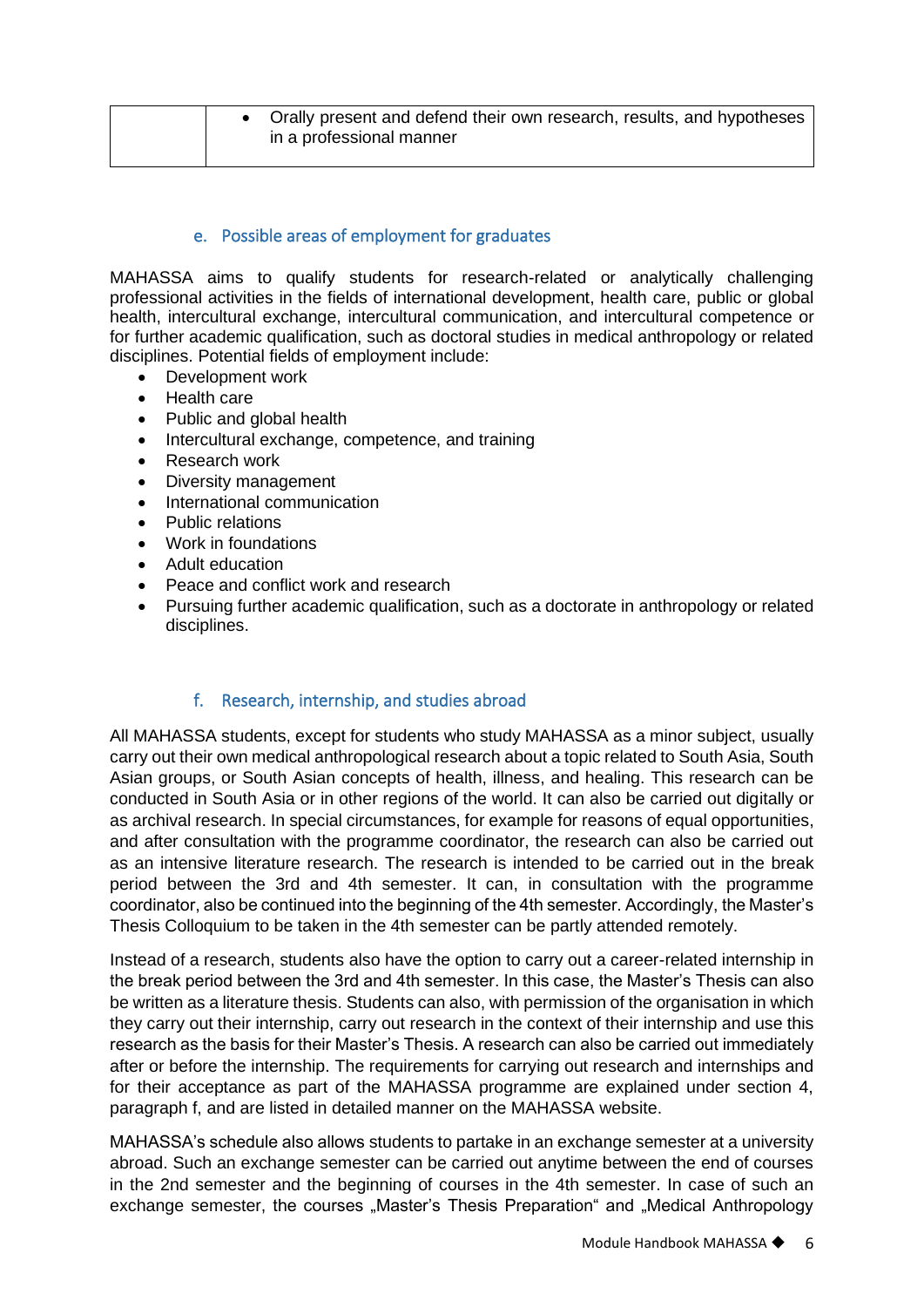#### e. Possible areas of employment for graduates

<span id="page-6-0"></span>MAHASSA aims to qualify students for research-related or analytically challenging professional activities in the fields of international development, health care, public or global health, intercultural exchange, intercultural communication, and intercultural competence or for further academic qualification, such as doctoral studies in medical anthropology or related disciplines. Potential fields of employment include:

- Development work
- Health care
- Public and global health
- Intercultural exchange, competence, and training
- Research work
- Diversity management
- International communication
- Public relations
- Work in foundations
- Adult education
- Peace and conflict work and research
- Pursuing further academic qualification, such as a doctorate in anthropology or related disciplines.

#### f. Research, internship, and studies abroad

<span id="page-6-1"></span>All MAHASSA students, except for students who study MAHASSA as a minor subject, usually carry out their own medical anthropological research about a topic related to South Asia, South Asian groups, or South Asian concepts of health, illness, and healing. This research can be conducted in South Asia or in other regions of the world. It can also be carried out digitally or as archival research. In special circumstances, for example for reasons of equal opportunities, and after consultation with the programme coordinator, the research can also be carried out as an intensive literature research. The research is intended to be carried out in the break period between the 3rd and 4th semester. It can, in consultation with the programme coordinator, also be continued into the beginning of the 4th semester. Accordingly, the Master's Thesis Colloquium to be taken in the 4th semester can be partly attended remotely.

Instead of a research, students also have the option to carry out a career-related internship in the break period between the 3rd and 4th semester. In this case, the Master's Thesis can also be written as a literature thesis. Students can also, with permission of the organisation in which they carry out their internship, carry out research in the context of their internship and use this research as the basis for their Master's Thesis. A research can also be carried out immediately after or before the internship. The requirements for carrying out research and internships and for their acceptance as part of the MAHASSA programme are explained under section 4, paragraph f, and are listed in detailed manner on the MAHASSA website.

MAHASSA's schedule also allows students to partake in an exchange semester at a university abroad. Such an exchange semester can be carried out anytime between the end of courses in the 2nd semester and the beginning of courses in the 4th semester. In case of such an exchange semester, the courses "Master's Thesis Preparation" and "Medical Anthropology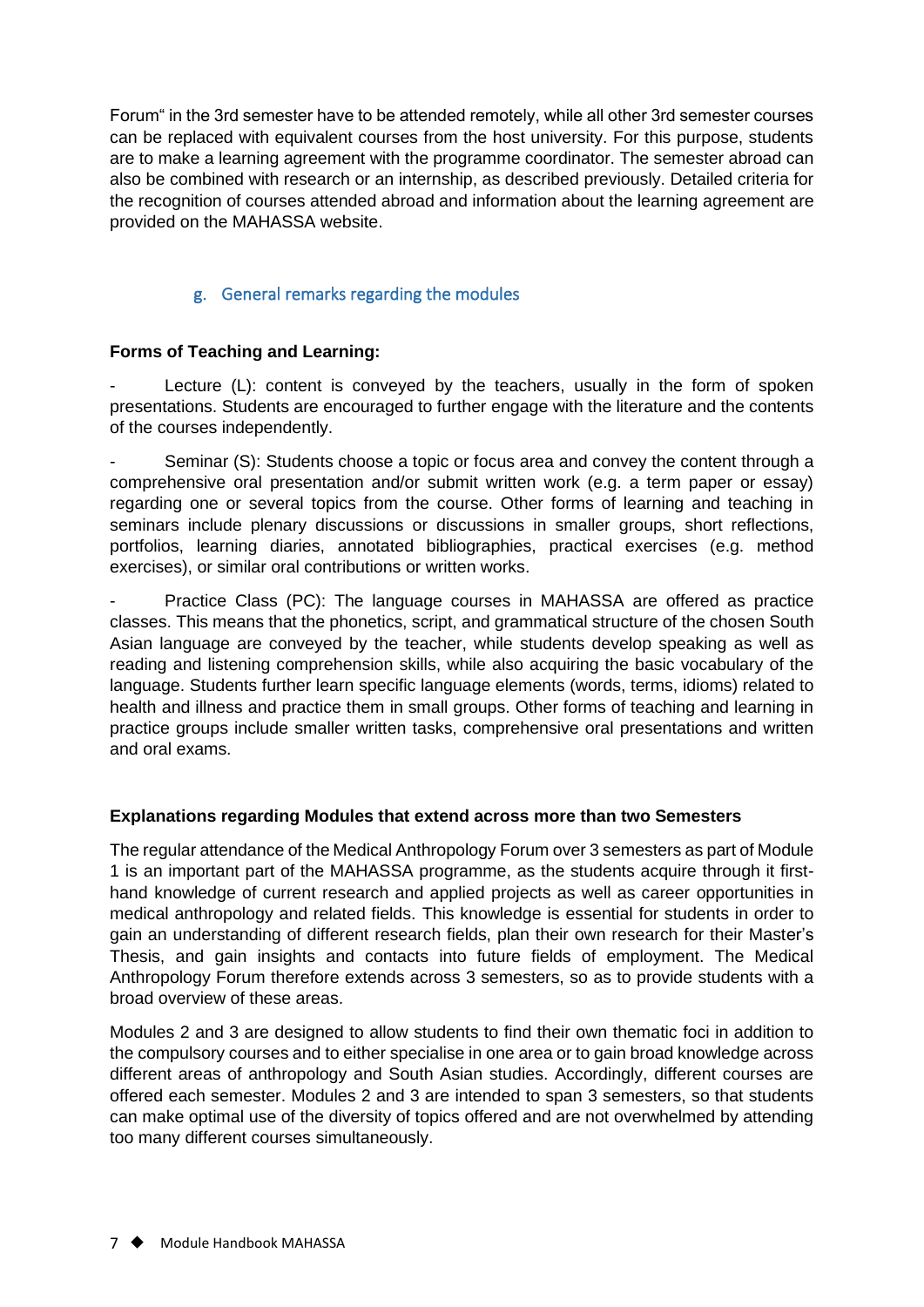Forum" in the 3rd semester have to be attended remotely, while all other 3rd semester courses can be replaced with equivalent courses from the host university. For this purpose, students are to make a learning agreement with the programme coordinator. The semester abroad can also be combined with research or an internship, as described previously. Detailed criteria for the recognition of courses attended abroad and information about the learning agreement are provided on the MAHASSA website.

#### g. General remarks regarding the modules

#### <span id="page-7-0"></span>**Forms of Teaching and Learning:**

Lecture (L): content is conveyed by the teachers, usually in the form of spoken presentations. Students are encouraged to further engage with the literature and the contents of the courses independently.

Seminar (S): Students choose a topic or focus area and convey the content through a comprehensive oral presentation and/or submit written work (e.g. a term paper or essay) regarding one or several topics from the course. Other forms of learning and teaching in seminars include plenary discussions or discussions in smaller groups, short reflections, portfolios, learning diaries, annotated bibliographies, practical exercises (e.g. method exercises), or similar oral contributions or written works.

Practice Class (PC): The language courses in MAHASSA are offered as practice classes. This means that the phonetics, script, and grammatical structure of the chosen South Asian language are conveyed by the teacher, while students develop speaking as well as reading and listening comprehension skills, while also acquiring the basic vocabulary of the language. Students further learn specific language elements (words, terms, idioms) related to health and illness and practice them in small groups. Other forms of teaching and learning in practice groups include smaller written tasks, comprehensive oral presentations and written and oral exams.

#### **Explanations regarding Modules that extend across more than two Semesters**

The regular attendance of the Medical Anthropology Forum over 3 semesters as part of Module 1 is an important part of the MAHASSA programme, as the students acquire through it firsthand knowledge of current research and applied projects as well as career opportunities in medical anthropology and related fields. This knowledge is essential for students in order to gain an understanding of different research fields, plan their own research for their Master's Thesis, and gain insights and contacts into future fields of employment. The Medical Anthropology Forum therefore extends across 3 semesters, so as to provide students with a broad overview of these areas.

Modules 2 and 3 are designed to allow students to find their own thematic foci in addition to the compulsory courses and to either specialise in one area or to gain broad knowledge across different areas of anthropology and South Asian studies. Accordingly, different courses are offered each semester. Modules 2 and 3 are intended to span 3 semesters, so that students can make optimal use of the diversity of topics offered and are not overwhelmed by attending too many different courses simultaneously.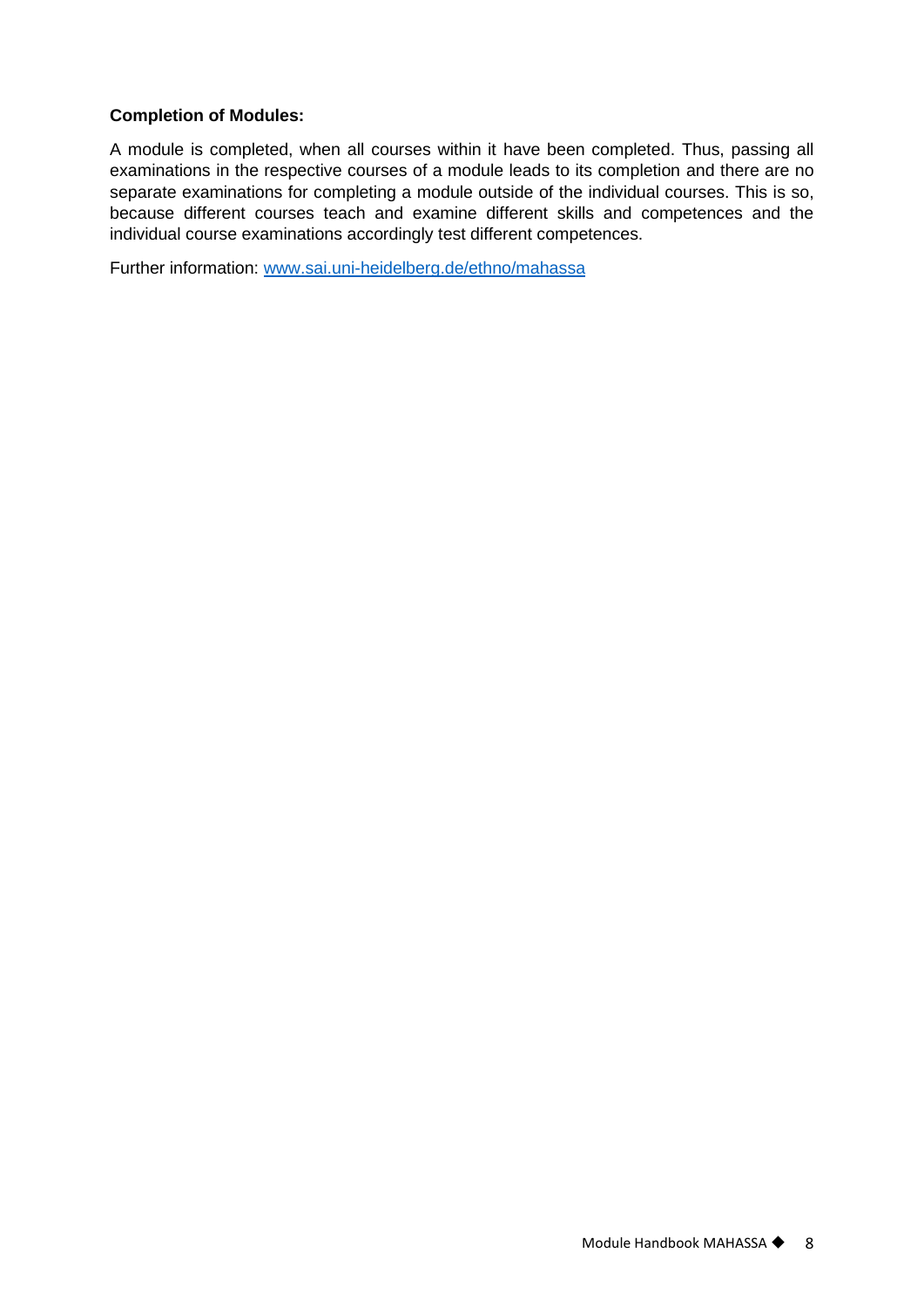#### **Completion of Modules:**

A module is completed, when all courses within it have been completed. Thus, passing all examinations in the respective courses of a module leads to its completion and there are no separate examinations for completing a module outside of the individual courses. This is so, because different courses teach and examine different skills and competences and the individual course examinations accordingly test different competences.

Further information: [www.sai.uni-heidelberg.de/ethno/mahassa](http://www.sai.uni-heidelberg.de/ethno/mahassa)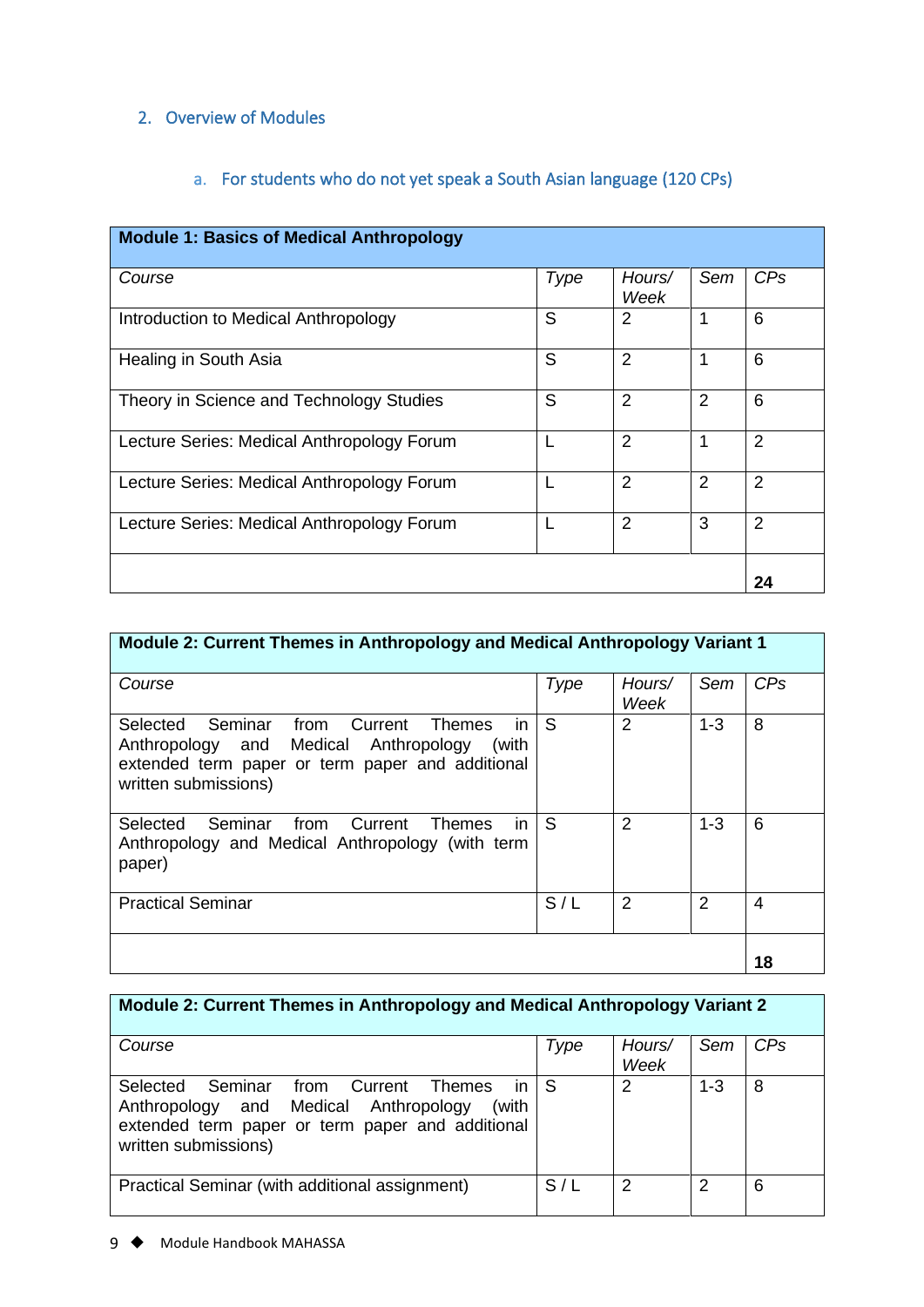# <span id="page-9-0"></span>2. Overview of Modules

# a. For students who do not yet speak a South Asian language (120 CPs)

<span id="page-9-1"></span>

| <b>Module 1: Basics of Medical Anthropology</b> |      |                |                |                 |
|-------------------------------------------------|------|----------------|----------------|-----------------|
| Course                                          | Type | Hours/<br>Week | Sem            | CP <sub>S</sub> |
| Introduction to Medical Anthropology            | S    | $\overline{2}$ | 1              | 6               |
| Healing in South Asia                           | S    | $\overline{2}$ |                | 6               |
| Theory in Science and Technology Studies        | S    | 2              | 2              | 6               |
| Lecture Series: Medical Anthropology Forum      |      | $\overline{2}$ | 1              | $\overline{2}$  |
| Lecture Series: Medical Anthropology Forum      |      | $\overline{2}$ | $\overline{2}$ | $\overline{2}$  |
| Lecture Series: Medical Anthropology Forum      |      | $\overline{2}$ | 3              | $\overline{2}$  |
|                                                 |      |                |                | 24              |

| Module 2: Current Themes in Anthropology and Medical Anthropology Variant 1                                                                                                  |      |                |               |                 |
|------------------------------------------------------------------------------------------------------------------------------------------------------------------------------|------|----------------|---------------|-----------------|
| Course                                                                                                                                                                       | Type | Hours/<br>Week | Sem           | CP <sub>s</sub> |
| Selected Seminar from Current<br>Themes<br>in.<br>Anthropology and Medical Anthropology<br>(with<br>extended term paper or term paper and additional<br>written submissions) | S    | 2              | $1 - 3$       | 8               |
| Seminar from Current<br>in<br>Selected<br>Themes<br>Anthropology and Medical Anthropology (with term<br>paper)                                                               | S    | $\overline{2}$ | $1 - 3$       | 6               |
| <b>Practical Seminar</b>                                                                                                                                                     | S/L  | $\mathcal{P}$  | $\mathcal{P}$ | 4               |
|                                                                                                                                                                              |      |                |               | 18              |

# **Module 2: Current Themes in Anthropology and Medical Anthropology Variant 2**

| Course                                                                                                                                                                    | Type | Hours/<br>Week | Sem     | CP <sub>S</sub> |
|---------------------------------------------------------------------------------------------------------------------------------------------------------------------------|------|----------------|---------|-----------------|
| Selected Seminar from Current Themes<br>in.<br>Anthropology and Medical Anthropology<br>(with<br>extended term paper or term paper and additional<br>written submissions) | l S  | 2              | $1 - 3$ | 8               |
| Practical Seminar (with additional assignment)                                                                                                                            | S/L  | っ              | 2       | 6               |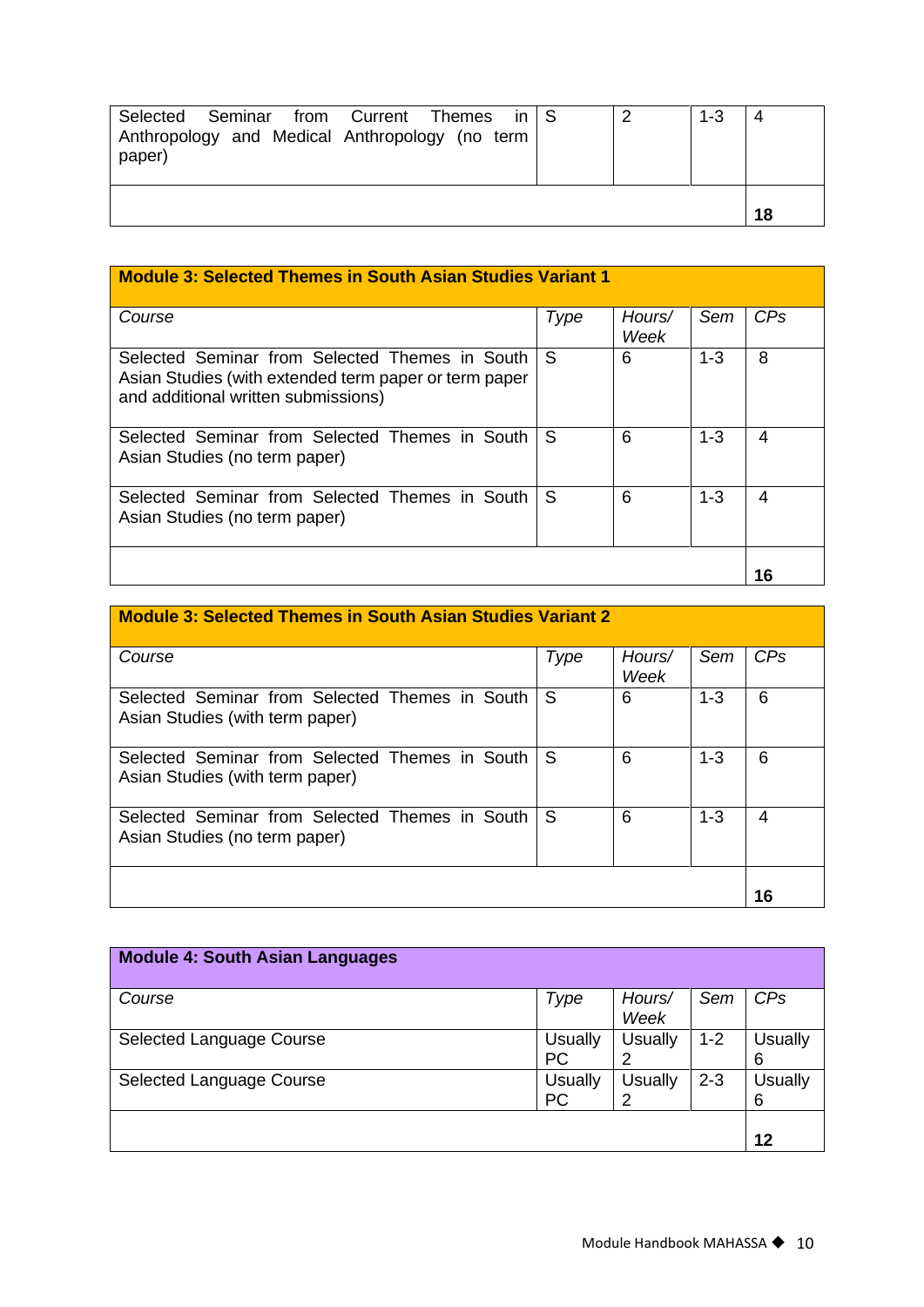| Selected Seminar from Current Themes in S<br>Anthropology and Medical Anthropology (no term<br>paper) |  | $1 - 3$ |    |
|-------------------------------------------------------------------------------------------------------|--|---------|----|
|                                                                                                       |  |         | 18 |

| <b>Module 3: Selected Themes in South Asian Studies Variant 1</b>                                                                              |              |                |         |     |
|------------------------------------------------------------------------------------------------------------------------------------------------|--------------|----------------|---------|-----|
| Course                                                                                                                                         | Type         | Hours/<br>Week | Sem     | CPs |
| Selected Seminar from Selected Themes in South<br>Asian Studies (with extended term paper or term paper<br>and additional written submissions) | <sub>S</sub> | 6              | $1 - 3$ | 8   |
| Selected Seminar from Selected Themes in South<br>Asian Studies (no term paper)                                                                | <sub>S</sub> | 6              | $1 - 3$ | 4   |
| Selected Seminar from Selected Themes in South<br>Asian Studies (no term paper)                                                                | <sub>S</sub> | 6              | $1 - 3$ | 4   |
|                                                                                                                                                |              |                |         | 16  |

| <b>Module 3: Selected Themes in South Asian Studies Variant 2</b>                 |      |                |         |     |
|-----------------------------------------------------------------------------------|------|----------------|---------|-----|
| Course                                                                            | Type | Hours/<br>Week | Sem     | CPs |
| Selected Seminar from Selected Themes in South<br>Asian Studies (with term paper) | S    | 6              | $1 - 3$ | 6   |
| Selected Seminar from Selected Themes in South<br>Asian Studies (with term paper) | S    | 6              | $1 - 3$ | 6   |
| Selected Seminar from Selected Themes in South<br>Asian Studies (no term paper)   | S    | 6              | $1 - 3$ | 4   |
|                                                                                   |      |                |         |     |

| <b>Module 4: South Asian Languages</b> |                      |                     |         |                     |
|----------------------------------------|----------------------|---------------------|---------|---------------------|
| Course                                 | Type                 | Hours/<br>Week      | Sem     | CP <sub>S</sub>     |
| Selected Language Course               | Usually<br><b>PC</b> | <b>Usually</b><br>2 | $1 - 2$ | <b>Usually</b><br>6 |
| Selected Language Course               | Usually<br><b>PC</b> | <b>Usually</b><br>2 | $2 - 3$ | <b>Usually</b><br>6 |
|                                        |                      |                     |         | 12                  |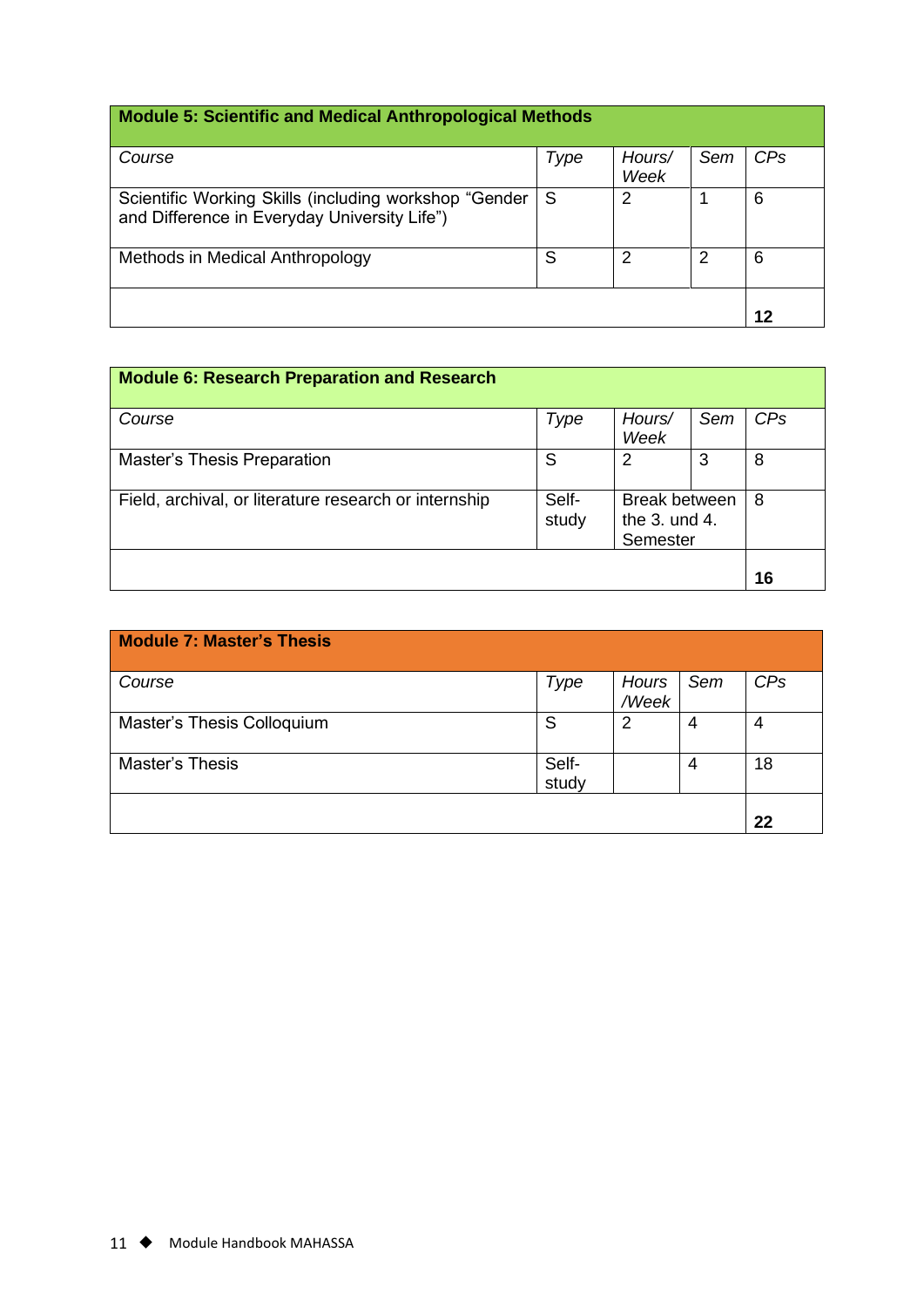# **Module 5: Scientific and Medical Anthropological Methods**

| Course                                                                                                | Type | Hours/ | Sem | CPs |
|-------------------------------------------------------------------------------------------------------|------|--------|-----|-----|
|                                                                                                       |      | Week   |     |     |
| Scientific Working Skills (including workshop "Gender<br>and Difference in Everyday University Life") | - S  | 2      |     | 6   |
| Methods in Medical Anthropology                                                                       | S    | 2      | 2   | 6   |
|                                                                                                       |      |        |     | 12  |
|                                                                                                       |      |        |     |     |

| <b>Module 6: Research Preparation and Research</b>    |                |                                                       |     |     |
|-------------------------------------------------------|----------------|-------------------------------------------------------|-----|-----|
| Course                                                | Type           | Hours/<br>Week                                        | Sem | CPs |
| Master's Thesis Preparation                           | S              | 2                                                     | 3   | 8   |
| Field, archival, or literature research or internship | Self-<br>study | <b>Break between</b><br>the $3.$ und $4.$<br>Semester |     | 8   |
|                                                       |                |                                                       |     | 16  |

| <b>Module 7: Master's Thesis</b> |                |                |     |                 |
|----------------------------------|----------------|----------------|-----|-----------------|
| Course                           | Type           | Hours<br>/Week | Sem | CP <sub>S</sub> |
| Master's Thesis Colloquium       | S              | 2              | 4   | 4               |
| Master's Thesis                  | Self-<br>study |                | 4   | 18              |
|                                  |                |                |     | 22              |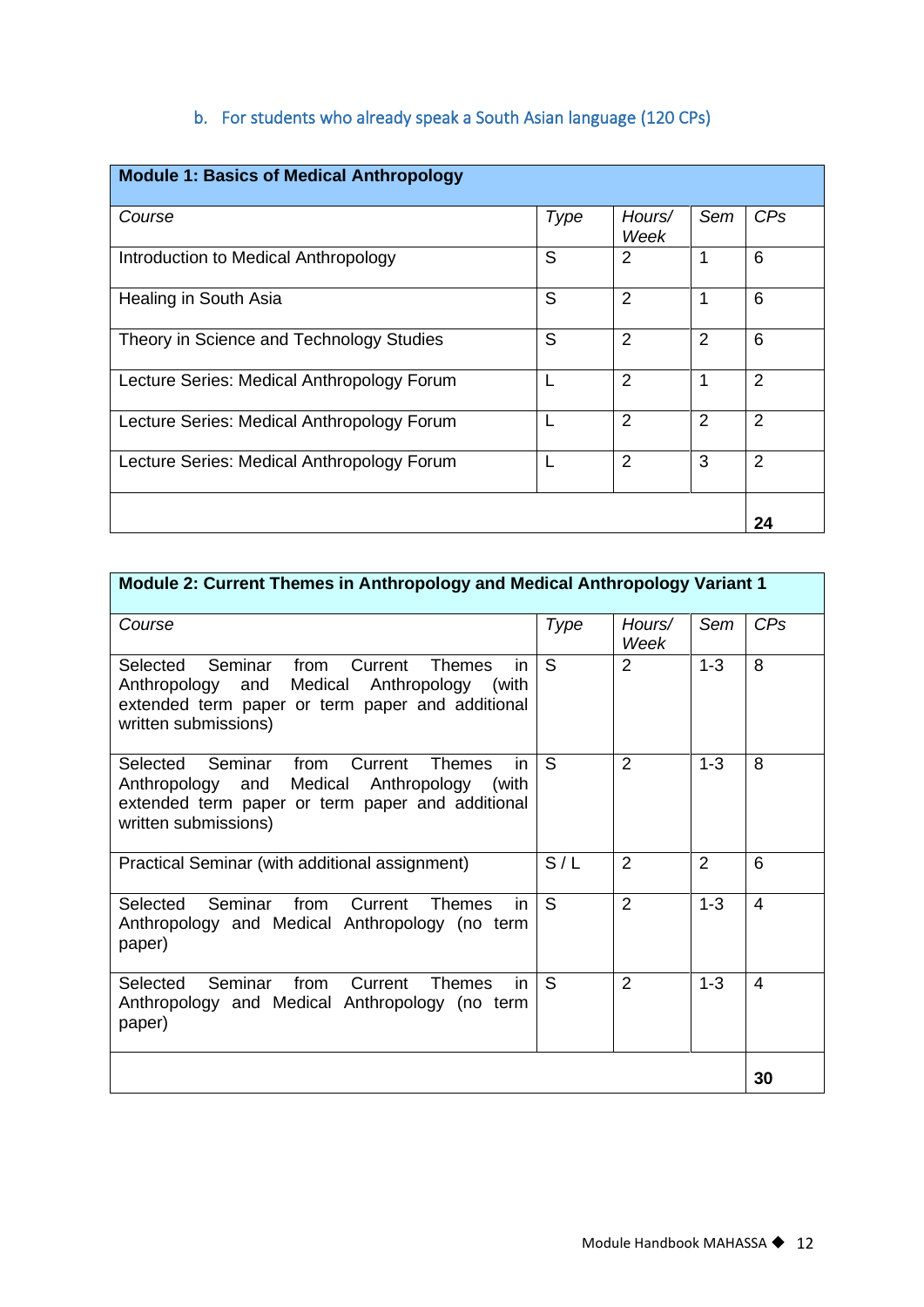# b. For students who already speak a South Asian language (120 CPs)

<span id="page-12-0"></span>

| <b>Module 1: Basics of Medical Anthropology</b> |      |                |                |                |
|-------------------------------------------------|------|----------------|----------------|----------------|
| Course                                          | Type | Hours/<br>Week | Sem            | CPs            |
| Introduction to Medical Anthropology            | S    | 2              | 1              | 6              |
| Healing in South Asia                           | S    | $\overline{2}$ | 1              | 6              |
| Theory in Science and Technology Studies        | S    | $\overline{2}$ | $\overline{2}$ | 6              |
| Lecture Series: Medical Anthropology Forum      | L    | $\overline{2}$ | 1              | $\overline{2}$ |
| Lecture Series: Medical Anthropology Forum      | L    | $\overline{2}$ | 2              | $\overline{2}$ |
| Lecture Series: Medical Anthropology Forum      |      | $\overline{2}$ | 3              | $\overline{2}$ |
|                                                 |      |                |                | 24             |

| Module 2: Current Themes in Anthropology and Medical Anthropology Variant 1                                                                                                               |      |                |         |     |
|-------------------------------------------------------------------------------------------------------------------------------------------------------------------------------------------|------|----------------|---------|-----|
| Course                                                                                                                                                                                    | Type | Hours/<br>Week | Sem     | CPs |
| Selected Seminar from<br>Current<br><b>Themes</b><br>in.<br>and Medical Anthropology<br>Anthropology<br>(with<br>extended term paper or term paper and additional<br>written submissions) | S    | 2              | $1 - 3$ | 8   |
| Selected Seminar from Current<br><b>Themes</b><br>in<br>Anthropology and Medical Anthropology (with<br>extended term paper or term paper and additional<br>written submissions)           | S    | $\overline{2}$ | $1 - 3$ | 8   |
| Practical Seminar (with additional assignment)                                                                                                                                            | S/L  | 2              | 2       | 6   |
| Seminar<br>from Current<br>Selected<br><b>Themes</b><br>in.<br>Anthropology and Medical Anthropology (no term<br>paper)                                                                   | S    | $\overline{2}$ | $1 - 3$ | 4   |
| Selected Seminar from Current<br><b>Themes</b><br>in<br>Anthropology and Medical Anthropology (no term<br>paper)                                                                          | S    | $\mathcal{P}$  | $1 - 3$ | 4   |
|                                                                                                                                                                                           |      |                |         | 30  |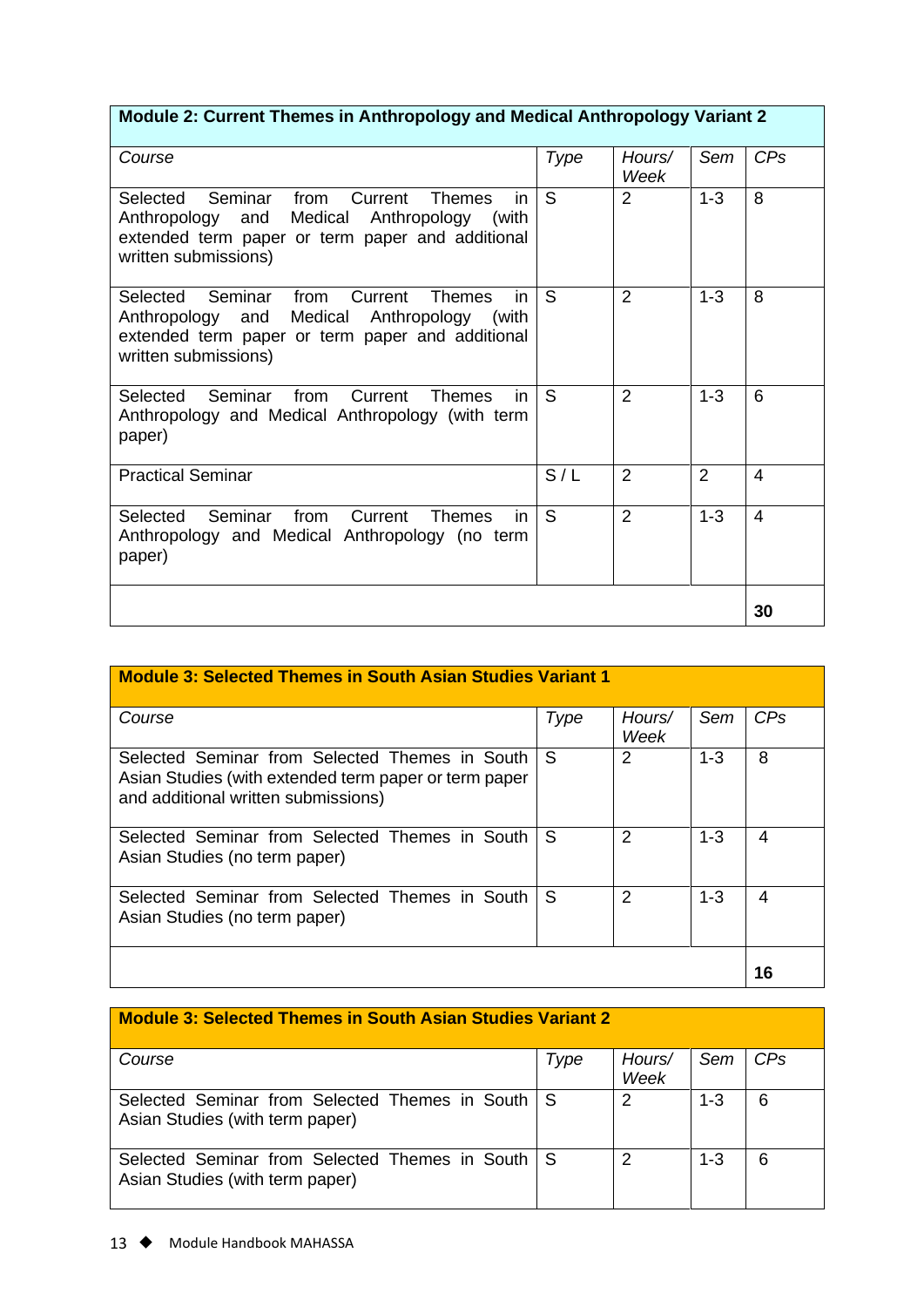# **Module 2: Current Themes in Anthropology and Medical Anthropology Variant 2**

| Course                                                                                                                                                                                | Type | Hours/<br>Week | Sem            | CPs            |
|---------------------------------------------------------------------------------------------------------------------------------------------------------------------------------------|------|----------------|----------------|----------------|
| Selected Seminar from Current<br><b>Themes</b><br>in.<br>Anthropology and Medical Anthropology (with<br>extended term paper or term paper and additional<br>written submissions)      | S    | $\overline{2}$ | $1 - 3$        | 8              |
| Selected Seminar<br>in<br>from<br>Current<br><b>Themes</b><br>Anthropology and Medical Anthropology (with<br>extended term paper or term paper and additional<br>written submissions) | S    | $\overline{2}$ | $1 - 3$        | 8              |
| Selected Seminar from<br>Current<br>in<br><b>Themes</b><br>Anthropology and Medical Anthropology (with term<br>paper)                                                                 | S    | $\overline{2}$ | $1 - 3$        | 6              |
| <b>Practical Seminar</b>                                                                                                                                                              | S/L  | $\overline{2}$ | $\overline{2}$ | 4              |
| Seminar from<br><b>Current</b> Themes<br>Selected<br>in<br>Anthropology and Medical Anthropology (no term<br>paper)                                                                   | S    | $\overline{2}$ | $1 - 3$        | $\overline{4}$ |
|                                                                                                                                                                                       |      |                |                | 30             |

| <b>Module 3: Selected Themes in South Asian Studies Variant 1</b>                                                                              |      |                |         |                 |
|------------------------------------------------------------------------------------------------------------------------------------------------|------|----------------|---------|-----------------|
| Course                                                                                                                                         | Type | Hours/<br>Week | Sem     | CP <sub>s</sub> |
| Selected Seminar from Selected Themes in South<br>Asian Studies (with extended term paper or term paper<br>and additional written submissions) | S    | 2              | $1 - 3$ | 8               |
| Selected Seminar from Selected Themes in South<br>Asian Studies (no term paper)                                                                | S    | 2              | $1 - 3$ | 4               |
| Selected Seminar from Selected Themes in South<br>Asian Studies (no term paper)                                                                | S    | 2              | $1 - 3$ | 4               |
|                                                                                                                                                |      |                |         | 16              |

| <b>Module 3: Selected Themes in South Asian Studies Variant 2</b>                     |      |                |         |                 |  |
|---------------------------------------------------------------------------------------|------|----------------|---------|-----------------|--|
| Course                                                                                | Type | Hours/<br>Week | Sem     | CP <sub>S</sub> |  |
| Selected Seminar from Selected Themes in South I S<br>Asian Studies (with term paper) |      | 2              | $1 - 3$ | 6               |  |
| Selected Seminar from Selected Themes in South I S<br>Asian Studies (with term paper) |      | 2              | $1 - 3$ | 6               |  |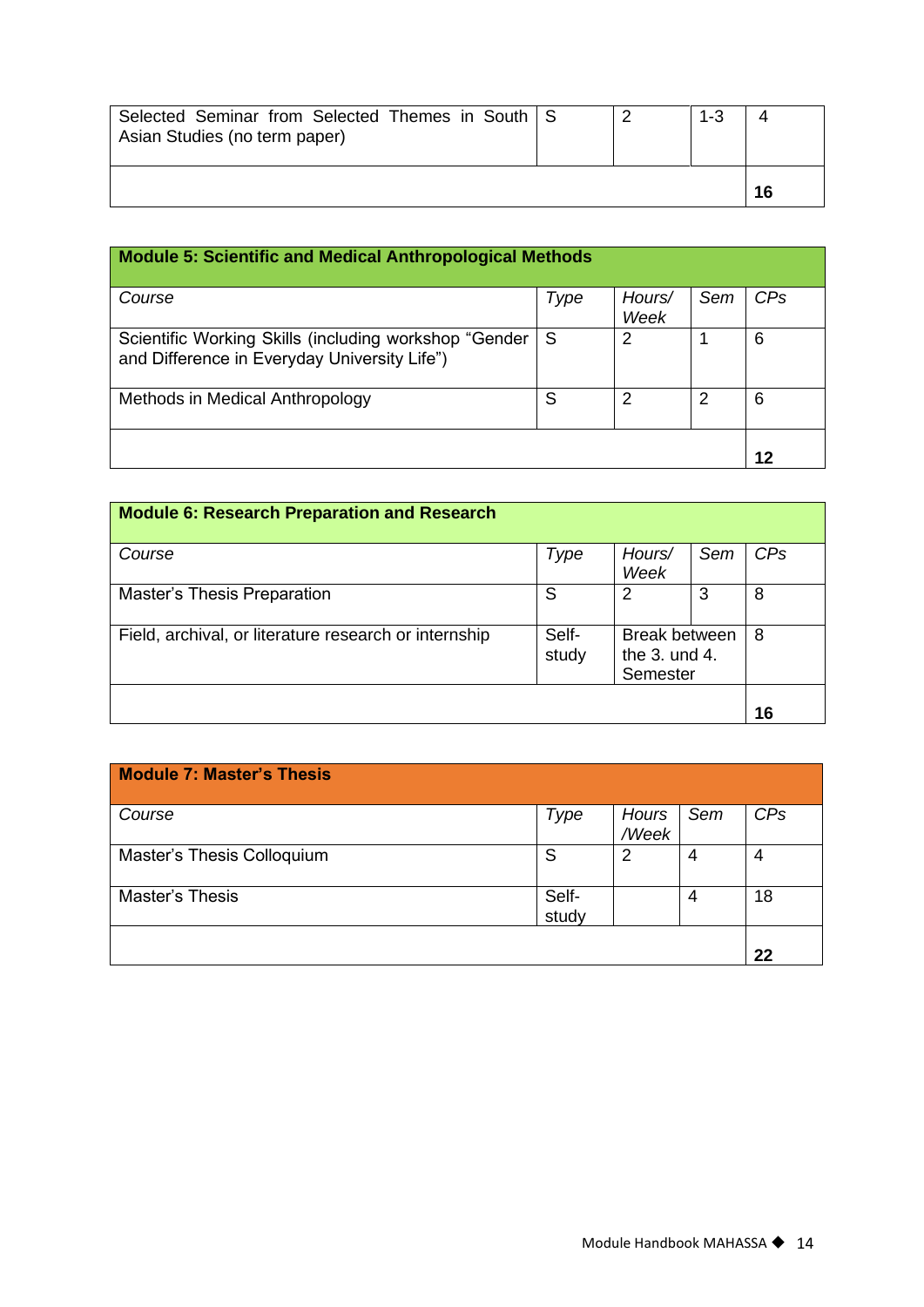| Selected Seminar from Selected Themes in South   S<br>Asian Studies (no term paper) |  | $1 - 3$ |    |
|-------------------------------------------------------------------------------------|--|---------|----|
|                                                                                     |  |         | 16 |

| <b>Module 5: Scientific and Medical Anthropological Methods</b>                                       |      |                |     |     |
|-------------------------------------------------------------------------------------------------------|------|----------------|-----|-----|
| Course                                                                                                | Type | Hours/<br>Week | Sem | CPs |
| Scientific Working Skills (including workshop "Gender<br>and Difference in Everyday University Life") | S    | 2              |     | 6   |
| Methods in Medical Anthropology                                                                       | S    | 2              | 2   | 6   |
|                                                                                                       |      |                |     | 12  |

| <b>Module 6: Research Preparation and Research</b>    |                |                                                       |     |     |
|-------------------------------------------------------|----------------|-------------------------------------------------------|-----|-----|
| Course                                                | Type           | Hours/<br>Week                                        | Sem | CPs |
| Master's Thesis Preparation                           | S              | 2                                                     | 3   | 8   |
| Field, archival, or literature research or internship | Self-<br>study | <b>Break between</b><br>the $3.$ und $4.$<br>Semester |     | 8   |
|                                                       |                |                                                       |     | 16  |

| <b>Module 7: Master's Thesis</b> |                |                |     |                 |
|----------------------------------|----------------|----------------|-----|-----------------|
| Course                           | Type           | Hours<br>/Week | Sem | CP <sub>s</sub> |
| Master's Thesis Colloquium       | S              | $\overline{2}$ | 4   | 4               |
| Master's Thesis                  | Self-<br>study |                | 4   | 18              |
|                                  |                |                |     | 22              |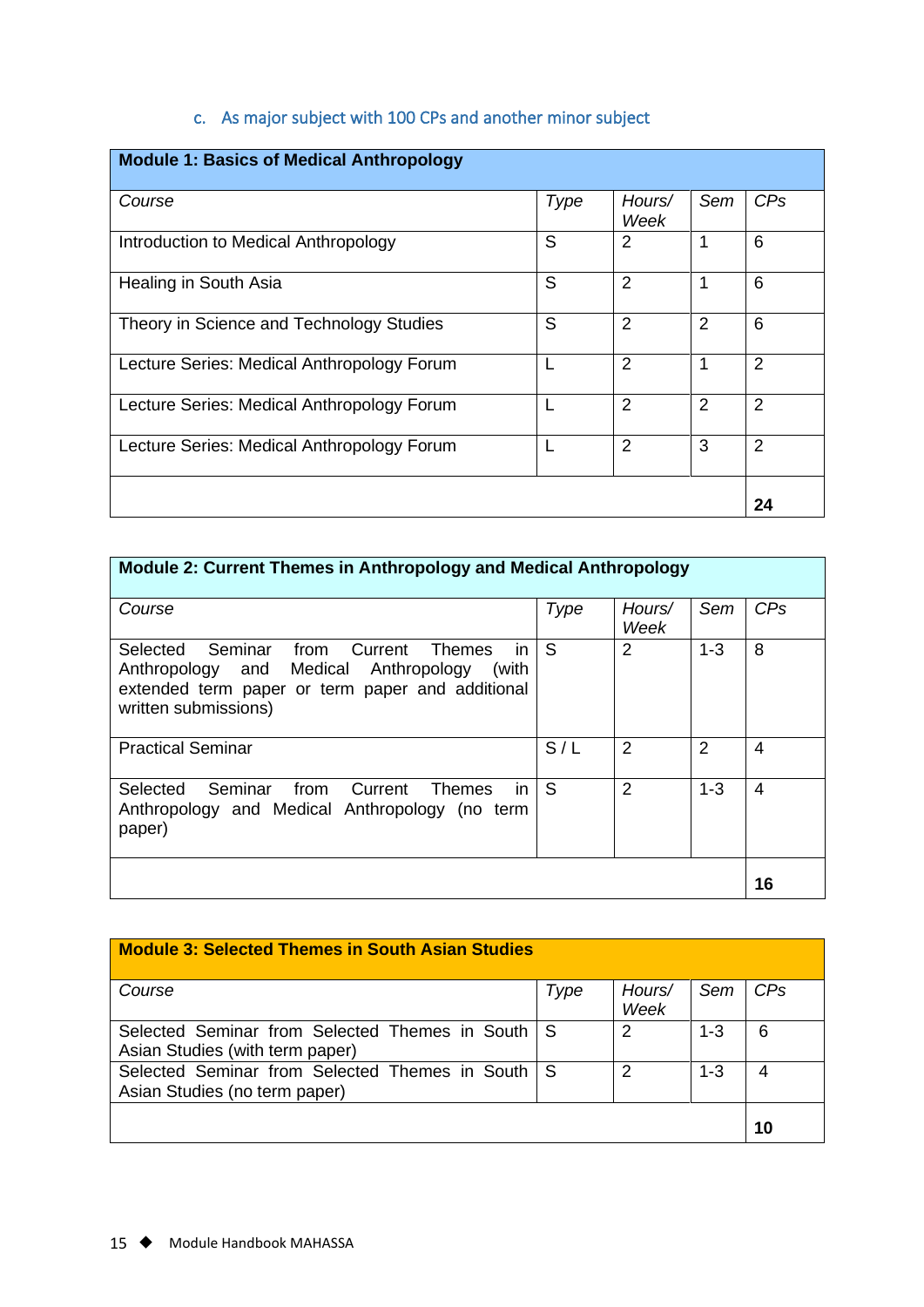# c. As major subject with 100 CPs and another minor subject

<span id="page-15-0"></span>

| <b>Module 1: Basics of Medical Anthropology</b> |      |                |                |                 |
|-------------------------------------------------|------|----------------|----------------|-----------------|
| Course                                          | Type | Hours/<br>Week | Sem            | CP <sub>s</sub> |
| Introduction to Medical Anthropology            | S    | 2              | 1              | 6               |
| Healing in South Asia                           | S    | $\overline{2}$ | 1              | 6               |
| Theory in Science and Technology Studies        | S    | 2              | $\overline{2}$ | 6               |
| Lecture Series: Medical Anthropology Forum      |      | 2              | 1              | 2               |
| Lecture Series: Medical Anthropology Forum      |      | 2              | $\overline{2}$ | 2               |
| Lecture Series: Medical Anthropology Forum      |      | $\overline{2}$ | 3              | $\overline{2}$  |
|                                                 |      |                |                | 24              |

| <b>Module 2: Current Themes in Anthropology and Medical Anthropology</b>                                                                                                     |      |                |         |     |
|------------------------------------------------------------------------------------------------------------------------------------------------------------------------------|------|----------------|---------|-----|
| Course                                                                                                                                                                       | Type | Hours/<br>Week | Sem     | CPs |
| Selected Seminar from Current<br>Themes<br>in.<br>Anthropology and Medical Anthropology<br>(with<br>extended term paper or term paper and additional<br>written submissions) | S    | $\overline{2}$ | $1 - 3$ | 8   |
| <b>Practical Seminar</b>                                                                                                                                                     | S/L  | $\overline{2}$ | 2       | 4   |
| Seminar<br>Selected<br>from Current<br>in.<br>Themes<br>Anthropology and Medical Anthropology (no term<br>paper)                                                             | S    | 2              | $1 - 3$ | 4   |
|                                                                                                                                                                              |      |                |         | 16  |

| <b>Module 3: Selected Themes in South Asian Studies</b>                           |      |                |         |            |
|-----------------------------------------------------------------------------------|------|----------------|---------|------------|
| Course                                                                            | Type | Hours/<br>Week | Sem     | <b>CPs</b> |
| Selected Seminar from Selected Themes in South<br>Asian Studies (with term paper) | l S  | 2              | $1 - 3$ | 6          |
| Selected Seminar from Selected Themes in South S<br>Asian Studies (no term paper) |      | 2              | $1 - 3$ | 4          |
|                                                                                   |      |                |         | 10         |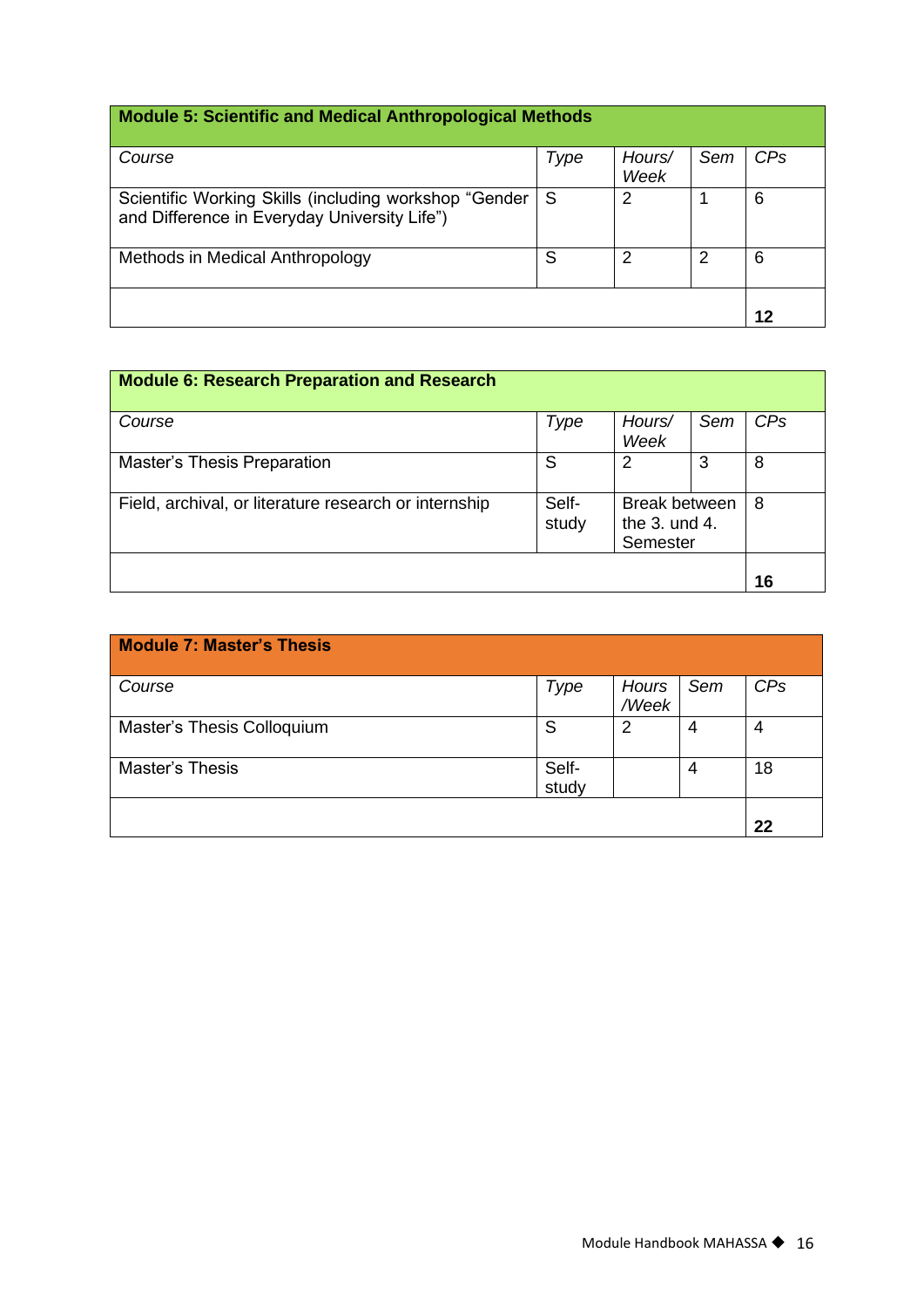# **Module 5: Scientific and Medical Anthropological Methods**

| Type | Hours/ | Sem  | CPs |
|------|--------|------|-----|
|      |        |      |     |
| S    | 2      |      | 6   |
| S    | 2      | 2    | 6   |
|      |        |      | 12  |
|      |        | Week |     |

| <b>Module 6: Research Preparation and Research</b>    |                |                                                   |     |            |
|-------------------------------------------------------|----------------|---------------------------------------------------|-----|------------|
| Course                                                | Type           | Hours/<br>Week                                    | Sem | <b>CPs</b> |
| <b>Master's Thesis Preparation</b>                    | S              | 2                                                 | 3   | 8          |
| Field, archival, or literature research or internship | Self-<br>study | <b>Break between</b><br>the 3. und 4.<br>Semester |     | 8          |
|                                                       |                |                                                   |     | 16         |

| <b>Module 7: Master's Thesis</b> |                |                |     |     |
|----------------------------------|----------------|----------------|-----|-----|
| Course                           | Type           | Hours<br>/Week | Sem | CPs |
| Master's Thesis Colloquium       | S              | 2              | 4   | 4   |
| Master's Thesis                  | Self-<br>study |                | 4   | 18  |
|                                  |                |                |     | 22  |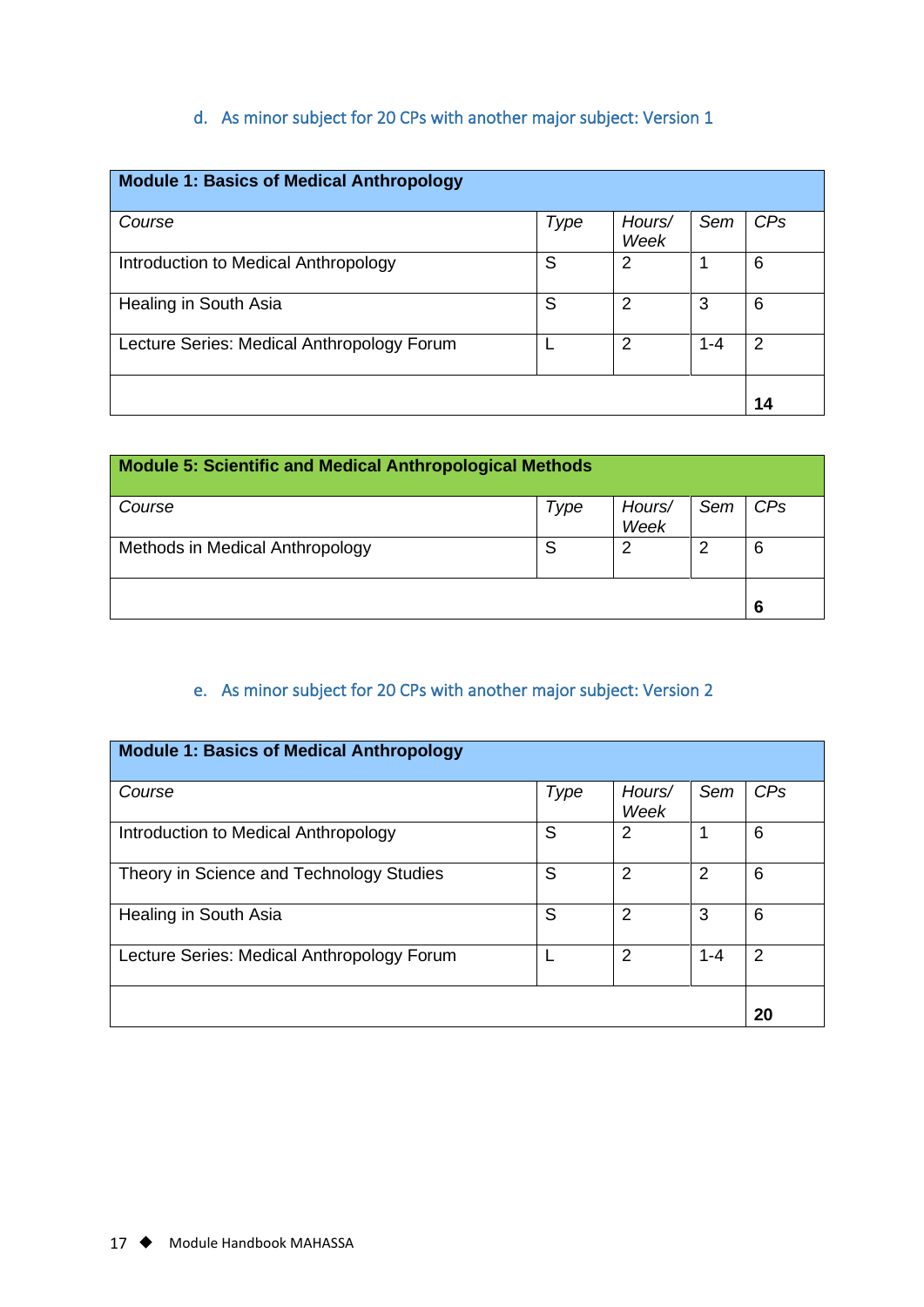# d. As minor subject for 20 CPs with another major subject: Version 1

<span id="page-17-0"></span>

| <b>Module 1: Basics of Medical Anthropology</b> |      |                |         |     |
|-------------------------------------------------|------|----------------|---------|-----|
| Course                                          | Type | Hours/<br>Week | Sem     | CPs |
| Introduction to Medical Anthropology            | S    | 2              |         | 6   |
| Healing in South Asia                           | S    | 2              | 3       | 6   |
| Lecture Series: Medical Anthropology Forum      |      | 2              | $1 - 4$ | 2   |
|                                                 |      |                |         | 14  |

| <b>Module 5: Scientific and Medical Anthropological Methods</b> |      |                |     |     |
|-----------------------------------------------------------------|------|----------------|-----|-----|
| Course                                                          | Type | Hours/<br>Week | Sem | CPs |
| Methods in Medical Anthropology                                 | S    | 2              | 2   | 6   |
|                                                                 |      |                |     | 6   |

# e. As minor subject for 20 CPs with another major subject: Version 2

<span id="page-17-1"></span>

| <b>Module 1: Basics of Medical Anthropology</b> |      |                |         |     |
|-------------------------------------------------|------|----------------|---------|-----|
| Course                                          | Type | Hours/<br>Week | Sem     | CPs |
| Introduction to Medical Anthropology            | S    | 2              |         | 6   |
| Theory in Science and Technology Studies        | S    | 2              | 2       | 6   |
| Healing in South Asia                           | S    | 2              | 3       | 6   |
| Lecture Series: Medical Anthropology Forum      |      | 2              | $1 - 4$ | 2   |
|                                                 |      |                |         | 20  |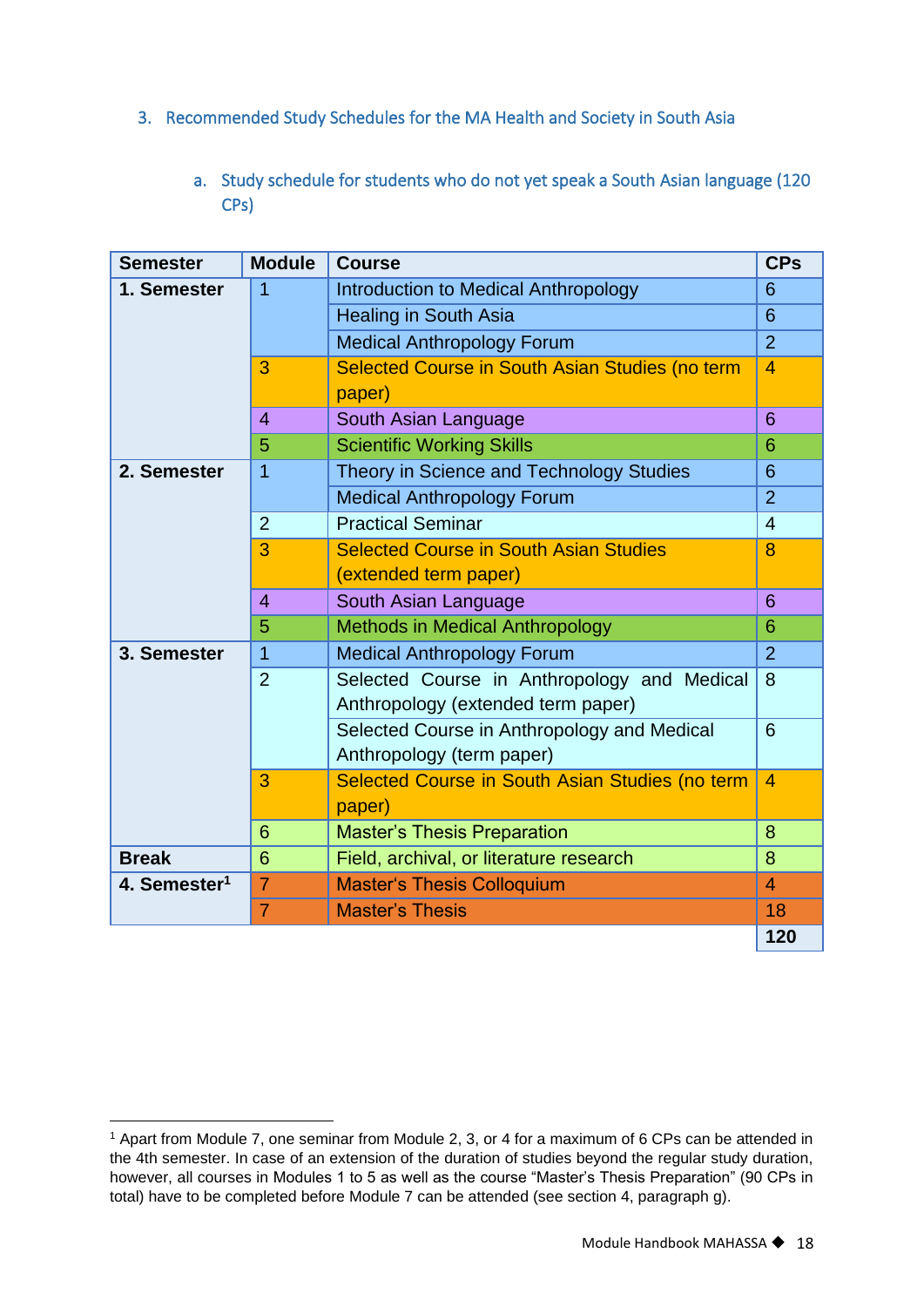- <span id="page-18-1"></span><span id="page-18-0"></span>3. Recommended Study Schedules for the MA Health and Society in South Asia
	- a. Study schedule for students who do not yet speak a South Asian language (120 CPs)

| <b>Semester</b>          | <b>Module</b>  | <b>Course</b>                                                                     | <b>CPs</b>     |
|--------------------------|----------------|-----------------------------------------------------------------------------------|----------------|
| 1. Semester              | 1              | Introduction to Medical Anthropology                                              | 6              |
|                          |                | <b>Healing in South Asia</b>                                                      | 6              |
|                          |                | <b>Medical Anthropology Forum</b>                                                 | $\overline{2}$ |
|                          | 3              | Selected Course in South Asian Studies (no term<br>paper)                         | 4              |
|                          | $\overline{4}$ | South Asian Language                                                              | 6              |
|                          | 5              | <b>Scientific Working Skills</b>                                                  | 6              |
| 2. Semester              | 1              | Theory in Science and Technology Studies                                          | 6              |
|                          |                | <b>Medical Anthropology Forum</b>                                                 | $\overline{2}$ |
|                          | $\overline{2}$ | <b>Practical Seminar</b>                                                          | $\overline{4}$ |
|                          | 3              | <b>Selected Course in South Asian Studies</b>                                     | 8              |
|                          |                | (extended term paper)                                                             |                |
|                          | $\overline{4}$ | South Asian Language                                                              | 6              |
|                          | 5              | <b>Methods in Medical Anthropology</b>                                            | 6              |
| 3. Semester              | 1              | <b>Medical Anthropology Forum</b>                                                 | $\overline{2}$ |
|                          | $\overline{2}$ | Selected Course in Anthropology and Medical<br>Anthropology (extended term paper) | 8              |
|                          |                | Selected Course in Anthropology and Medical<br>Anthropology (term paper)          | 6              |
|                          | 3              | Selected Course in South Asian Studies (no term<br>paper)                         | $\overline{4}$ |
|                          | 6              | <b>Master's Thesis Preparation</b>                                                | 8              |
| <b>Break</b>             | 6              | Field, archival, or literature research                                           | 8              |
| 4. Semester <sup>1</sup> | $\overline{7}$ | <b>Master's Thesis Colloquium</b>                                                 | $\overline{4}$ |
|                          | $\overline{7}$ | <b>Master's Thesis</b>                                                            | 18             |
|                          |                |                                                                                   | 120            |

<sup>1</sup> Apart from Module 7, one seminar from Module 2, 3, or 4 for a maximum of 6 CPs can be attended in the 4th semester. In case of an extension of the duration of studies beyond the regular study duration, however, all courses in Modules 1 to 5 as well as the course "Master's Thesis Preparation" (90 CPs in total) have to be completed before Module 7 can be attended (see section 4, paragraph g).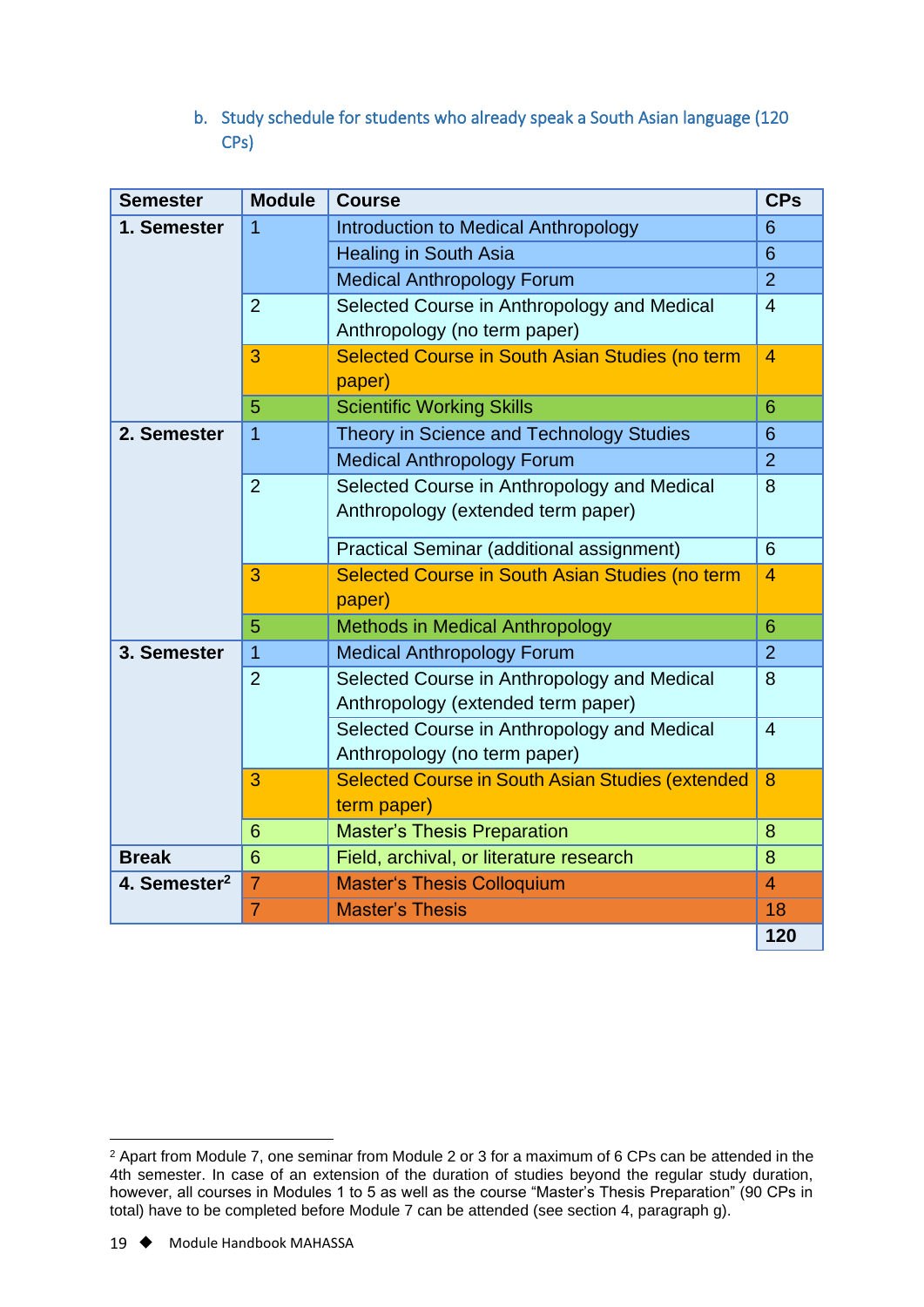b. Study schedule for students who already speak a South Asian language (120 CPs)

<span id="page-19-0"></span>

| <b>Semester</b>          | <b>Module</b>  | <b>Course</b>                                           | <b>CPs</b>     |
|--------------------------|----------------|---------------------------------------------------------|----------------|
| 1. Semester              | 1              | Introduction to Medical Anthropology                    | 6              |
|                          |                | <b>Healing in South Asia</b>                            | 6              |
|                          |                | <b>Medical Anthropology Forum</b>                       | $\overline{2}$ |
|                          | $\overline{2}$ | Selected Course in Anthropology and Medical             | $\overline{4}$ |
|                          |                | Anthropology (no term paper)                            |                |
|                          | 3              | Selected Course in South Asian Studies (no term         | 4              |
|                          |                | paper)                                                  |                |
|                          | 5              | <b>Scientific Working Skills</b>                        | 6              |
| 2. Semester              | 1              | Theory in Science and Technology Studies                | 6              |
|                          |                | <b>Medical Anthropology Forum</b>                       | $\overline{2}$ |
|                          | $\overline{2}$ | Selected Course in Anthropology and Medical             | 8              |
|                          |                | Anthropology (extended term paper)                      |                |
|                          |                | Practical Seminar (additional assignment)               | 6              |
|                          | 3              | Selected Course in South Asian Studies (no term         | 4              |
|                          |                | paper)                                                  |                |
|                          | 5              | <b>Methods in Medical Anthropology</b>                  | 6              |
| 3. Semester              | $\overline{1}$ | <b>Medical Anthropology Forum</b>                       | $\overline{2}$ |
|                          | $\overline{2}$ | Selected Course in Anthropology and Medical             | 8              |
|                          |                | Anthropology (extended term paper)                      |                |
|                          |                | Selected Course in Anthropology and Medical             | $\overline{4}$ |
|                          |                | Anthropology (no term paper)                            |                |
|                          | 3              | <b>Selected Course in South Asian Studies (extended</b> | 8              |
|                          |                | term paper)                                             |                |
|                          | 6              | <b>Master's Thesis Preparation</b>                      | 8              |
| <b>Break</b>             | 6              | Field, archival, or literature research                 | 8              |
| 4. Semester <sup>2</sup> | $\overline{7}$ | <b>Master's Thesis Colloquium</b>                       | $\overline{4}$ |
|                          | $\overline{7}$ | <b>Master's Thesis</b>                                  | 18             |
|                          |                |                                                         | 120            |

<sup>2</sup> Apart from Module 7, one seminar from Module 2 or 3 for a maximum of 6 CPs can be attended in the 4th semester. In case of an extension of the duration of studies beyond the regular study duration, however, all courses in Modules 1 to 5 as well as the course "Master's Thesis Preparation" (90 CPs in total) have to be completed before Module 7 can be attended (see section 4, paragraph g).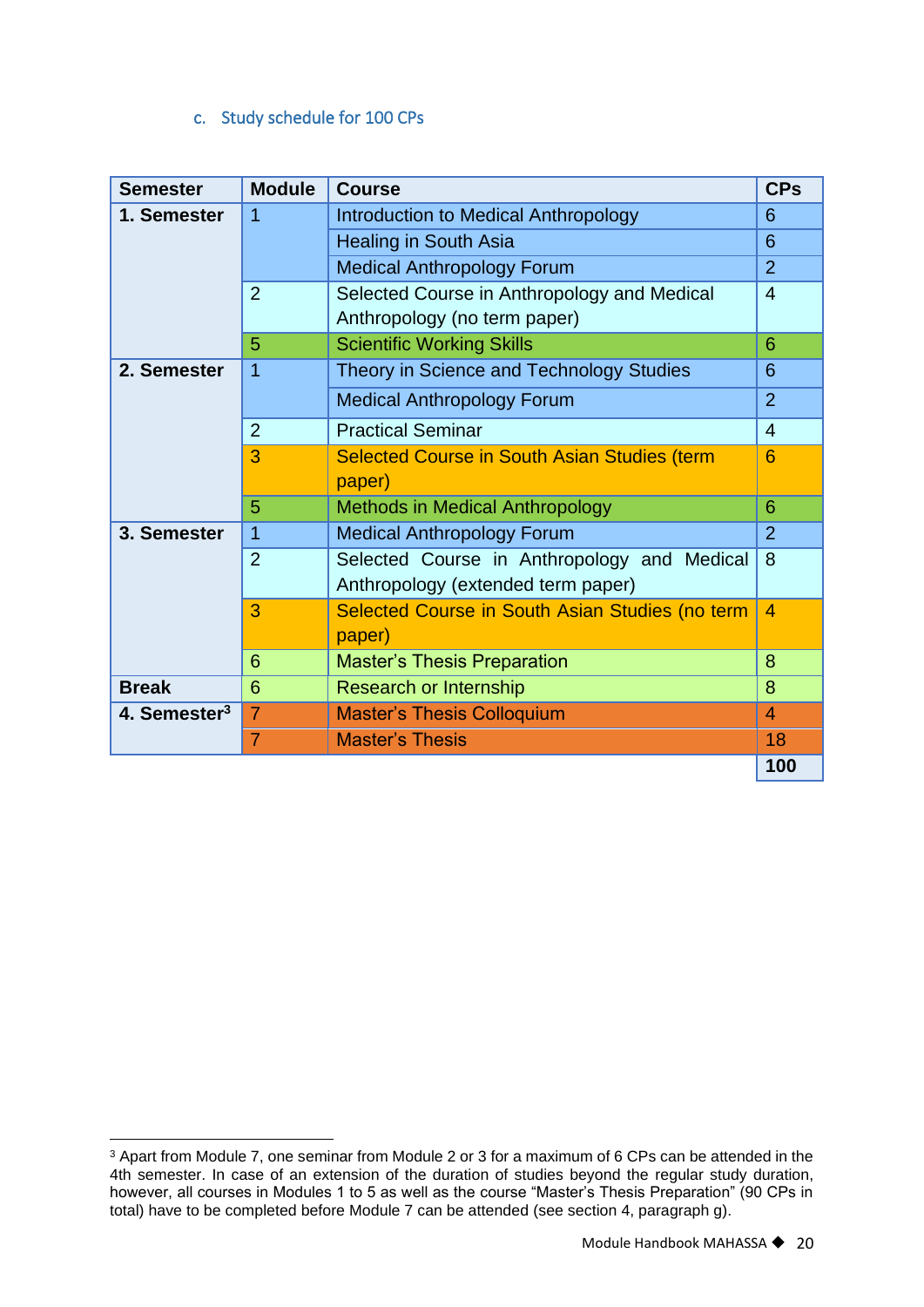# c. Study schedule for 100 CPs

<span id="page-20-0"></span>

| <b>Semester</b>          | <b>Module</b>  | <b>Course</b>                                       | <b>CPs</b>     |
|--------------------------|----------------|-----------------------------------------------------|----------------|
| 1. Semester              | $\overline{1}$ | Introduction to Medical Anthropology                | 6              |
|                          |                | <b>Healing in South Asia</b>                        | 6              |
|                          |                | <b>Medical Anthropology Forum</b>                   | $\overline{2}$ |
|                          | $\overline{2}$ | Selected Course in Anthropology and Medical         | $\overline{4}$ |
|                          |                | Anthropology (no term paper)                        |                |
|                          | 5              | <b>Scientific Working Skills</b>                    | 6              |
| 2. Semester              | 1              | Theory in Science and Technology Studies            | 6              |
|                          |                | <b>Medical Anthropology Forum</b>                   | $\overline{2}$ |
|                          | $\overline{2}$ | <b>Practical Seminar</b>                            | $\overline{4}$ |
|                          | 3              | <b>Selected Course in South Asian Studies (term</b> | 6              |
|                          |                | paper)                                              |                |
|                          | 5              | <b>Methods in Medical Anthropology</b>              | 6              |
| 3. Semester              | 1              | <b>Medical Anthropology Forum</b>                   | $\overline{2}$ |
|                          | $\overline{2}$ | Selected Course in Anthropology and Medical         | 8              |
|                          |                | Anthropology (extended term paper)                  |                |
|                          | 3              | Selected Course in South Asian Studies (no term     | 4              |
|                          |                | paper)                                              |                |
|                          | 6              | <b>Master's Thesis Preparation</b>                  | 8              |
| <b>Break</b>             | 6              | <b>Research or Internship</b>                       | 8              |
| 4. Semester <sup>3</sup> | $\overline{7}$ | <b>Master's Thesis Colloquium</b>                   | $\overline{4}$ |
|                          | $\overline{7}$ | <b>Master's Thesis</b>                              | 18             |
|                          |                |                                                     | 100            |

<sup>3</sup> Apart from Module 7, one seminar from Module 2 or 3 for a maximum of 6 CPs can be attended in the 4th semester. In case of an extension of the duration of studies beyond the regular study duration, however, all courses in Modules 1 to 5 as well as the course "Master's Thesis Preparation" (90 CPs in total) have to be completed before Module 7 can be attended (see section 4, paragraph g).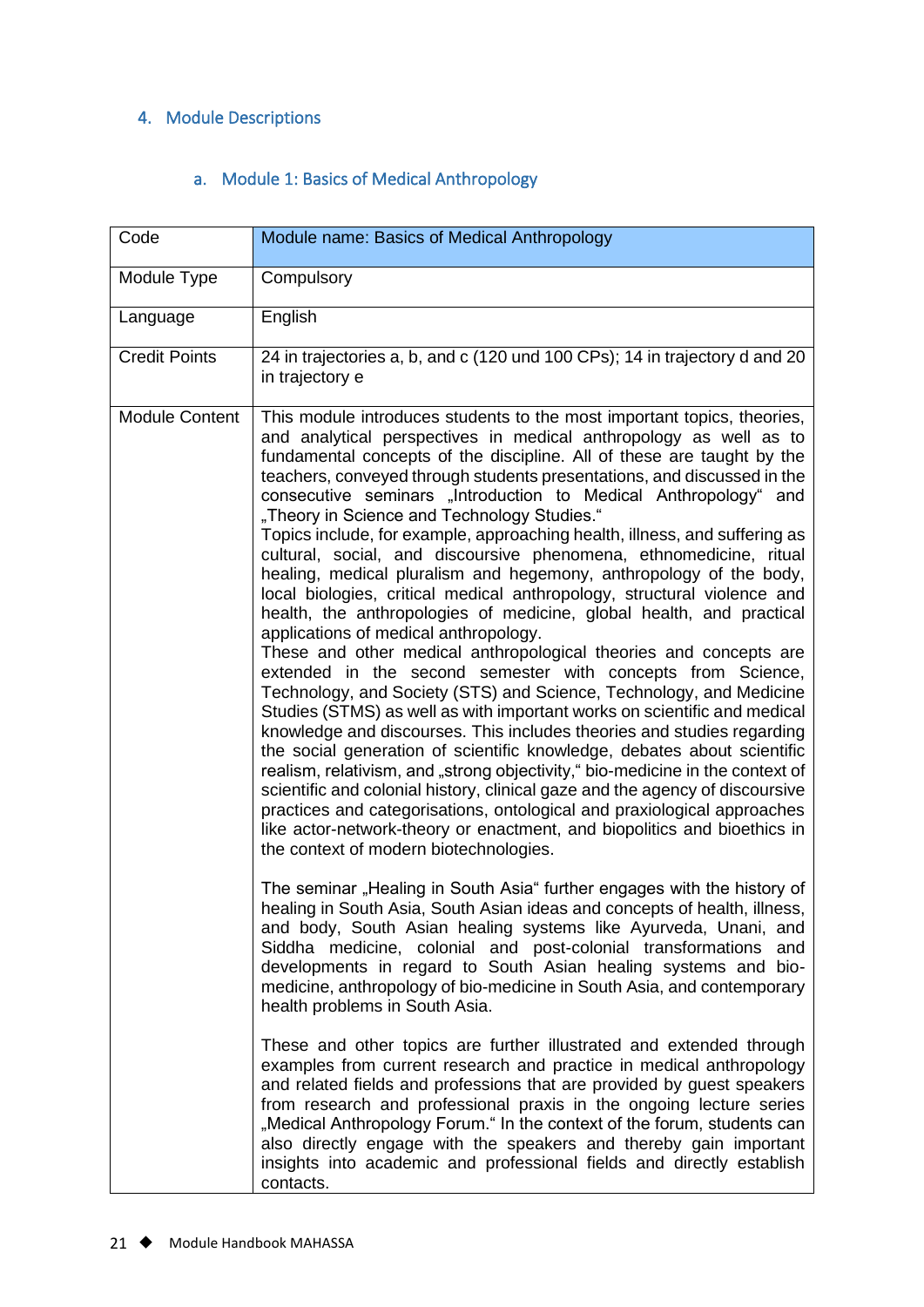# <span id="page-21-0"></span>4. Module Descriptions

#### a. Module 1: Basics of Medical Anthropology

<span id="page-21-1"></span>

| Code                  | Module name: Basics of Medical Anthropology                                                                                                                                                                                                                                                                                                                                                                                                                                                                                                                                                                                                                                                                                                                                                                                                                                                                                                                                                                                                                                                                                                                                                                                                                                                                                                                                                                                                                                                                                                                                                                                                             |
|-----------------------|---------------------------------------------------------------------------------------------------------------------------------------------------------------------------------------------------------------------------------------------------------------------------------------------------------------------------------------------------------------------------------------------------------------------------------------------------------------------------------------------------------------------------------------------------------------------------------------------------------------------------------------------------------------------------------------------------------------------------------------------------------------------------------------------------------------------------------------------------------------------------------------------------------------------------------------------------------------------------------------------------------------------------------------------------------------------------------------------------------------------------------------------------------------------------------------------------------------------------------------------------------------------------------------------------------------------------------------------------------------------------------------------------------------------------------------------------------------------------------------------------------------------------------------------------------------------------------------------------------------------------------------------------------|
| Module Type           | Compulsory                                                                                                                                                                                                                                                                                                                                                                                                                                                                                                                                                                                                                                                                                                                                                                                                                                                                                                                                                                                                                                                                                                                                                                                                                                                                                                                                                                                                                                                                                                                                                                                                                                              |
| Language              | English                                                                                                                                                                                                                                                                                                                                                                                                                                                                                                                                                                                                                                                                                                                                                                                                                                                                                                                                                                                                                                                                                                                                                                                                                                                                                                                                                                                                                                                                                                                                                                                                                                                 |
| <b>Credit Points</b>  | 24 in trajectories a, b, and c (120 und 100 CPs); 14 in trajectory d and 20<br>in trajectory e                                                                                                                                                                                                                                                                                                                                                                                                                                                                                                                                                                                                                                                                                                                                                                                                                                                                                                                                                                                                                                                                                                                                                                                                                                                                                                                                                                                                                                                                                                                                                          |
| <b>Module Content</b> | This module introduces students to the most important topics, theories,<br>and analytical perspectives in medical anthropology as well as to<br>fundamental concepts of the discipline. All of these are taught by the<br>teachers, conveyed through students presentations, and discussed in the<br>consecutive seminars "Introduction to Medical Anthropology" and<br>"Theory in Science and Technology Studies."<br>Topics include, for example, approaching health, illness, and suffering as<br>cultural, social, and discoursive phenomena, ethnomedicine, ritual<br>healing, medical pluralism and hegemony, anthropology of the body,<br>local biologies, critical medical anthropology, structural violence and<br>health, the anthropologies of medicine, global health, and practical<br>applications of medical anthropology.<br>These and other medical anthropological theories and concepts are<br>extended in the second semester with concepts from Science,<br>Technology, and Society (STS) and Science, Technology, and Medicine<br>Studies (STMS) as well as with important works on scientific and medical<br>knowledge and discourses. This includes theories and studies regarding<br>the social generation of scientific knowledge, debates about scientific<br>realism, relativism, and "strong objectivity," bio-medicine in the context of<br>scientific and colonial history, clinical gaze and the agency of discoursive<br>practices and categorisations, ontological and praxiological approaches<br>like actor-network-theory or enactment, and biopolitics and bioethics in<br>the context of modern biotechnologies. |
|                       | The seminar "Healing in South Asia" further engages with the history of<br>healing in South Asia, South Asian ideas and concepts of health, illness,<br>and body, South Asian healing systems like Ayurveda, Unani, and<br>Siddha medicine, colonial and post-colonial transformations and<br>developments in regard to South Asian healing systems and bio-<br>medicine, anthropology of bio-medicine in South Asia, and contemporary<br>health problems in South Asia.                                                                                                                                                                                                                                                                                                                                                                                                                                                                                                                                                                                                                                                                                                                                                                                                                                                                                                                                                                                                                                                                                                                                                                                |
|                       | These and other topics are further illustrated and extended through<br>examples from current research and practice in medical anthropology<br>and related fields and professions that are provided by guest speakers<br>from research and professional praxis in the ongoing lecture series<br>"Medical Anthropology Forum." In the context of the forum, students can<br>also directly engage with the speakers and thereby gain important<br>insights into academic and professional fields and directly establish<br>contacts.                                                                                                                                                                                                                                                                                                                                                                                                                                                                                                                                                                                                                                                                                                                                                                                                                                                                                                                                                                                                                                                                                                                       |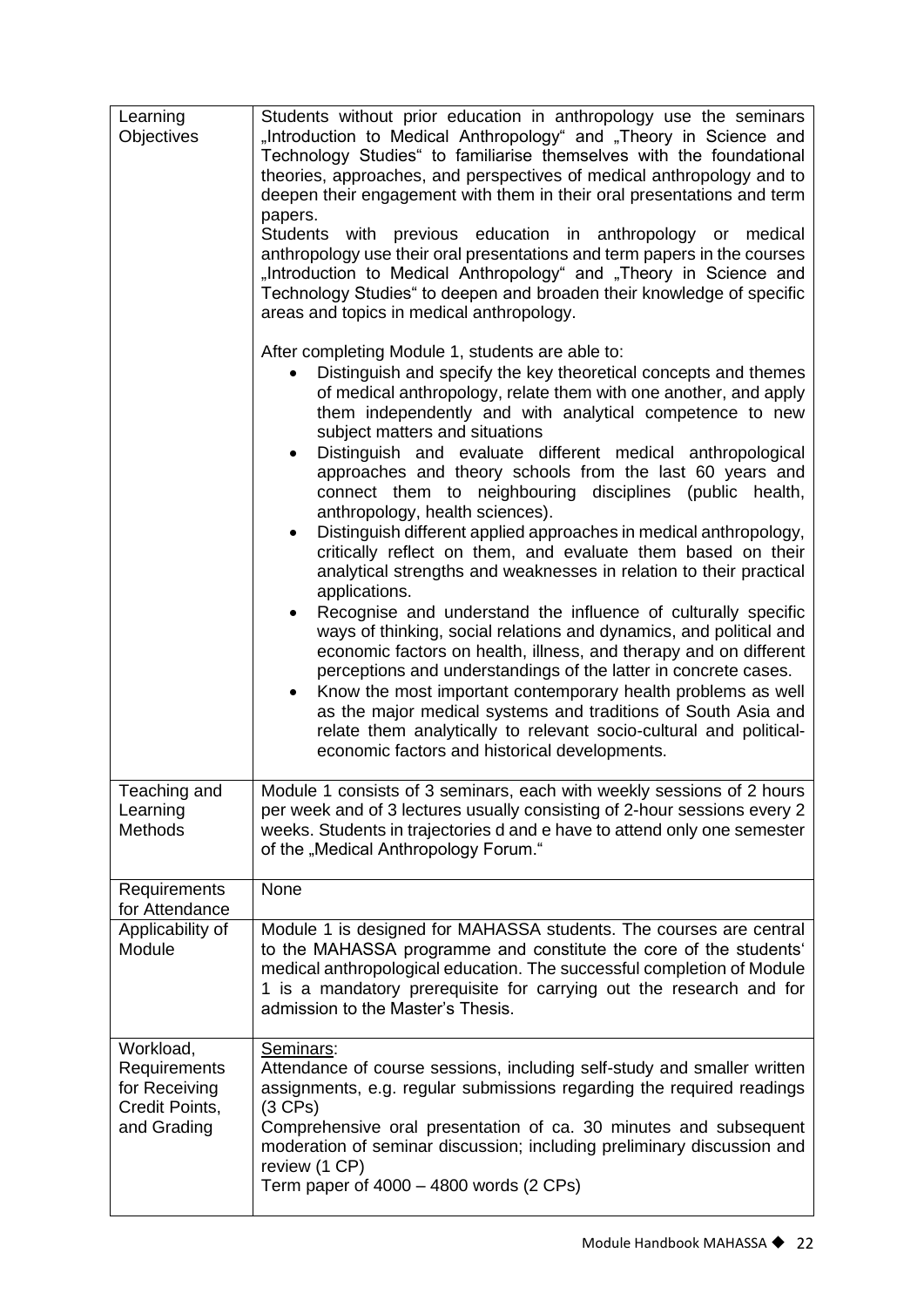| Learning<br>Objectives                                                      | Students without prior education in anthropology use the seminars<br>"Introduction to Medical Anthropology" and "Theory in Science and<br>Technology Studies" to familiarise themselves with the foundational<br>theories, approaches, and perspectives of medical anthropology and to<br>deepen their engagement with them in their oral presentations and term<br>papers.<br>Students with previous education in anthropology or medical<br>anthropology use their oral presentations and term papers in the courses<br>"Introduction to Medical Anthropology" and "Theory in Science and<br>Technology Studies" to deepen and broaden their knowledge of specific<br>areas and topics in medical anthropology. |
|-----------------------------------------------------------------------------|-------------------------------------------------------------------------------------------------------------------------------------------------------------------------------------------------------------------------------------------------------------------------------------------------------------------------------------------------------------------------------------------------------------------------------------------------------------------------------------------------------------------------------------------------------------------------------------------------------------------------------------------------------------------------------------------------------------------|
|                                                                             | After completing Module 1, students are able to:<br>Distinguish and specify the key theoretical concepts and themes<br>of medical anthropology, relate them with one another, and apply<br>them independently and with analytical competence to new<br>subject matters and situations<br>Distinguish and evaluate different medical anthropological<br>$\bullet$<br>approaches and theory schools from the last 60 years and<br>connect them to neighbouring disciplines (public health,<br>anthropology, health sciences).<br>Distinguish different applied approaches in medical anthropology,                                                                                                                  |
|                                                                             | critically reflect on them, and evaluate them based on their<br>analytical strengths and weaknesses in relation to their practical<br>applications.<br>Recognise and understand the influence of culturally specific<br>$\bullet$<br>ways of thinking, social relations and dynamics, and political and<br>economic factors on health, illness, and therapy and on different<br>perceptions and understandings of the latter in concrete cases.<br>Know the most important contemporary health problems as well<br>as the major medical systems and traditions of South Asia and<br>relate them analytically to relevant socio-cultural and political-<br>economic factors and historical developments.           |
| Teaching and<br>Learning<br>Methods                                         | Module 1 consists of 3 seminars, each with weekly sessions of 2 hours<br>per week and of 3 lectures usually consisting of 2-hour sessions every 2<br>weeks. Students in trajectories d and e have to attend only one semester<br>of the "Medical Anthropology Forum."                                                                                                                                                                                                                                                                                                                                                                                                                                             |
| Requirements<br>for Attendance                                              | None                                                                                                                                                                                                                                                                                                                                                                                                                                                                                                                                                                                                                                                                                                              |
| Applicability of<br>Module                                                  | Module 1 is designed for MAHASSA students. The courses are central<br>to the MAHASSA programme and constitute the core of the students'<br>medical anthropological education. The successful completion of Module<br>1 is a mandatory prerequisite for carrying out the research and for<br>admission to the Master's Thesis.                                                                                                                                                                                                                                                                                                                                                                                     |
| Workload,<br>Requirements<br>for Receiving<br>Credit Points,<br>and Grading | Seminars:<br>Attendance of course sessions, including self-study and smaller written<br>assignments, e.g. regular submissions regarding the required readings<br>$(3$ CPs)<br>Comprehensive oral presentation of ca. 30 minutes and subsequent<br>moderation of seminar discussion; including preliminary discussion and<br>review (1 CP)<br>Term paper of $4000 - 4800$ words (2 CPs)                                                                                                                                                                                                                                                                                                                            |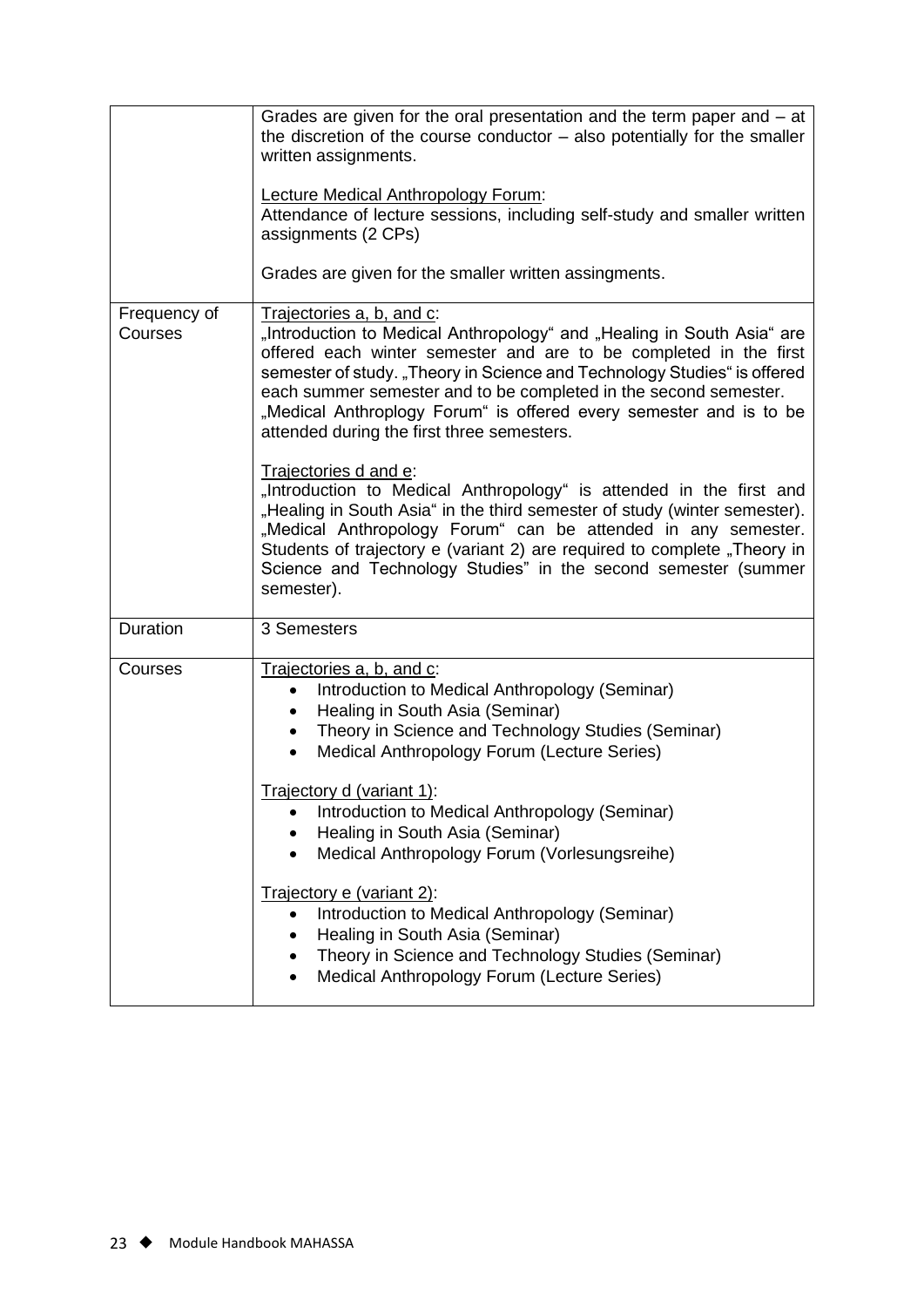|                         | Grades are given for the oral presentation and the term paper and – at<br>the discretion of the course conductor $-$ also potentially for the smaller<br>written assignments.<br>Lecture Medical Anthropology Forum:<br>Attendance of lecture sessions, including self-study and smaller written<br>assignments (2 CPs)<br>Grades are given for the smaller written assingments.                                                                                                                                                                                                                                                                                                                                                                                                                                                                       |
|-------------------------|--------------------------------------------------------------------------------------------------------------------------------------------------------------------------------------------------------------------------------------------------------------------------------------------------------------------------------------------------------------------------------------------------------------------------------------------------------------------------------------------------------------------------------------------------------------------------------------------------------------------------------------------------------------------------------------------------------------------------------------------------------------------------------------------------------------------------------------------------------|
| Frequency of<br>Courses | Trajectories a, b, and c:<br>"Introduction to Medical Anthropology" and "Healing in South Asia" are<br>offered each winter semester and are to be completed in the first<br>semester of study. "Theory in Science and Technology Studies" is offered<br>each summer semester and to be completed in the second semester.<br>"Medical Anthroplogy Forum" is offered every semester and is to be<br>attended during the first three semesters.<br>Trajectories d and e:<br>"Introduction to Medical Anthropology" is attended in the first and<br>"Healing in South Asia" in the third semester of study (winter semester).<br>"Medical Anthropology Forum" can be attended in any semester.<br>Students of trajectory e (variant 2) are required to complete "Theory in<br>Science and Technology Studies" in the second semester (summer<br>semester). |
| Duration                | 3 Semesters                                                                                                                                                                                                                                                                                                                                                                                                                                                                                                                                                                                                                                                                                                                                                                                                                                            |
| Courses                 | Trajectories a, b, and c:<br>Introduction to Medical Anthropology (Seminar)<br>$\bullet$<br>Healing in South Asia (Seminar)<br>$\bullet$<br>Theory in Science and Technology Studies (Seminar)<br>$\bullet$<br>Medical Anthropology Forum (Lecture Series)<br>$\bullet$<br>Trajectory d (variant 1):<br>Introduction to Medical Anthropology (Seminar)<br>Healing in South Asia (Seminar)<br>Medical Anthropology Forum (Vorlesungsreihe)<br>Trajectory e (variant 2):<br>Introduction to Medical Anthropology (Seminar)<br>٠<br>Healing in South Asia (Seminar)<br>Theory in Science and Technology Studies (Seminar)<br>Medical Anthropology Forum (Lecture Series)                                                                                                                                                                                  |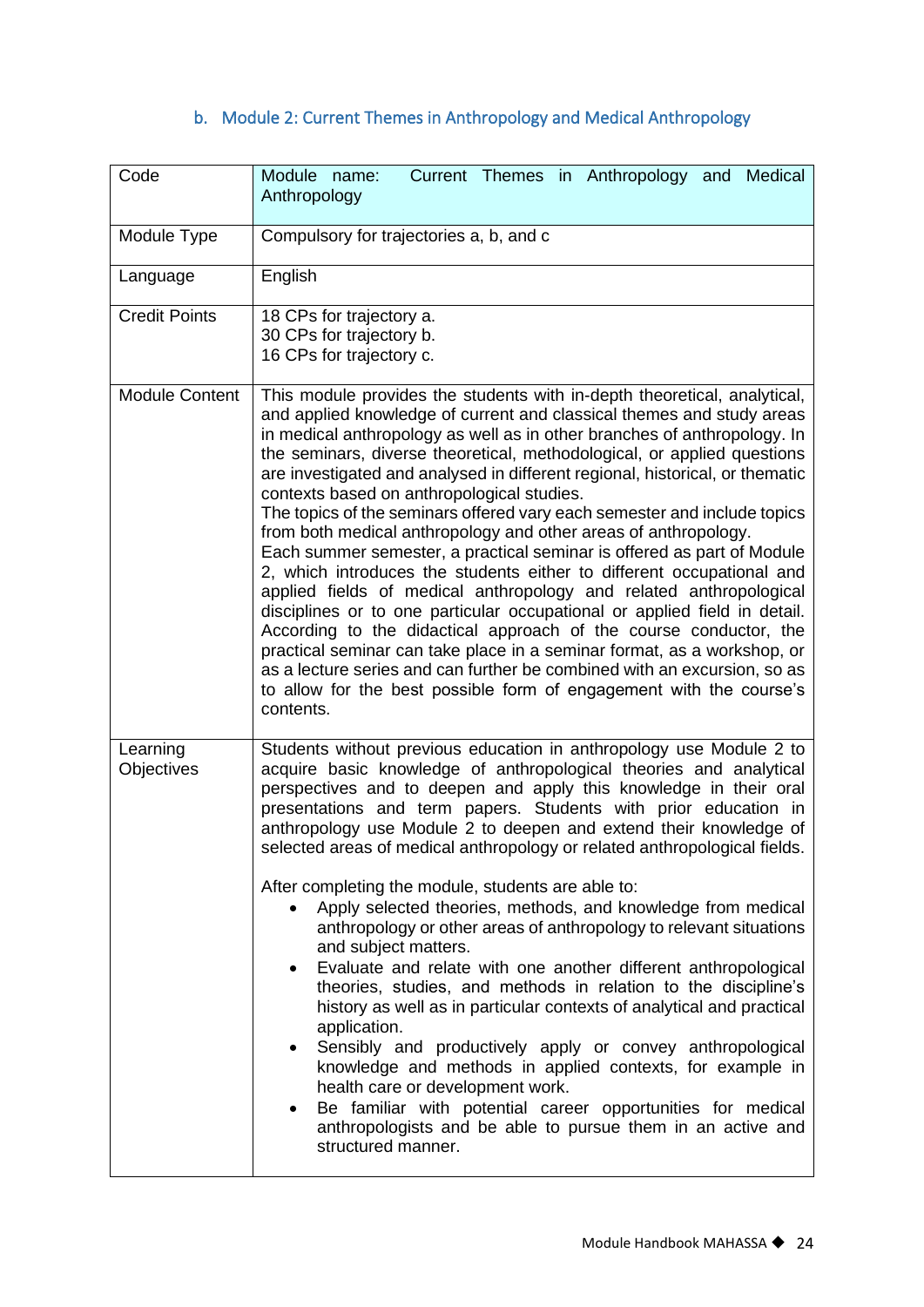# b. Module 2: Current Themes in Anthropology and Medical Anthropology

<span id="page-24-0"></span>

| Code                   | Current Themes in Anthropology and Medical<br>Module name:<br>Anthropology                                                                                                                                                                                                                                                                                                                                                                                                                                                                                                                                                                                                                                                                                                                                                                                                                                                                                                                                                                                                                                                                                                                                          |
|------------------------|---------------------------------------------------------------------------------------------------------------------------------------------------------------------------------------------------------------------------------------------------------------------------------------------------------------------------------------------------------------------------------------------------------------------------------------------------------------------------------------------------------------------------------------------------------------------------------------------------------------------------------------------------------------------------------------------------------------------------------------------------------------------------------------------------------------------------------------------------------------------------------------------------------------------------------------------------------------------------------------------------------------------------------------------------------------------------------------------------------------------------------------------------------------------------------------------------------------------|
| Module Type            | Compulsory for trajectories a, b, and c                                                                                                                                                                                                                                                                                                                                                                                                                                                                                                                                                                                                                                                                                                                                                                                                                                                                                                                                                                                                                                                                                                                                                                             |
| Language               | English                                                                                                                                                                                                                                                                                                                                                                                                                                                                                                                                                                                                                                                                                                                                                                                                                                                                                                                                                                                                                                                                                                                                                                                                             |
| <b>Credit Points</b>   | 18 CPs for trajectory a.<br>30 CPs for trajectory b.<br>16 CPs for trajectory c.                                                                                                                                                                                                                                                                                                                                                                                                                                                                                                                                                                                                                                                                                                                                                                                                                                                                                                                                                                                                                                                                                                                                    |
| <b>Module Content</b>  | This module provides the students with in-depth theoretical, analytical,<br>and applied knowledge of current and classical themes and study areas<br>in medical anthropology as well as in other branches of anthropology. In<br>the seminars, diverse theoretical, methodological, or applied questions<br>are investigated and analysed in different regional, historical, or thematic<br>contexts based on anthropological studies.<br>The topics of the seminars offered vary each semester and include topics<br>from both medical anthropology and other areas of anthropology.<br>Each summer semester, a practical seminar is offered as part of Module<br>2, which introduces the students either to different occupational and<br>applied fields of medical anthropology and related anthropological<br>disciplines or to one particular occupational or applied field in detail.<br>According to the didactical approach of the course conductor, the<br>practical seminar can take place in a seminar format, as a workshop, or<br>as a lecture series and can further be combined with an excursion, so as<br>to allow for the best possible form of engagement with the course's<br>contents.         |
| Learning<br>Objectives | Students without previous education in anthropology use Module 2 to<br>acquire basic knowledge of anthropological theories and analytical<br>perspectives and to deepen and apply this knowledge in their oral<br>presentations and term papers. Students with prior education in<br>anthropology use Module 2 to deepen and extend their knowledge of<br>selected areas of medical anthropology or related anthropological fields.<br>After completing the module, students are able to:<br>Apply selected theories, methods, and knowledge from medical<br>anthropology or other areas of anthropology to relevant situations<br>and subject matters.<br>Evaluate and relate with one another different anthropological<br>$\bullet$<br>theories, studies, and methods in relation to the discipline's<br>history as well as in particular contexts of analytical and practical<br>application.<br>Sensibly and productively apply or convey anthropological<br>knowledge and methods in applied contexts, for example in<br>health care or development work.<br>Be familiar with potential career opportunities for medical<br>anthropologists and be able to pursue them in an active and<br>structured manner. |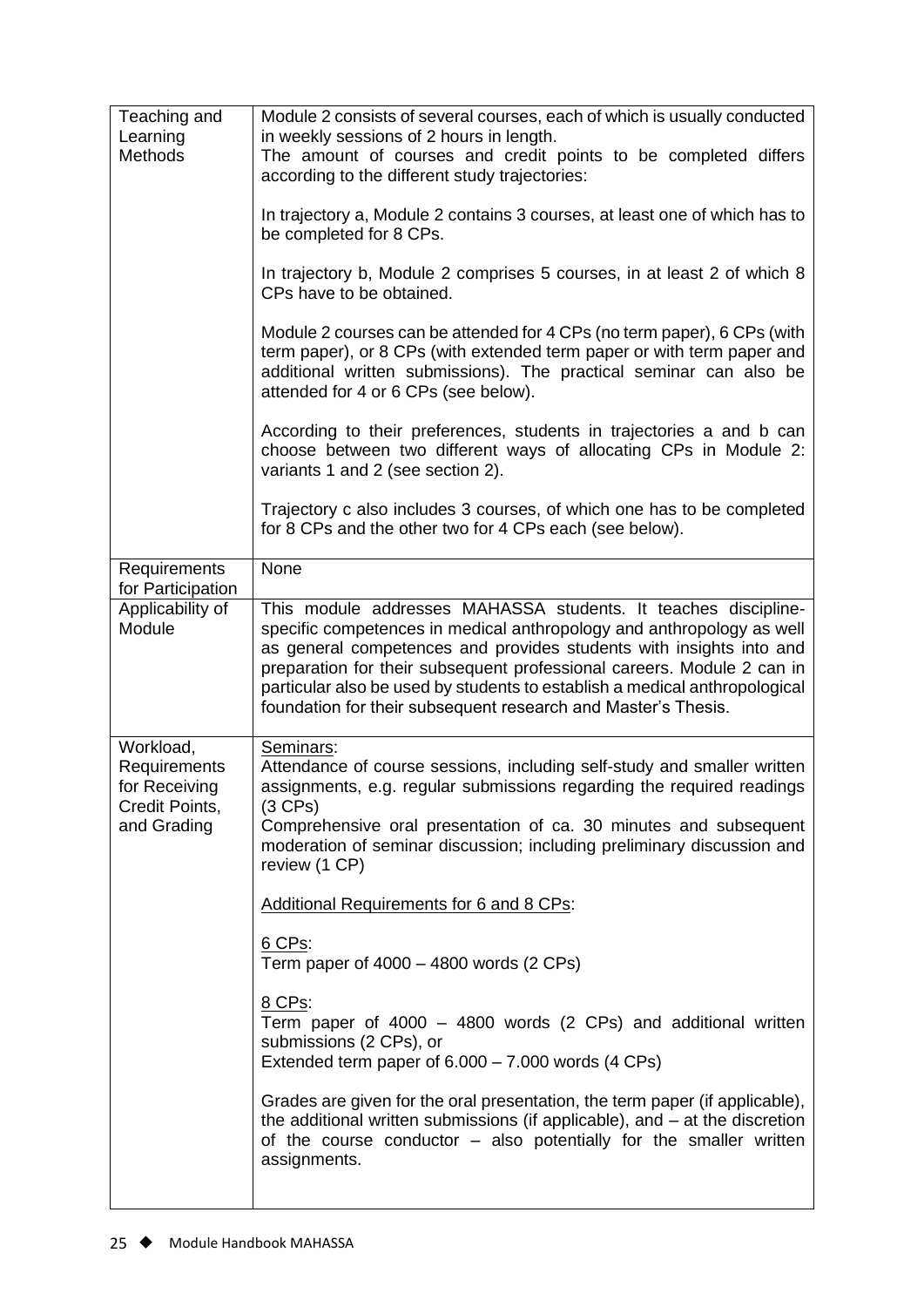| Teaching and<br>Learning<br><b>Methods</b>                                  | Module 2 consists of several courses, each of which is usually conducted<br>in weekly sessions of 2 hours in length.<br>The amount of courses and credit points to be completed differs<br>according to the different study trajectories:<br>In trajectory a, Module 2 contains 3 courses, at least one of which has to<br>be completed for 8 CPs.<br>In trajectory b, Module 2 comprises 5 courses, in at least 2 of which 8<br>CPs have to be obtained.<br>Module 2 courses can be attended for 4 CPs (no term paper), 6 CPs (with<br>term paper), or 8 CPs (with extended term paper or with term paper and<br>additional written submissions). The practical seminar can also be<br>attended for 4 or 6 CPs (see below).<br>According to their preferences, students in trajectories a and b can<br>choose between two different ways of allocating CPs in Module 2:<br>variants 1 and 2 (see section 2).<br>Trajectory c also includes 3 courses, of which one has to be completed<br>for 8 CPs and the other two for 4 CPs each (see below). |
|-----------------------------------------------------------------------------|----------------------------------------------------------------------------------------------------------------------------------------------------------------------------------------------------------------------------------------------------------------------------------------------------------------------------------------------------------------------------------------------------------------------------------------------------------------------------------------------------------------------------------------------------------------------------------------------------------------------------------------------------------------------------------------------------------------------------------------------------------------------------------------------------------------------------------------------------------------------------------------------------------------------------------------------------------------------------------------------------------------------------------------------------|
| Requirements                                                                | None                                                                                                                                                                                                                                                                                                                                                                                                                                                                                                                                                                                                                                                                                                                                                                                                                                                                                                                                                                                                                                               |
| for Participation<br>Applicability of<br>Module                             | This module addresses MAHASSA students. It teaches discipline-<br>specific competences in medical anthropology and anthropology as well<br>as general competences and provides students with insights into and<br>preparation for their subsequent professional careers. Module 2 can in<br>particular also be used by students to establish a medical anthropological<br>foundation for their subsequent research and Master's Thesis.                                                                                                                                                                                                                                                                                                                                                                                                                                                                                                                                                                                                            |
| Workload,<br>Requirements<br>for Receiving<br>Credit Points,<br>and Grading | Seminars:<br>Attendance of course sessions, including self-study and smaller written<br>assignments, e.g. regular submissions regarding the required readings<br>$(3$ CPs)<br>Comprehensive oral presentation of ca. 30 minutes and subsequent<br>moderation of seminar discussion; including preliminary discussion and<br>review (1 CP)<br><b>Additional Requirements for 6 and 8 CPs:</b><br>6 CPs:<br>Term paper of $4000 - 4800$ words (2 CPs)<br>8 CPs:<br>Term paper of 4000 - 4800 words (2 CPs) and additional written<br>submissions (2 CPs), or<br>Extended term paper of $6.000 - 7.000$ words (4 CPs)<br>Grades are given for the oral presentation, the term paper (if applicable),<br>the additional written submissions (if applicable), and $-$ at the discretion<br>of the course conductor – also potentially for the smaller written<br>assignments.                                                                                                                                                                           |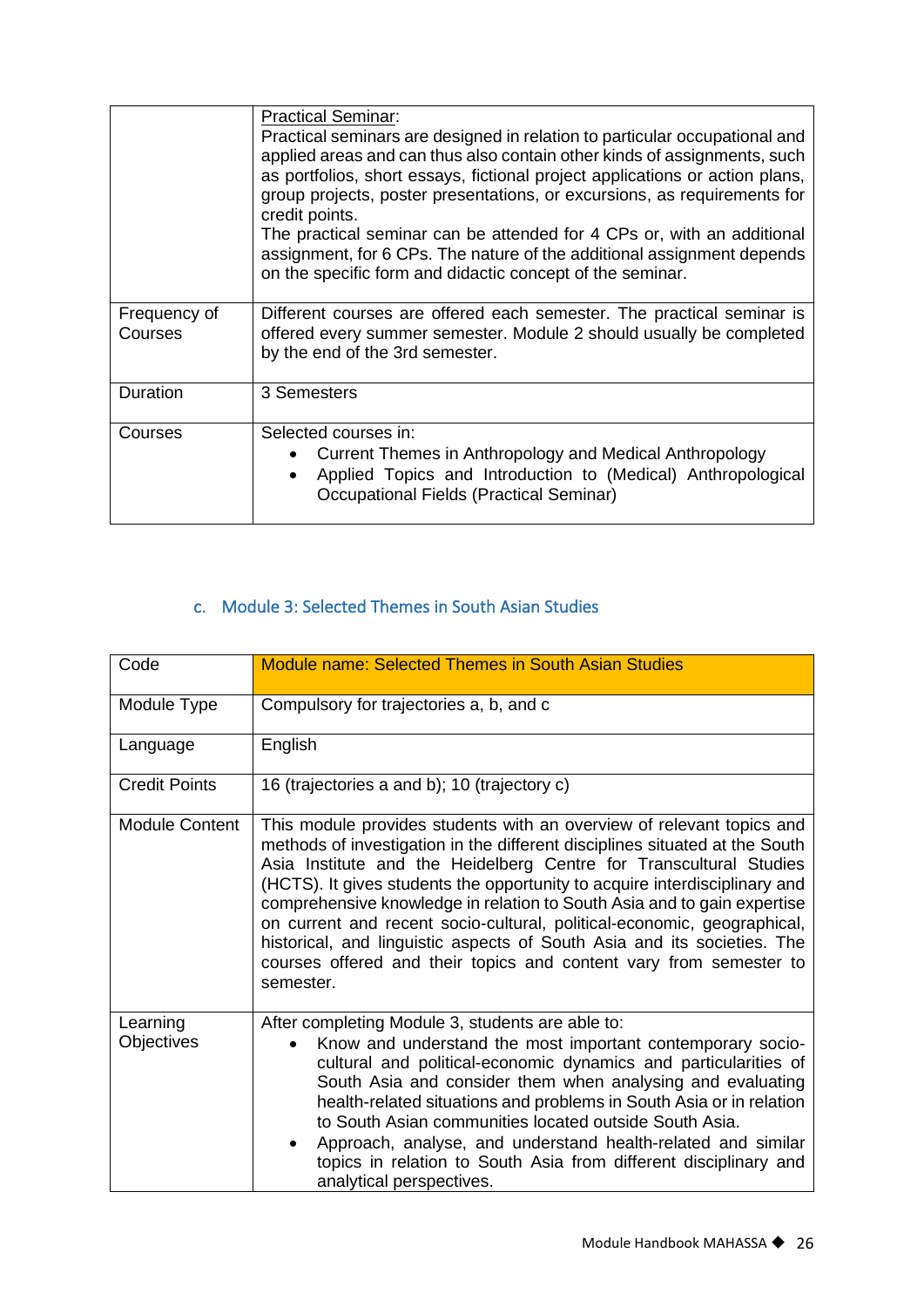|                         | <b>Practical Seminar:</b><br>Practical seminars are designed in relation to particular occupational and                                                                                                                                                |
|-------------------------|--------------------------------------------------------------------------------------------------------------------------------------------------------------------------------------------------------------------------------------------------------|
|                         | applied areas and can thus also contain other kinds of assignments, such<br>as portfolios, short essays, fictional project applications or action plans,<br>group projects, poster presentations, or excursions, as requirements for<br>credit points. |
|                         | The practical seminar can be attended for 4 CPs or, with an additional<br>assignment, for 6 CPs. The nature of the additional assignment depends<br>on the specific form and didactic concept of the seminar.                                          |
| Frequency of<br>Courses | Different courses are offered each semester. The practical seminar is<br>offered every summer semester. Module 2 should usually be completed<br>by the end of the 3rd semester.                                                                        |
| Duration                | 3 Semesters                                                                                                                                                                                                                                            |
| Courses                 | Selected courses in:<br>Current Themes in Anthropology and Medical Anthropology<br>$\bullet$<br>Applied Topics and Introduction to (Medical) Anthropological<br>$\bullet$<br><b>Occupational Fields (Practical Seminar)</b>                            |

#### c. Module 3: Selected Themes in South Asian Studies

<span id="page-26-0"></span>

| Code                   | Module name: Selected Themes in South Asian Studies                                                                                                                                                                                                                                                                                                                                                                                                                                                                                                                                                                          |
|------------------------|------------------------------------------------------------------------------------------------------------------------------------------------------------------------------------------------------------------------------------------------------------------------------------------------------------------------------------------------------------------------------------------------------------------------------------------------------------------------------------------------------------------------------------------------------------------------------------------------------------------------------|
| Module Type            | Compulsory for trajectories a, b, and c                                                                                                                                                                                                                                                                                                                                                                                                                                                                                                                                                                                      |
| Language               | English                                                                                                                                                                                                                                                                                                                                                                                                                                                                                                                                                                                                                      |
| <b>Credit Points</b>   | 16 (trajectories a and b); 10 (trajectory c)                                                                                                                                                                                                                                                                                                                                                                                                                                                                                                                                                                                 |
| <b>Module Content</b>  | This module provides students with an overview of relevant topics and<br>methods of investigation in the different disciplines situated at the South<br>Asia Institute and the Heidelberg Centre for Transcultural Studies<br>(HCTS). It gives students the opportunity to acquire interdisciplinary and<br>comprehensive knowledge in relation to South Asia and to gain expertise<br>on current and recent socio-cultural, political-economic, geographical,<br>historical, and linguistic aspects of South Asia and its societies. The<br>courses offered and their topics and content vary from semester to<br>semester. |
| Learning<br>Objectives | After completing Module 3, students are able to:<br>Know and understand the most important contemporary socio-<br>$\bullet$<br>cultural and political-economic dynamics and particularities of<br>South Asia and consider them when analysing and evaluating<br>health-related situations and problems in South Asia or in relation<br>to South Asian communities located outside South Asia.<br>Approach, analyse, and understand health-related and similar<br>topics in relation to South Asia from different disciplinary and<br>analytical perspectives.                                                                |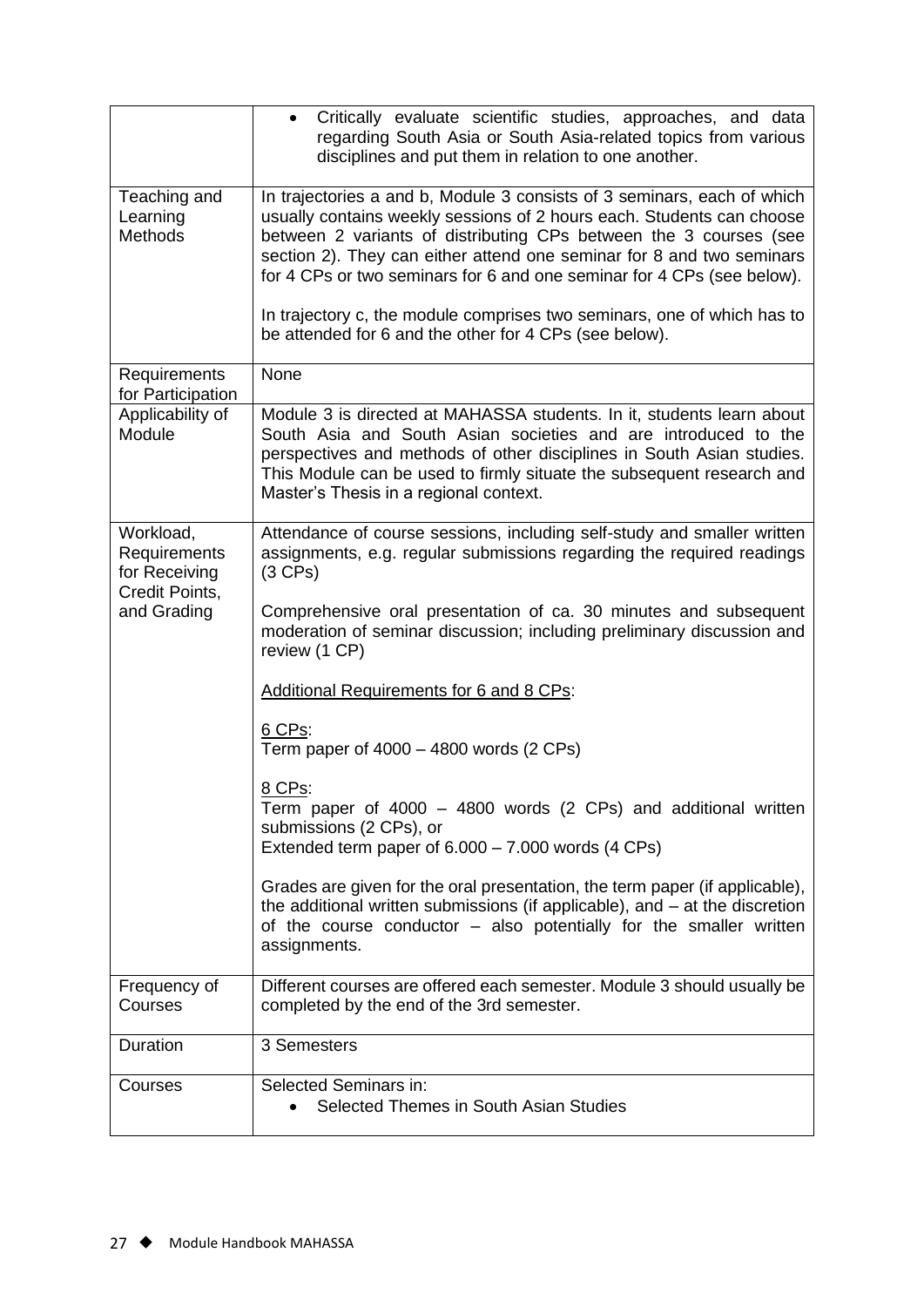|                                                                             | Critically evaluate scientific studies, approaches, and data<br>$\bullet$<br>regarding South Asia or South Asia-related topics from various<br>disciplines and put them in relation to one another.                                                                                                                                                                                                                                                                                                           |
|-----------------------------------------------------------------------------|---------------------------------------------------------------------------------------------------------------------------------------------------------------------------------------------------------------------------------------------------------------------------------------------------------------------------------------------------------------------------------------------------------------------------------------------------------------------------------------------------------------|
| Teaching and<br>Learning<br><b>Methods</b>                                  | In trajectories a and b, Module 3 consists of 3 seminars, each of which<br>usually contains weekly sessions of 2 hours each. Students can choose<br>between 2 variants of distributing CPs between the 3 courses (see<br>section 2). They can either attend one seminar for 8 and two seminars<br>for 4 CPs or two seminars for 6 and one seminar for 4 CPs (see below).<br>In trajectory c, the module comprises two seminars, one of which has to<br>be attended for 6 and the other for 4 CPs (see below). |
| Requirements<br>for Participation                                           | None                                                                                                                                                                                                                                                                                                                                                                                                                                                                                                          |
| Applicability of<br>Module                                                  | Module 3 is directed at MAHASSA students. In it, students learn about<br>South Asia and South Asian societies and are introduced to the<br>perspectives and methods of other disciplines in South Asian studies.<br>This Module can be used to firmly situate the subsequent research and<br>Master's Thesis in a regional context.                                                                                                                                                                           |
| Workload,<br>Requirements<br>for Receiving<br>Credit Points,<br>and Grading | Attendance of course sessions, including self-study and smaller written<br>assignments, e.g. regular submissions regarding the required readings<br>$(3$ CPs)                                                                                                                                                                                                                                                                                                                                                 |
|                                                                             | Comprehensive oral presentation of ca. 30 minutes and subsequent<br>moderation of seminar discussion; including preliminary discussion and<br>review (1 CP)                                                                                                                                                                                                                                                                                                                                                   |
|                                                                             | <b>Additional Requirements for 6 and 8 CPs:</b>                                                                                                                                                                                                                                                                                                                                                                                                                                                               |
|                                                                             | 6 CPs:<br>Term paper of $4000 - 4800$ words (2 CPs)                                                                                                                                                                                                                                                                                                                                                                                                                                                           |
|                                                                             | 8 CPs:<br>Term paper of 4000 - 4800 words (2 CPs) and additional written<br>submissions (2 CPs), or<br>Extended term paper of $6.000 - 7.000$ words (4 CPs)                                                                                                                                                                                                                                                                                                                                                   |
|                                                                             | Grades are given for the oral presentation, the term paper (if applicable),<br>the additional written submissions (if applicable), and $-$ at the discretion<br>of the course conductor - also potentially for the smaller written<br>assignments.                                                                                                                                                                                                                                                            |
| Frequency of<br>Courses                                                     | Different courses are offered each semester. Module 3 should usually be<br>completed by the end of the 3rd semester.                                                                                                                                                                                                                                                                                                                                                                                          |
| Duration                                                                    | 3 Semesters                                                                                                                                                                                                                                                                                                                                                                                                                                                                                                   |
| Courses                                                                     | Selected Seminars in:<br>Selected Themes in South Asian Studies                                                                                                                                                                                                                                                                                                                                                                                                                                               |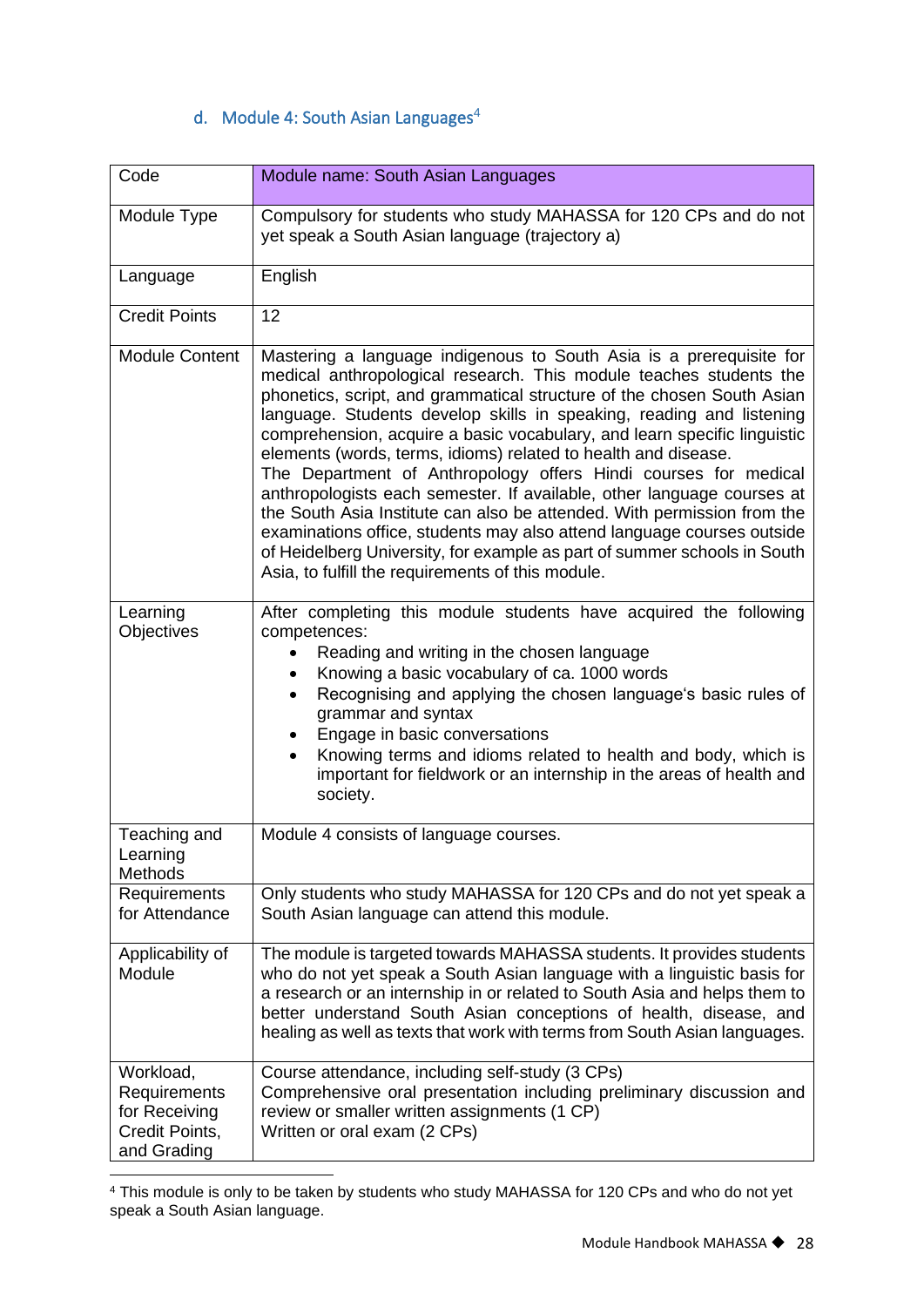#### d. Module 4: South Asian Languages $4$

<span id="page-28-0"></span>

| Code                                                                        | Module name: South Asian Languages                                                                                                                                                                                                                                                                                                                                                                                                                                                                                                                                                                                                                                                                                                                                                                                                                                           |
|-----------------------------------------------------------------------------|------------------------------------------------------------------------------------------------------------------------------------------------------------------------------------------------------------------------------------------------------------------------------------------------------------------------------------------------------------------------------------------------------------------------------------------------------------------------------------------------------------------------------------------------------------------------------------------------------------------------------------------------------------------------------------------------------------------------------------------------------------------------------------------------------------------------------------------------------------------------------|
| Module Type                                                                 | Compulsory for students who study MAHASSA for 120 CPs and do not<br>yet speak a South Asian language (trajectory a)                                                                                                                                                                                                                                                                                                                                                                                                                                                                                                                                                                                                                                                                                                                                                          |
| Language                                                                    | English                                                                                                                                                                                                                                                                                                                                                                                                                                                                                                                                                                                                                                                                                                                                                                                                                                                                      |
| <b>Credit Points</b>                                                        | 12                                                                                                                                                                                                                                                                                                                                                                                                                                                                                                                                                                                                                                                                                                                                                                                                                                                                           |
| <b>Module Content</b>                                                       | Mastering a language indigenous to South Asia is a prerequisite for<br>medical anthropological research. This module teaches students the<br>phonetics, script, and grammatical structure of the chosen South Asian<br>language. Students develop skills in speaking, reading and listening<br>comprehension, acquire a basic vocabulary, and learn specific linguistic<br>elements (words, terms, idioms) related to health and disease.<br>The Department of Anthropology offers Hindi courses for medical<br>anthropologists each semester. If available, other language courses at<br>the South Asia Institute can also be attended. With permission from the<br>examinations office, students may also attend language courses outside<br>of Heidelberg University, for example as part of summer schools in South<br>Asia, to fulfill the requirements of this module. |
| Learning<br>Objectives                                                      | After completing this module students have acquired the following<br>competences:<br>Reading and writing in the chosen language<br>Knowing a basic vocabulary of ca. 1000 words<br>$\bullet$<br>Recognising and applying the chosen language's basic rules of<br>$\bullet$<br>grammar and syntax<br>Engage in basic conversations<br>$\bullet$<br>Knowing terms and idioms related to health and body, which is<br>important for fieldwork or an internship in the areas of health and<br>society.                                                                                                                                                                                                                                                                                                                                                                           |
| Teaching and<br>Learning<br>Methods                                         | Module 4 consists of language courses.                                                                                                                                                                                                                                                                                                                                                                                                                                                                                                                                                                                                                                                                                                                                                                                                                                       |
| Requirements<br>for Attendance                                              | Only students who study MAHASSA for 120 CPs and do not yet speak a<br>South Asian language can attend this module.                                                                                                                                                                                                                                                                                                                                                                                                                                                                                                                                                                                                                                                                                                                                                           |
| Applicability of<br>Module                                                  | The module is targeted towards MAHASSA students. It provides students<br>who do not yet speak a South Asian language with a linguistic basis for<br>a research or an internship in or related to South Asia and helps them to<br>better understand South Asian conceptions of health, disease, and<br>healing as well as texts that work with terms from South Asian languages.                                                                                                                                                                                                                                                                                                                                                                                                                                                                                              |
| Workload,<br>Requirements<br>for Receiving<br>Credit Points,<br>and Grading | Course attendance, including self-study (3 CPs)<br>Comprehensive oral presentation including preliminary discussion and<br>review or smaller written assignments (1 CP)<br>Written or oral exam (2 CPs)                                                                                                                                                                                                                                                                                                                                                                                                                                                                                                                                                                                                                                                                      |

<sup>4</sup> This module is only to be taken by students who study MAHASSA for 120 CPs and who do not yet speak a South Asian language.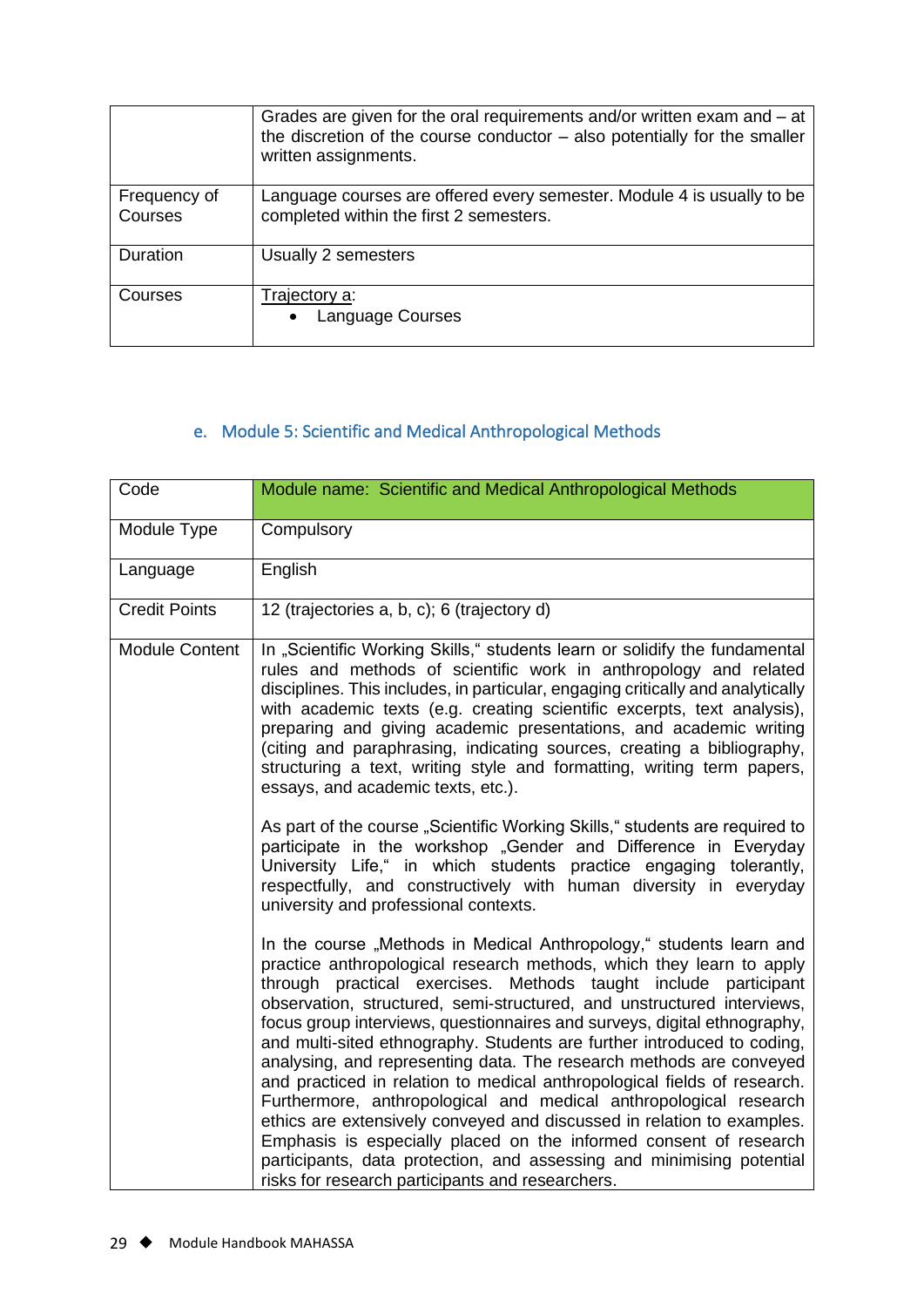|                         | Grades are given for the oral requirements and/or written exam and – at<br>the discretion of the course conductor $-$ also potentially for the smaller<br>written assignments. |
|-------------------------|--------------------------------------------------------------------------------------------------------------------------------------------------------------------------------|
| Frequency of<br>Courses | Language courses are offered every semester. Module 4 is usually to be<br>completed within the first 2 semesters.                                                              |
| Duration                | Usually 2 semesters                                                                                                                                                            |
| Courses                 | Trajectory a:<br>• Language Courses                                                                                                                                            |

#### e. Module 5: Scientific and Medical Anthropological Methods

<span id="page-29-0"></span>

| Code                  | Module name: Scientific and Medical Anthropological Methods                                                                                                                                                                                                                                                                                                                                                                                                                                                                                                                                                                                                                                                                                                                                                                                                                                                                                         |
|-----------------------|-----------------------------------------------------------------------------------------------------------------------------------------------------------------------------------------------------------------------------------------------------------------------------------------------------------------------------------------------------------------------------------------------------------------------------------------------------------------------------------------------------------------------------------------------------------------------------------------------------------------------------------------------------------------------------------------------------------------------------------------------------------------------------------------------------------------------------------------------------------------------------------------------------------------------------------------------------|
| Module Type           | Compulsory                                                                                                                                                                                                                                                                                                                                                                                                                                                                                                                                                                                                                                                                                                                                                                                                                                                                                                                                          |
| Language              | English                                                                                                                                                                                                                                                                                                                                                                                                                                                                                                                                                                                                                                                                                                                                                                                                                                                                                                                                             |
| <b>Credit Points</b>  | 12 (trajectories a, b, c); 6 (trajectory d)                                                                                                                                                                                                                                                                                                                                                                                                                                                                                                                                                                                                                                                                                                                                                                                                                                                                                                         |
| <b>Module Content</b> | In "Scientific Working Skills," students learn or solidify the fundamental<br>rules and methods of scientific work in anthropology and related<br>disciplines. This includes, in particular, engaging critically and analytically<br>with academic texts (e.g. creating scientific excerpts, text analysis),<br>preparing and giving academic presentations, and academic writing<br>(citing and paraphrasing, indicating sources, creating a bibliography,<br>structuring a text, writing style and formatting, writing term papers,<br>essays, and academic texts, etc.).<br>As part of the course "Scientific Working Skills," students are required to<br>participate in the workshop "Gender and Difference in Everyday<br>University Life," in which students practice engaging tolerantly,<br>respectfully, and constructively with human diversity in everyday<br>university and professional contexts.                                     |
|                       | In the course "Methods in Medical Anthropology," students learn and<br>practice anthropological research methods, which they learn to apply<br>through practical exercises. Methods taught include participant<br>observation, structured, semi-structured, and unstructured interviews,<br>focus group interviews, questionnaires and surveys, digital ethnography,<br>and multi-sited ethnography. Students are further introduced to coding,<br>analysing, and representing data. The research methods are conveyed<br>and practiced in relation to medical anthropological fields of research.<br>Furthermore, anthropological and medical anthropological research<br>ethics are extensively conveyed and discussed in relation to examples.<br>Emphasis is especially placed on the informed consent of research<br>participants, data protection, and assessing and minimising potential<br>risks for research participants and researchers. |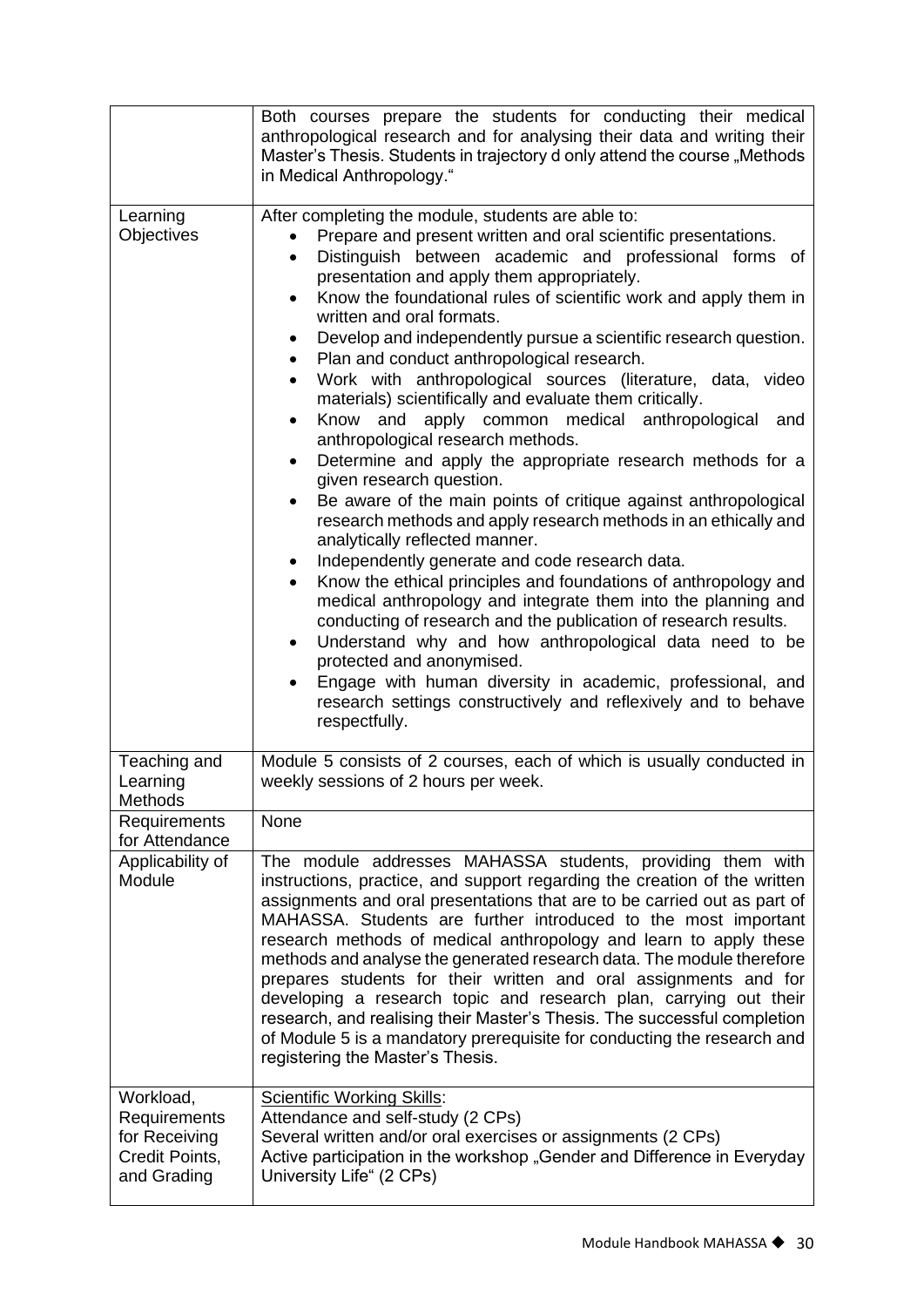|                                                                             | Both courses prepare the students for conducting their medical<br>anthropological research and for analysing their data and writing their<br>Master's Thesis. Students in trajectory d only attend the course "Methods<br>in Medical Anthropology."                                                                                                                                                                                                                                                                                                                                                                                                                                                                                                                                                                                                                                                                                                                                                                                                                                                                                                                                                                                                                                                                                                                                                                                                                                               |
|-----------------------------------------------------------------------------|---------------------------------------------------------------------------------------------------------------------------------------------------------------------------------------------------------------------------------------------------------------------------------------------------------------------------------------------------------------------------------------------------------------------------------------------------------------------------------------------------------------------------------------------------------------------------------------------------------------------------------------------------------------------------------------------------------------------------------------------------------------------------------------------------------------------------------------------------------------------------------------------------------------------------------------------------------------------------------------------------------------------------------------------------------------------------------------------------------------------------------------------------------------------------------------------------------------------------------------------------------------------------------------------------------------------------------------------------------------------------------------------------------------------------------------------------------------------------------------------------|
| Learning<br>Objectives                                                      | After completing the module, students are able to:<br>Prepare and present written and oral scientific presentations.<br>Distinguish between academic and professional forms of<br>$\bullet$<br>presentation and apply them appropriately.<br>Know the foundational rules of scientific work and apply them in<br>written and oral formats.<br>Develop and independently pursue a scientific research question.<br>Plan and conduct anthropological research.<br>Work with anthropological sources (literature, data, video<br>$\bullet$<br>materials) scientifically and evaluate them critically.<br>Know and apply common medical anthropological<br>and<br>anthropological research methods.<br>Determine and apply the appropriate research methods for a<br>$\bullet$<br>given research question.<br>Be aware of the main points of critique against anthropological<br>research methods and apply research methods in an ethically and<br>analytically reflected manner.<br>Independently generate and code research data.<br>٠<br>Know the ethical principles and foundations of anthropology and<br>medical anthropology and integrate them into the planning and<br>conducting of research and the publication of research results.<br>Understand why and how anthropological data need to be<br>$\bullet$<br>protected and anonymised.<br>Engage with human diversity in academic, professional, and<br>research settings constructively and reflexively and to behave<br>respectfully. |
| Teaching and<br>Learning<br>Methods                                         | Module 5 consists of 2 courses, each of which is usually conducted in<br>weekly sessions of 2 hours per week.                                                                                                                                                                                                                                                                                                                                                                                                                                                                                                                                                                                                                                                                                                                                                                                                                                                                                                                                                                                                                                                                                                                                                                                                                                                                                                                                                                                     |
| Requirements<br>for Attendance                                              | None                                                                                                                                                                                                                                                                                                                                                                                                                                                                                                                                                                                                                                                                                                                                                                                                                                                                                                                                                                                                                                                                                                                                                                                                                                                                                                                                                                                                                                                                                              |
| Applicability of<br>Module                                                  | The module addresses MAHASSA students, providing them with<br>instructions, practice, and support regarding the creation of the written<br>assignments and oral presentations that are to be carried out as part of<br>MAHASSA. Students are further introduced to the most important<br>research methods of medical anthropology and learn to apply these<br>methods and analyse the generated research data. The module therefore<br>prepares students for their written and oral assignments and for<br>developing a research topic and research plan, carrying out their<br>research, and realising their Master's Thesis. The successful completion<br>of Module 5 is a mandatory prerequisite for conducting the research and<br>registering the Master's Thesis.                                                                                                                                                                                                                                                                                                                                                                                                                                                                                                                                                                                                                                                                                                                           |
| Workload,<br>Requirements<br>for Receiving<br>Credit Points,<br>and Grading | <b>Scientific Working Skills:</b><br>Attendance and self-study (2 CPs)<br>Several written and/or oral exercises or assignments (2 CPs)<br>Active participation in the workshop "Gender and Difference in Everyday<br>University Life" (2 CPs)                                                                                                                                                                                                                                                                                                                                                                                                                                                                                                                                                                                                                                                                                                                                                                                                                                                                                                                                                                                                                                                                                                                                                                                                                                                     |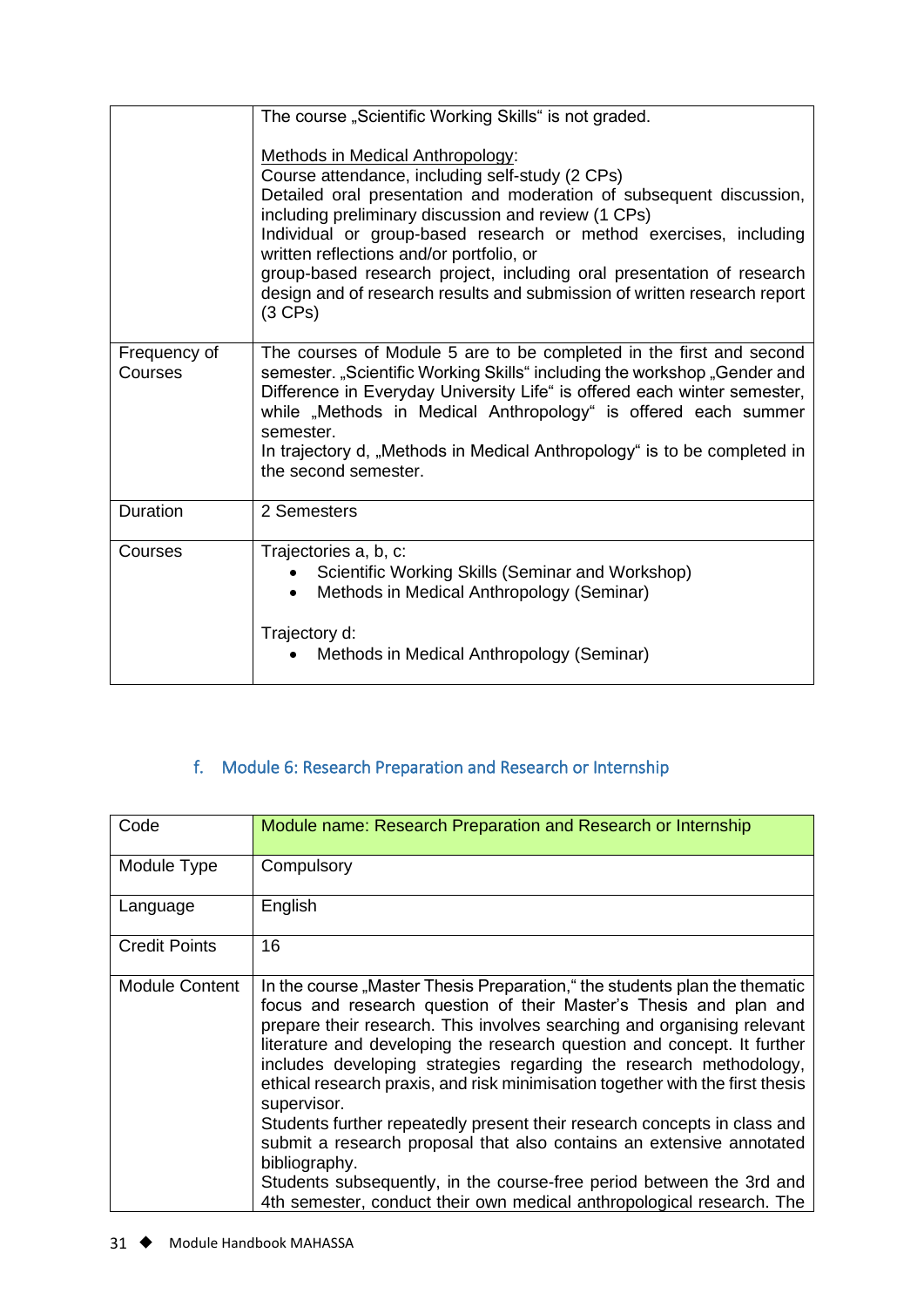|                         | The course "Scientific Working Skills" is not graded.                                                                                                                                                                                                                                                                                                                                                                                                                                                       |
|-------------------------|-------------------------------------------------------------------------------------------------------------------------------------------------------------------------------------------------------------------------------------------------------------------------------------------------------------------------------------------------------------------------------------------------------------------------------------------------------------------------------------------------------------|
|                         | <b>Methods in Medical Anthropology:</b><br>Course attendance, including self-study (2 CPs)<br>Detailed oral presentation and moderation of subsequent discussion,<br>including preliminary discussion and review (1 CPs)<br>Individual or group-based research or method exercises, including<br>written reflections and/or portfolio, or<br>group-based research project, including oral presentation of research<br>design and of research results and submission of written research report<br>$(3$ CPs) |
| Frequency of<br>Courses | The courses of Module 5 are to be completed in the first and second<br>semester. "Scientific Working Skills" including the workshop "Gender and<br>Difference in Everyday University Life" is offered each winter semester,<br>while "Methods in Medical Anthropology" is offered each summer<br>semester.<br>In trajectory d, "Methods in Medical Anthropology" is to be completed in<br>the second semester.                                                                                              |
| <b>Duration</b>         | 2 Semesters                                                                                                                                                                                                                                                                                                                                                                                                                                                                                                 |
| Courses                 | Trajectories a, b, c:<br>Scientific Working Skills (Seminar and Workshop)<br>Methods in Medical Anthropology (Seminar)                                                                                                                                                                                                                                                                                                                                                                                      |
|                         | Trajectory d:<br>Methods in Medical Anthropology (Seminar)                                                                                                                                                                                                                                                                                                                                                                                                                                                  |

# f. Module 6: Research Preparation and Research or Internship

<span id="page-31-0"></span>

| Code                  | Module name: Research Preparation and Research or Internship                                                                                                                                                                                                                                                                                                                                                                                                                                                                                                                                                                                                                                                                                                                                     |
|-----------------------|--------------------------------------------------------------------------------------------------------------------------------------------------------------------------------------------------------------------------------------------------------------------------------------------------------------------------------------------------------------------------------------------------------------------------------------------------------------------------------------------------------------------------------------------------------------------------------------------------------------------------------------------------------------------------------------------------------------------------------------------------------------------------------------------------|
| Module Type           | Compulsory                                                                                                                                                                                                                                                                                                                                                                                                                                                                                                                                                                                                                                                                                                                                                                                       |
| Language              | English                                                                                                                                                                                                                                                                                                                                                                                                                                                                                                                                                                                                                                                                                                                                                                                          |
| <b>Credit Points</b>  | 16                                                                                                                                                                                                                                                                                                                                                                                                                                                                                                                                                                                                                                                                                                                                                                                               |
| <b>Module Content</b> | In the course "Master Thesis Preparation," the students plan the thematic<br>focus and research question of their Master's Thesis and plan and<br>prepare their research. This involves searching and organising relevant<br>literature and developing the research question and concept. It further<br>includes developing strategies regarding the research methodology,<br>ethical research praxis, and risk minimisation together with the first thesis<br>supervisor.<br>Students further repeatedly present their research concepts in class and<br>submit a research proposal that also contains an extensive annotated<br>bibliography.<br>Students subsequently, in the course-free period between the 3rd and<br>4th semester, conduct their own medical anthropological research. The |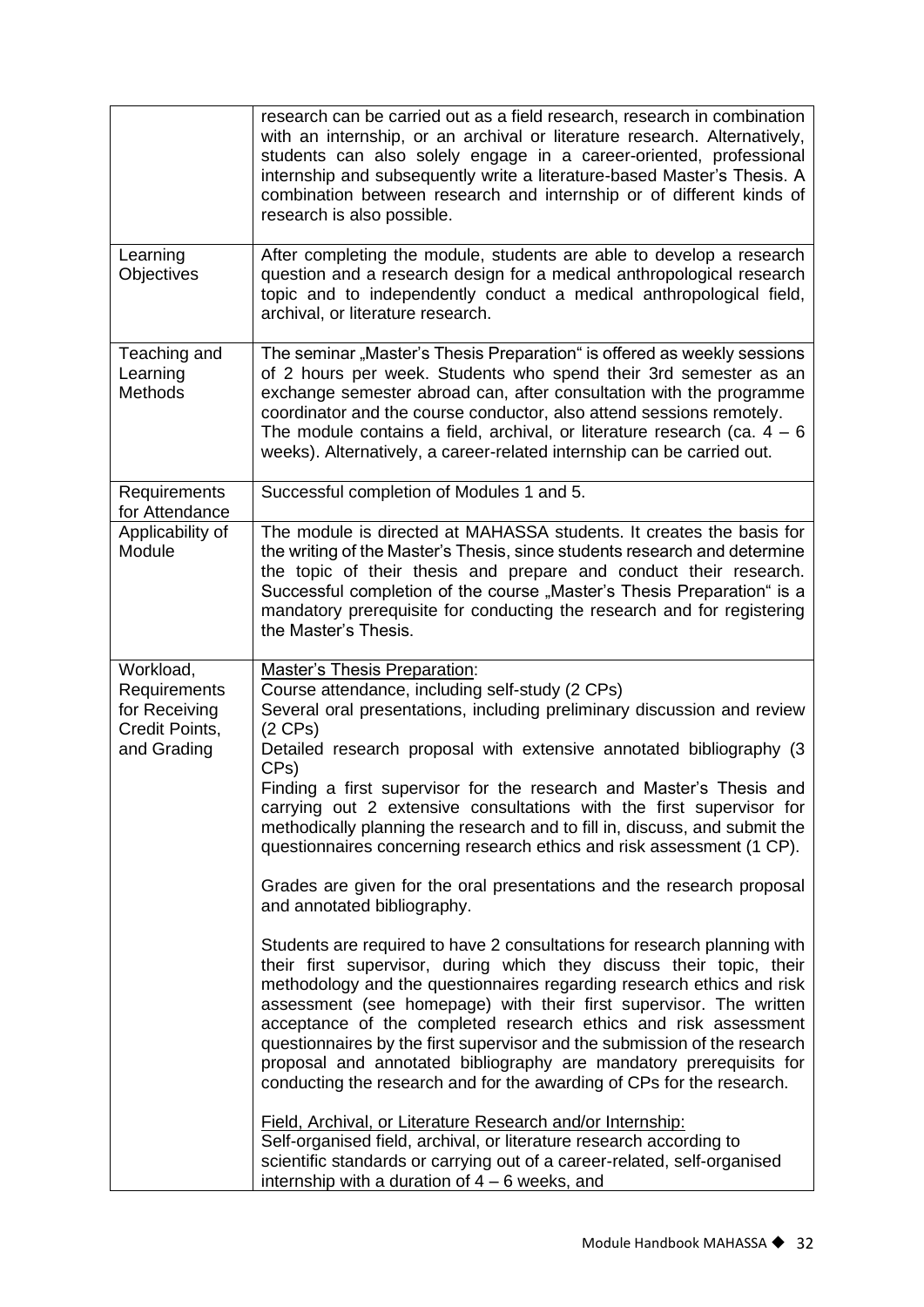|                                                                             | research can be carried out as a field research, research in combination<br>with an internship, or an archival or literature research. Alternatively,<br>students can also solely engage in a career-oriented, professional<br>internship and subsequently write a literature-based Master's Thesis. A<br>combination between research and internship or of different kinds of<br>research is also possible.                                                                                                                                                                                                                                                                                                                                                                                                                                                                                                                                                                                                                                                                                                                                                                                                                                                                                                                                             |
|-----------------------------------------------------------------------------|----------------------------------------------------------------------------------------------------------------------------------------------------------------------------------------------------------------------------------------------------------------------------------------------------------------------------------------------------------------------------------------------------------------------------------------------------------------------------------------------------------------------------------------------------------------------------------------------------------------------------------------------------------------------------------------------------------------------------------------------------------------------------------------------------------------------------------------------------------------------------------------------------------------------------------------------------------------------------------------------------------------------------------------------------------------------------------------------------------------------------------------------------------------------------------------------------------------------------------------------------------------------------------------------------------------------------------------------------------|
| Learning<br>Objectives                                                      | After completing the module, students are able to develop a research<br>question and a research design for a medical anthropological research<br>topic and to independently conduct a medical anthropological field,<br>archival, or literature research.                                                                                                                                                                                                                                                                                                                                                                                                                                                                                                                                                                                                                                                                                                                                                                                                                                                                                                                                                                                                                                                                                                |
| Teaching and<br>Learning<br><b>Methods</b>                                  | The seminar "Master's Thesis Preparation" is offered as weekly sessions<br>of 2 hours per week. Students who spend their 3rd semester as an<br>exchange semester abroad can, after consultation with the programme<br>coordinator and the course conductor, also attend sessions remotely.<br>The module contains a field, archival, or literature research (ca. $4 - 6$<br>weeks). Alternatively, a career-related internship can be carried out.                                                                                                                                                                                                                                                                                                                                                                                                                                                                                                                                                                                                                                                                                                                                                                                                                                                                                                       |
| Requirements<br>for Attendance                                              | Successful completion of Modules 1 and 5.                                                                                                                                                                                                                                                                                                                                                                                                                                                                                                                                                                                                                                                                                                                                                                                                                                                                                                                                                                                                                                                                                                                                                                                                                                                                                                                |
| Applicability of<br>Module                                                  | The module is directed at MAHASSA students. It creates the basis for<br>the writing of the Master's Thesis, since students research and determine<br>the topic of their thesis and prepare and conduct their research.<br>Successful completion of the course "Master's Thesis Preparation" is a<br>mandatory prerequisite for conducting the research and for registering<br>the Master's Thesis.                                                                                                                                                                                                                                                                                                                                                                                                                                                                                                                                                                                                                                                                                                                                                                                                                                                                                                                                                       |
| Workload,<br>Requirements<br>for Receiving<br>Credit Points,<br>and Grading | <b>Master's Thesis Preparation:</b><br>Course attendance, including self-study (2 CPs)<br>Several oral presentations, including preliminary discussion and review<br>$(2$ CPs)<br>Detailed research proposal with extensive annotated bibliography (3<br>CP <sub>s</sub> )<br>Finding a first supervisor for the research and Master's Thesis and<br>carrying out 2 extensive consultations with the first supervisor for<br>methodically planning the research and to fill in, discuss, and submit the<br>questionnaires concerning research ethics and risk assessment (1 CP).<br>Grades are given for the oral presentations and the research proposal<br>and annotated bibliography.<br>Students are required to have 2 consultations for research planning with<br>their first supervisor, during which they discuss their topic, their<br>methodology and the questionnaires regarding research ethics and risk<br>assessment (see homepage) with their first supervisor. The written<br>acceptance of the completed research ethics and risk assessment<br>questionnaires by the first supervisor and the submission of the research<br>proposal and annotated bibliography are mandatory prerequisits for<br>conducting the research and for the awarding of CPs for the research.<br>Field, Archival, or Literature Research and/or Internship: |
|                                                                             | Self-organised field, archival, or literature research according to<br>scientific standards or carrying out of a career-related, self-organised<br>internship with a duration of $4 - 6$ weeks, and                                                                                                                                                                                                                                                                                                                                                                                                                                                                                                                                                                                                                                                                                                                                                                                                                                                                                                                                                                                                                                                                                                                                                      |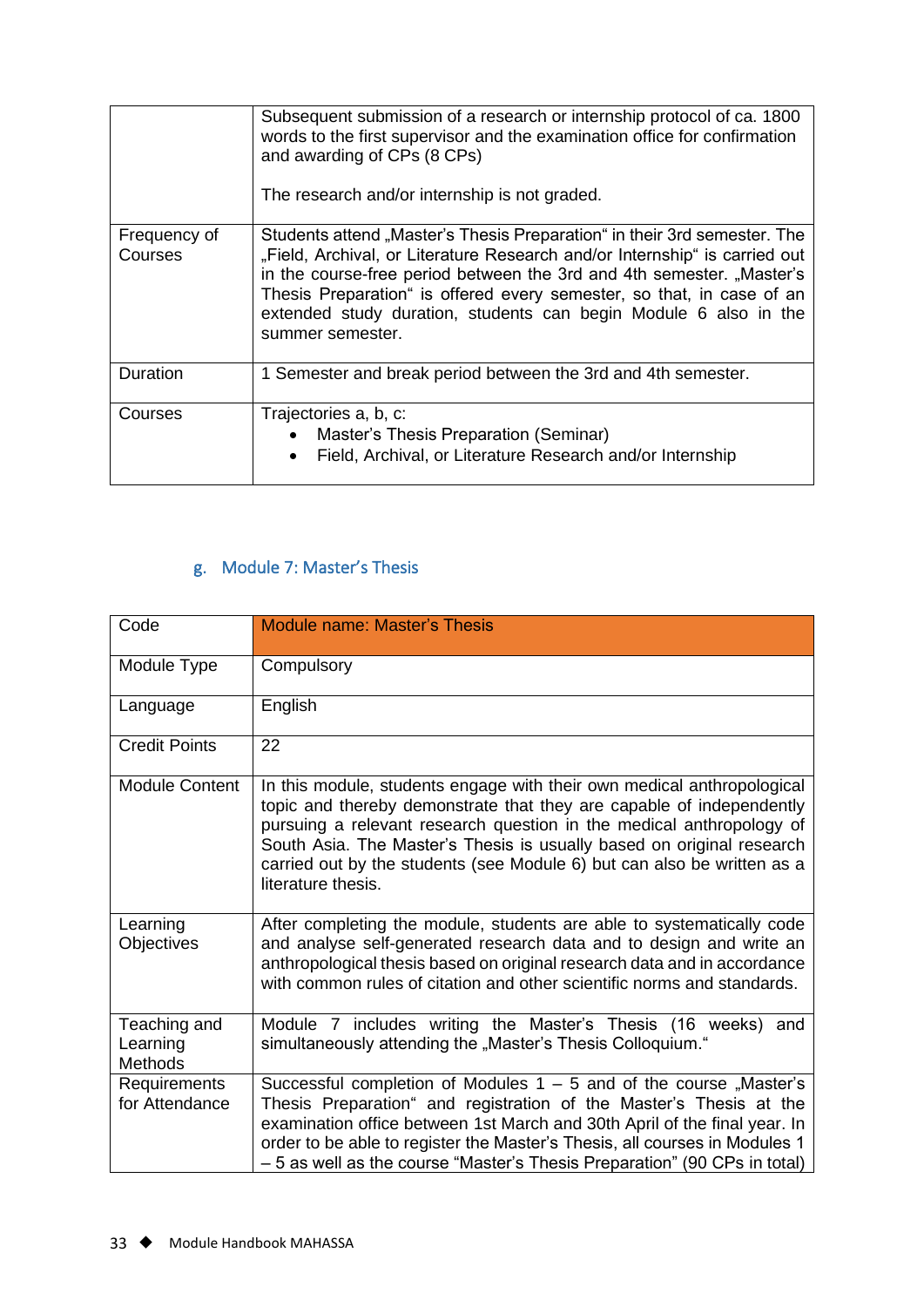|                         | Subsequent submission of a research or internship protocol of ca. 1800<br>words to the first supervisor and the examination office for confirmation<br>and awarding of CPs (8 CPs)<br>The research and/or internship is not graded.                                                                                                                                                              |
|-------------------------|--------------------------------------------------------------------------------------------------------------------------------------------------------------------------------------------------------------------------------------------------------------------------------------------------------------------------------------------------------------------------------------------------|
| Frequency of<br>Courses | Students attend "Master's Thesis Preparation" in their 3rd semester. The<br>"Field, Archival, or Literature Research and/or Internship" is carried out<br>in the course-free period between the 3rd and 4th semester. "Master's<br>Thesis Preparation" is offered every semester, so that, in case of an<br>extended study duration, students can begin Module 6 also in the<br>summer semester. |
| Duration                | 1 Semester and break period between the 3rd and 4th semester.                                                                                                                                                                                                                                                                                                                                    |
| Courses                 | Trajectories a, b, c:<br>Master's Thesis Preparation (Seminar)<br>$\bullet$<br>Field, Archival, or Literature Research and/or Internship<br>$\bullet$                                                                                                                                                                                                                                            |

# g. Module 7: Master's Thesis

<span id="page-33-0"></span>

| Code                                       | <b>Module name: Master's Thesis</b>                                                                                                                                                                                                                                                                                                                                                              |
|--------------------------------------------|--------------------------------------------------------------------------------------------------------------------------------------------------------------------------------------------------------------------------------------------------------------------------------------------------------------------------------------------------------------------------------------------------|
| Module Type                                | Compulsory                                                                                                                                                                                                                                                                                                                                                                                       |
| Language                                   | English                                                                                                                                                                                                                                                                                                                                                                                          |
| <b>Credit Points</b>                       | 22                                                                                                                                                                                                                                                                                                                                                                                               |
| <b>Module Content</b>                      | In this module, students engage with their own medical anthropological<br>topic and thereby demonstrate that they are capable of independently<br>pursuing a relevant research question in the medical anthropology of<br>South Asia. The Master's Thesis is usually based on original research<br>carried out by the students (see Module 6) but can also be written as a<br>literature thesis. |
| Learning<br>Objectives                     | After completing the module, students are able to systematically code<br>and analyse self-generated research data and to design and write an<br>anthropological thesis based on original research data and in accordance<br>with common rules of citation and other scientific norms and standards.                                                                                              |
| Teaching and<br>Learning<br><b>Methods</b> | Module 7 includes writing the Master's Thesis (16 weeks) and<br>simultaneously attending the "Master's Thesis Colloquium."                                                                                                                                                                                                                                                                       |
| Requirements<br>for Attendance             | Successful completion of Modules $1 - 5$ and of the course "Master's<br>Thesis Preparation" and registration of the Master's Thesis at the<br>examination office between 1st March and 30th April of the final year. In<br>order to be able to register the Master's Thesis, all courses in Modules 1<br>- 5 as well as the course "Master's Thesis Preparation" (90 CPs in total)               |